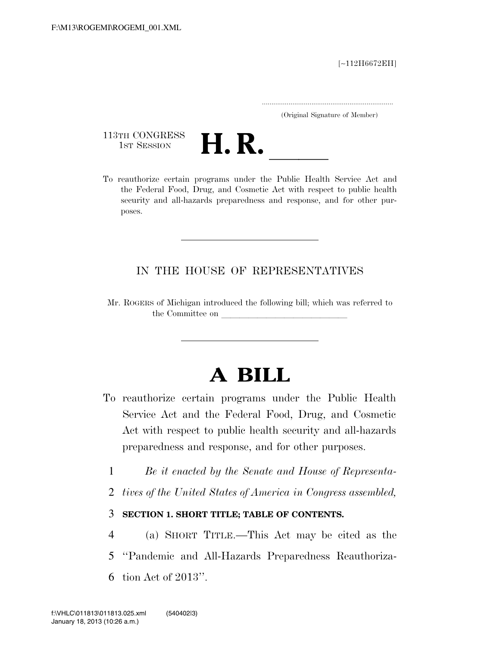[∼112H6672EH]

.....................................................................

(Original Signature of Member)

113TH CONGRESS<br>1st Session



113TH CONGRESS<br>1st SESSION<br>To reauthorize certain programs under the Public Health Service Act and the Federal Food, Drug, and Cosmetic Act with respect to public health security and all-hazards preparedness and response, and for other purposes.

# IN THE HOUSE OF REPRESENTATIVES

Mr. ROGERS of Michigan introduced the following bill; which was referred to the Committee on

# **A BILL**

- To reauthorize certain programs under the Public Health Service Act and the Federal Food, Drug, and Cosmetic Act with respect to public health security and all-hazards preparedness and response, and for other purposes.
	- 1 *Be it enacted by the Senate and House of Representa-*
	- 2 *tives of the United States of America in Congress assembled,*

# 3 **SECTION 1. SHORT TITLE; TABLE OF CONTENTS.**

- 4 (a) SHORT TITLE.—This Act may be cited as the
- 5 ''Pandemic and All-Hazards Preparedness Reauthoriza-
- 6 tion Act of 2013''.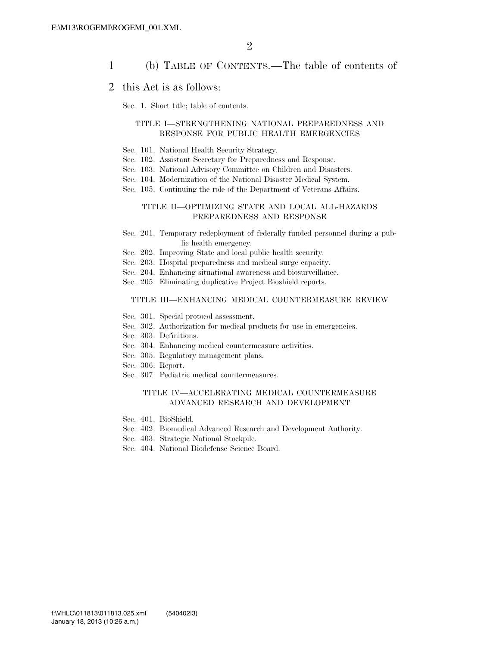## 1 (b) TABLE OF CONTENTS.—The table of contents of

### 2 this Act is as follows:

Sec. 1. Short title; table of contents.

#### TITLE I—STRENGTHENING NATIONAL PREPAREDNESS AND RESPONSE FOR PUBLIC HEALTH EMERGENCIES

- Sec. 101. National Health Security Strategy.
- Sec. 102. Assistant Secretary for Preparedness and Response.
- Sec. 103. National Advisory Committee on Children and Disasters.
- Sec. 104. Modernization of the National Disaster Medical System.
- Sec. 105. Continuing the role of the Department of Veterans Affairs.

#### TITLE II—OPTIMIZING STATE AND LOCAL ALL-HAZARDS PREPAREDNESS AND RESPONSE

- Sec. 201. Temporary redeployment of federally funded personnel during a public health emergency.
- Sec. 202. Improving State and local public health security.
- Sec. 203. Hospital preparedness and medical surge capacity.
- Sec. 204. Enhancing situational awareness and biosurveillance.
- Sec. 205. Eliminating duplicative Project Bioshield reports.

#### TITLE III—ENHANCING MEDICAL COUNTERMEASURE REVIEW

- Sec. 301. Special protocol assessment.
- Sec. 302. Authorization for medical products for use in emergencies.
- Sec. 303. Definitions.
- Sec. 304. Enhancing medical countermeasure activities.
- Sec. 305. Regulatory management plans.
- Sec. 306. Report.
- Sec. 307. Pediatric medical countermeasures.

#### TITLE IV—ACCELERATING MEDICAL COUNTERMEASURE ADVANCED RESEARCH AND DEVELOPMENT

- Sec. 401. BioShield.
- Sec. 402. Biomedical Advanced Research and Development Authority.
- Sec. 403. Strategic National Stockpile.
- Sec. 404. National Biodefense Science Board.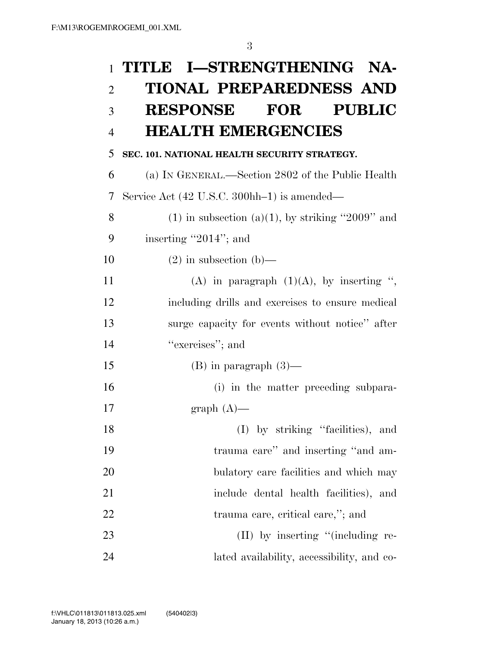| $\mathbf{1}$   | TITLE I-STRENGTHENING NA-                             |
|----------------|-------------------------------------------------------|
| $\overline{2}$ | <b>TIONAL PREPAREDNESS AND</b>                        |
| 3              | RESPONSE FOR<br><b>PUBLIC</b>                         |
| $\overline{4}$ | <b>HEALTH EMERGENCIES</b>                             |
| 5              | SEC. 101. NATIONAL HEALTH SECURITY STRATEGY.          |
| 6              | (a) IN GENERAL.—Section 2802 of the Public Health     |
| 7              | Service Act (42 U.S.C. 300hh-1) is amended—           |
| 8              | $(1)$ in subsection $(a)(1)$ , by striking "2009" and |
| 9              | inserting "2014"; and                                 |
| 10             | $(2)$ in subsection $(b)$ —                           |
| 11             | (A) in paragraph $(1)(A)$ , by inserting ",           |
|                |                                                       |
| 12             | including drills and exercises to ensure medical      |
| 13             | surge capacity for events without notice" after       |
| 14             | "exercises"; and                                      |
| 15             | $(B)$ in paragraph $(3)$ —                            |
| 16             | (i) in the matter preceding subpara-                  |
| 17             | graph $(A)$ —                                         |
| 18             | (I) by striking "facilities), and                     |
| 19             | trauma care" and inserting "and am-                   |
| 20             | bulatory care facilities and which may                |
| 21             | include dental health facilities), and                |
|                |                                                       |
| 22             | trauma care, critical care,"; and                     |
| 23             | $(II)$ by inserting "(including re-                   |
| 24             | lated availability, accessibility, and co-            |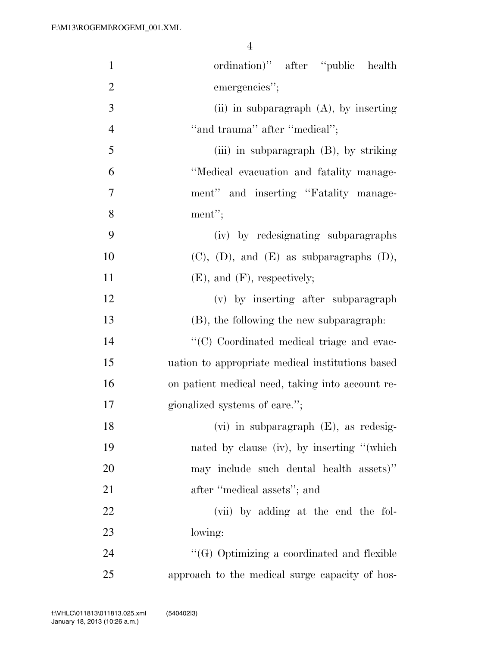| $\mathbf{1}$   | ordination)" after "public health                  |
|----------------|----------------------------------------------------|
| $\mathfrak{2}$ | emergencies";                                      |
| 3              | (ii) in subparagraph $(A)$ , by inserting          |
| $\overline{4}$ | "and trauma" after "medical";                      |
| 5              | (iii) in subparagraph (B), by striking             |
| 6              | "Medical evacuation and fatality manage-           |
| 7              | ment" and inserting "Fatality manage-              |
| 8              | ment";                                             |
| 9              | (iv) by redesignating subparagraphs                |
| 10             | $(C)$ , $(D)$ , and $(E)$ as subparagraphs $(D)$ , |
| 11             | $(E)$ , and $(F)$ , respectively;                  |
| 12             | (v) by inserting after subparagraph                |
| 13             | (B), the following the new subparagraph:           |
| 14             | "(C) Coordinated medical triage and evac-          |
| 15             | uation to appropriate medical institutions based   |
| 16             | on patient medical need, taking into account re-   |
| 17             | gionalized systems of care.";                      |
| 18             | $(vi)$ in subparagraph $(E)$ , as redesig-         |
| 19             | nated by clause (iv), by inserting "(which         |
| 20             | may include such dental health assets)"            |
| 21             | after "medical assets"; and                        |
| 22             | (vii) by adding at the end the fol-                |
| 23             | lowing:                                            |
| 24             | "(G) Optimizing a coordinated and flexible         |
| 25             | approach to the medical surge capacity of hos-     |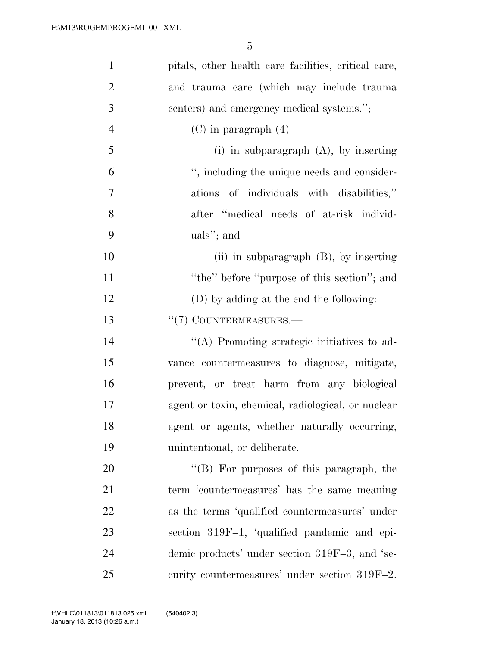| $\mathbf{1}$   | pitals, other health care facilities, critical care, |
|----------------|------------------------------------------------------|
| $\mathbf{2}$   | and trauma care (which may include trauma            |
| 3              | centers) and emergency medical systems.";            |
| $\overline{4}$ | $(C)$ in paragraph $(4)$ —                           |
| 5              | $(i)$ in subparagraph $(A)$ , by inserting           |
| 6              | ", including the unique needs and consider-          |
| $\tau$         | ations of individuals with disabilities,"            |
| 8              | after "medical needs of at-risk individ-             |
| 9              | uals"; and                                           |
| 10             | (ii) in subparagraph $(B)$ , by inserting            |
| 11             | "the" before "purpose of this section"; and          |
| 12             | (D) by adding at the end the following:              |
| 13             | $``(7)$ COUNTERMEASURES.—                            |
| 14             | "(A) Promoting strategic initiatives to ad-          |
| 15             | vance countermeasures to diagnose, mitigate,         |
| 16             | prevent, or treat harm from any biological           |
| 17             | agent or toxin, chemical, radiological, or nuclear   |
| 18             | agent or agents, whether naturally occurring,        |
| 19             | unintentional, or deliberate.                        |
| 20             | "(B) For purposes of this paragraph, the             |
| 21             | term 'countermeasures' has the same meaning          |
| 22             | as the terms 'qualified countermeasures' under       |
| 23             | section 319F-1, 'qualified pandemic and epi-         |
| 24             | demic products' under section 319F-3, and 'se-       |
| 25             | curity countermeasures' under section 319F-2.        |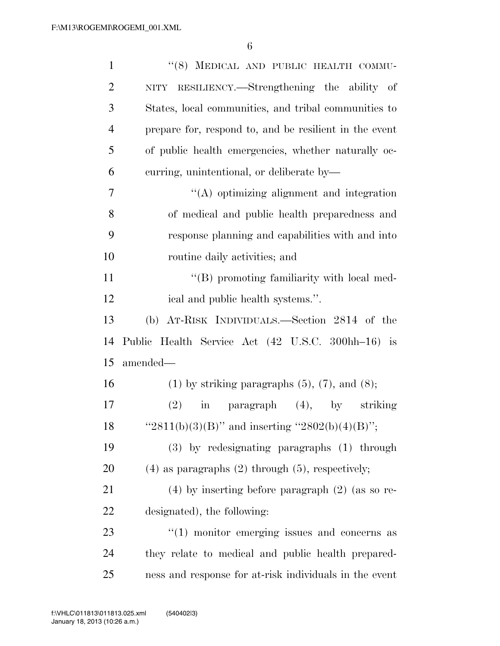| $\mathbf{1}$   | "(8) MEDICAL AND PUBLIC HEALTH COMMU-                    |
|----------------|----------------------------------------------------------|
| $\overline{2}$ | NITY RESILIENCY.—Strengthening the ability of            |
| 3              | States, local communities, and tribal communities to     |
| $\overline{4}$ | prepare for, respond to, and be resilient in the event   |
| 5              | of public health emergencies, whether naturally oc-      |
| 6              | curring, unintentional, or deliberate by-                |
| 7              | $\lq\lq$ optimizing alignment and integration            |
| 8              | of medical and public health preparedness and            |
| 9              | response planning and capabilities with and into         |
| 10             | routine daily activities; and                            |
| 11             | "(B) promoting familiarity with local med-               |
| 12             | ical and public health systems.".                        |
| 13             | (b) AT-RISK INDIVIDUALS.—Section 2814 of the             |
| 14             | Public Health Service Act (42 U.S.C. 300hh-16) is        |
| 15             | amended-                                                 |
| 16             | $(1)$ by striking paragraphs $(5)$ , $(7)$ , and $(8)$ ; |
| 17             | (2)<br>in paragraph (4), by striking                     |
| 18             | "2811(b)(3)(B)" and inserting "2802(b)(4)(B)";           |
| 19             | (3) by redesignating paragraphs (1) through              |
| 20             | $(4)$ as paragraphs $(2)$ through $(5)$ , respectively;  |
| 21             | $(4)$ by inserting before paragraph $(2)$ (as so re-     |
| 22             | designated), the following:                              |
| 23             | $\lq(1)$ monitor emerging issues and concerns as         |
| 24             | they relate to medical and public health prepared-       |
| 25             | ness and response for at-risk individuals in the event   |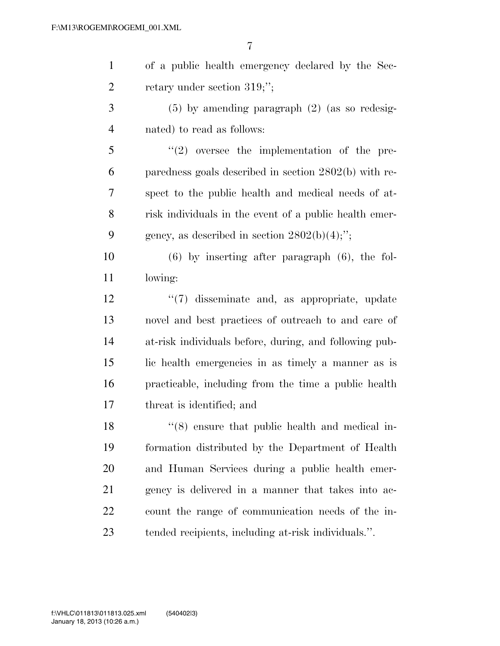| of a public health emergency declared by the Sec- |
|---------------------------------------------------|
| retary under section $319;$ ";                    |

 (5) by amending paragraph (2) (as so redesig-nated) to read as follows:

 $\mathfrak{S}$  ''(2) oversee the implementation of the pre- paredness goals described in section 2802(b) with re- spect to the public health and medical needs of at- risk individuals in the event of a public health emer-9 gency, as described in section  $2802(b)(4)$ ;";

 (6) by inserting after paragraph (6), the fol-lowing:

 ''(7) disseminate and, as appropriate, update novel and best practices of outreach to and care of at-risk individuals before, during, and following pub- lic health emergencies in as timely a manner as is practicable, including from the time a public health threat is identified; and

18 ''(8) ensure that public health and medical in- formation distributed by the Department of Health and Human Services during a public health emer- gency is delivered in a manner that takes into ac- count the range of communication needs of the in-tended recipients, including at-risk individuals.''.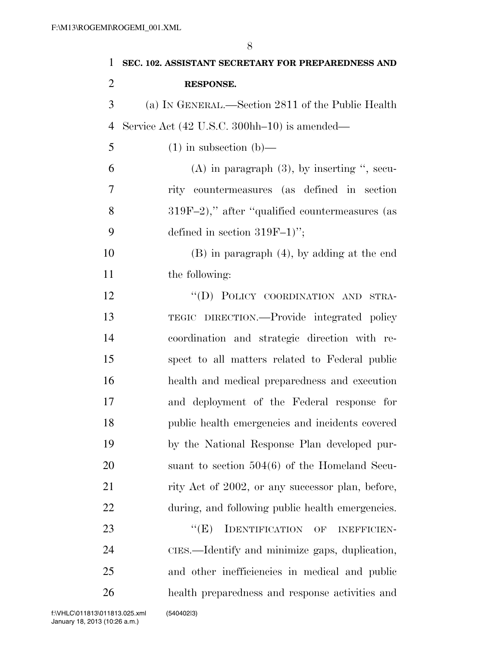| $\mathbf{1}$   | SEC. 102. ASSISTANT SECRETARY FOR PREPAREDNESS AND |
|----------------|----------------------------------------------------|
| $\overline{2}$ | <b>RESPONSE.</b>                                   |
| 3              | (a) IN GENERAL.—Section 2811 of the Public Health  |
| $\overline{4}$ | Service Act (42 U.S.C. 300hh–10) is amended—       |
| 5              | $(1)$ in subsection $(b)$ —                        |
| 6              | $(A)$ in paragraph $(3)$ , by inserting ", secu-   |
| 7              | rity countermeasures (as defined in section        |
| 8              | $319F-2$ ," after "qualified countermeasures (as   |
| 9              | defined in section $319F-1$ ";                     |
| 10             | $(B)$ in paragraph $(4)$ , by adding at the end    |
| 11             | the following:                                     |
| 12             | "(D) POLICY COORDINATION AND STRA-                 |
| 13             | TEGIC DIRECTION.—Provide integrated policy         |
| 14             | coordination and strategic direction with re-      |
| 15             | spect to all matters related to Federal public     |
| 16             | health and medical preparedness and execution      |
| 17             | and deployment of the Federal response for         |
| 18             | public health emergencies and incidents covered    |
| 19             | by the National Response Plan developed pur-       |
| 20             | suant to section $504(6)$ of the Homeland Secu-    |
| 21             | rity Act of 2002, or any successor plan, before,   |
| 22             | during, and following public health emergencies.   |
| 23             | IDENTIFICATION OF<br>``(E)<br><b>INEFFICIEN-</b>   |
| 24             | CIES.—Identify and minimize gaps, duplication,     |
| 25             | and other inefficiencies in medical and public     |

health preparedness and response activities and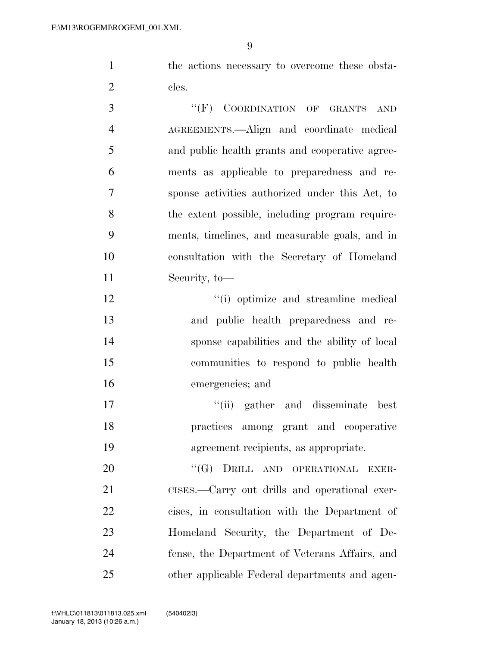the actions necessary to overcome these obsta-2 cles.

3 "(F) COORDINATION OF GRANTS AND AGREEMENTS.—Align and coordinate medical and public health grants and cooperative agree- ments as applicable to preparedness and re- sponse activities authorized under this Act, to the extent possible, including program require- ments, timelines, and measurable goals, and in consultation with the Secretary of Homeland Security, to—

 $\cdot$  (i) optimize and streamline medical and public health preparedness and re- sponse capabilities and the ability of local communities to respond to public health emergencies; and

17 ''(ii) gather and disseminate best practices among grant and cooperative agreement recipients, as appropriate.

20 "(G) DRILL AND OPERATIONAL EXER- CISES.—Carry out drills and operational exer- cises, in consultation with the Department of Homeland Security, the Department of De- fense, the Department of Veterans Affairs, and other applicable Federal departments and agen-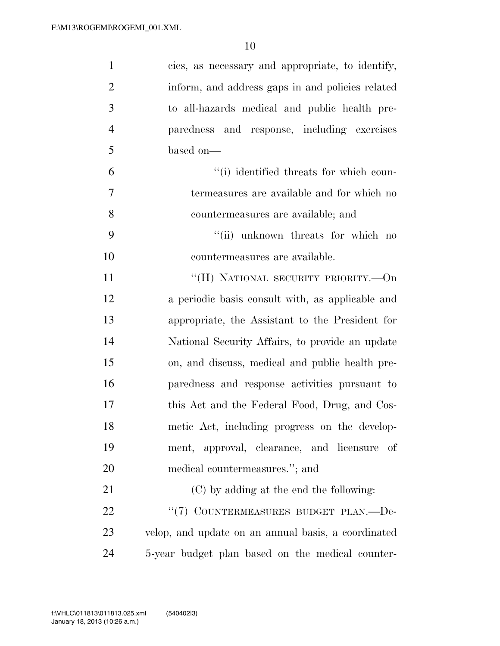| $\mathbf{1}$   | cies, as necessary and appropriate, to identify,    |
|----------------|-----------------------------------------------------|
| $\overline{2}$ | inform, and address gaps in and policies related    |
| 3              | to all-hazards medical and public health pre-       |
| $\overline{4}$ | paredness and response, including exercises         |
| 5              | based on-                                           |
| 6              | "(i) identified threats for which coun-             |
| $\overline{7}$ | termeasures are available and for which no          |
| 8              | countermeasures are available; and                  |
| 9              | "(ii) unknown threats for which no                  |
| 10             | countermeasures are available.                      |
| 11             | "(H) NATIONAL SECURITY PRIORITY.—On                 |
| 12             | a periodic basis consult with, as applicable and    |
| 13             | appropriate, the Assistant to the President for     |
| 14             | National Security Affairs, to provide an update     |
| 15             | on, and discuss, medical and public health pre-     |
| 16             | paredness and response activities pursuant to       |
| 17             | this Act and the Federal Food, Drug, and Cos-       |
| 18             | metic Act, including progress on the develop-       |
| 19             | ment, approval, clearance, and licensure of         |
| 20             | medical countermeasures."; and                      |
| 21             | (C) by adding at the end the following:             |
| 22             | "(7) COUNTERMEASURES BUDGET PLAN.-De-               |
| 23             | velop, and update on an annual basis, a coordinated |
| 24             | 5-year budget plan based on the medical counter-    |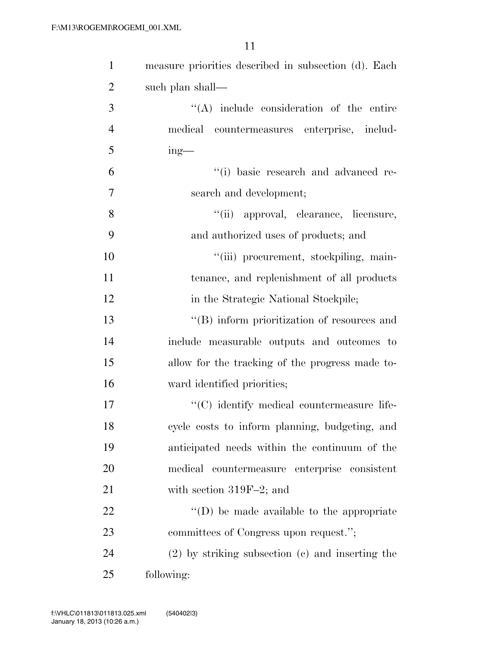| $\mathbf{1}$   | measure priorities described in subsection (d). Each |
|----------------|------------------------------------------------------|
| $\overline{2}$ | such plan shall—                                     |
| 3              | $\lq\lq$ include consideration of the entire         |
| $\overline{4}$ | medical countermeasures enterprise, includ-          |
| 5              | $ing$ —                                              |
| 6              | "(i) basic research and advanced re-                 |
| $\tau$         | search and development;                              |
| 8              | "(ii) approval, clearance, licensure,                |
| 9              | and authorized uses of products; and                 |
| 10             | "(iii) procurement, stockpiling, main-               |
| 11             | tenance, and replenishment of all products           |
| 12             | in the Strategic National Stockpile;                 |
| 13             | "(B) inform prioritization of resources and          |
| 14             | include measurable outputs and outcomes to           |
| 15             | allow for the tracking of the progress made to-      |
| 16             | ward identified priorities;                          |
| 17             | "(C) identify medical countermeasure life-           |
| 18             | cycle costs to inform planning, budgeting, and       |
| 19             | anticipated needs within the continuum of the        |
| 20             | medical countermeasure enterprise consistent         |
| 21             | with section $319F-2$ ; and                          |
| 22             | $\lq\lq$ (D) be made available to the appropriate    |
| 23             | committees of Congress upon request.";               |
| 24             | $(2)$ by striking subsection $(c)$ and inserting the |
| 25             | following:                                           |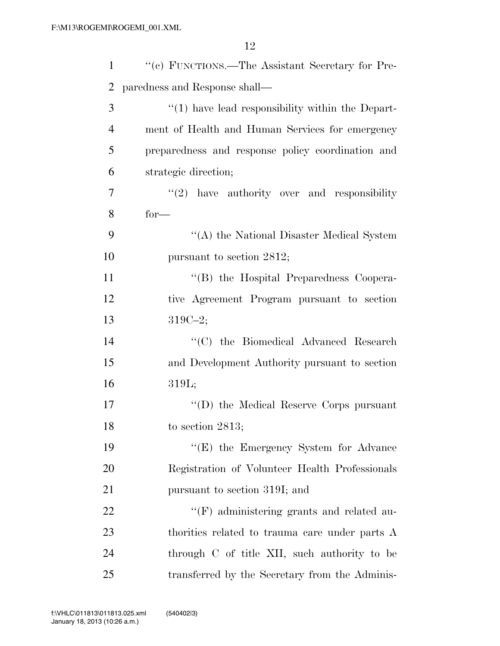| $\mathbf{1}$   | "(c) FUNCTIONS.—The Assistant Secretary for Pre-     |
|----------------|------------------------------------------------------|
| 2              | paredness and Response shall—                        |
| 3              | $\lq(1)$ have lead responsibility within the Depart- |
| $\overline{4}$ | ment of Health and Human Services for emergency      |
| 5              | preparedness and response policy coordination and    |
| 6              | strategic direction;                                 |
| 7              | $(2)$ have authority over and responsibility         |
| 8              | $for-$                                               |
| 9              | "(A) the National Disaster Medical System            |
| 10             | pursuant to section 2812;                            |
| 11             | "(B) the Hospital Preparedness Coopera-              |
| 12             | tive Agreement Program pursuant to section           |
| 13             | $319C - 2;$                                          |
| 14             | "(C) the Biomedical Advanced Research                |
| 15             | and Development Authority pursuant to section        |
| 16             | 319L;                                                |
| 17             | "(D) the Medical Reserve Corps pursuant              |
| 18             | to section $2813$ ;                                  |
| 19             | $\lq\lq(E)$ the Emergency System for Advance         |
| 20             | Registration of Volunteer Health Professionals       |
| 21             | pursuant to section 319I; and                        |
| 22             | $\lq\lq(F)$ administering grants and related au-     |
| 23             | thorities related to trauma care under parts A       |
| 24             | through C of title XII, such authority to be         |
| 25             | transferred by the Secretary from the Adminis-       |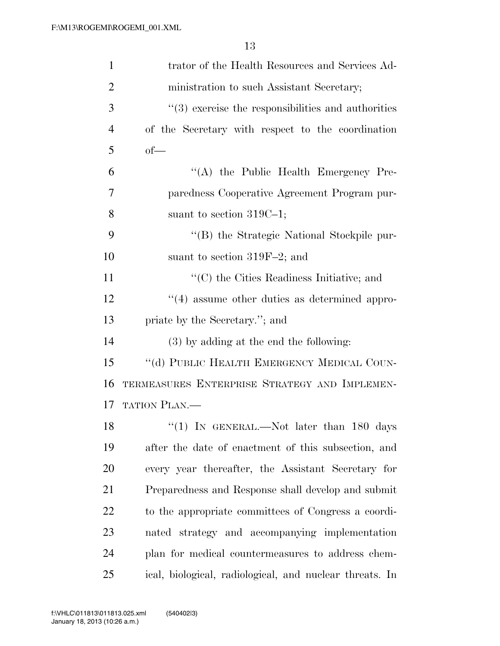| $\mathbf{1}$   | trator of the Health Resources and Services Ad-         |
|----------------|---------------------------------------------------------|
| $\overline{2}$ | ministration to such Assistant Secretary;               |
| 3              | $\lq(3)$ exercise the responsibilities and authorities  |
| $\overline{4}$ | of the Secretary with respect to the coordination       |
| 5              | $of$ —                                                  |
| 6              | "(A) the Public Health Emergency Pre-                   |
| 7              | paredness Cooperative Agreement Program pur-            |
| 8              | suant to section $319C-1$ ;                             |
| 9              | "(B) the Strategic National Stockpile pur-              |
| 10             | suant to section $319F-2$ ; and                         |
| 11             | "(C) the Cities Readiness Initiative; and               |
| 12             | $``(4)$ assume other duties as determined appro-        |
| 13             | priate by the Secretary."; and                          |
| 14             | $(3)$ by adding at the end the following:               |
| 15             | "(d) PUBLIC HEALTH EMERGENCY MEDICAL COUN-              |
| 16             | TERMEASURES ENTERPRISE STRATEGY AND IMPLEMEN-           |
| 17             | TATION PLAN.                                            |
| 18             | "(1) IN GENERAL.—Not later than 180 days                |
| 19             | after the date of enactment of this subsection, and     |
| 20             | every year thereafter, the Assistant Secretary for      |
| 21             | Preparedness and Response shall develop and submit      |
| <u>22</u>      | to the appropriate committees of Congress a coordi-     |
| 23             | nated strategy and accompanying implementation          |
| 24             | plan for medical countermeasures to address chem-       |
| 25             | ical, biological, radiological, and nuclear threats. In |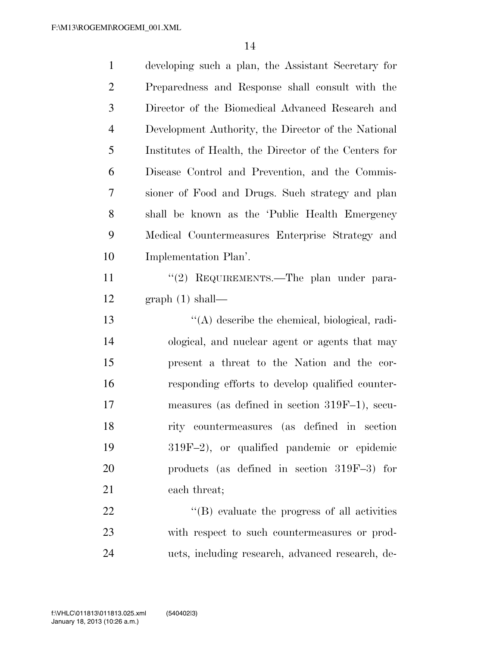| $\mathbf{1}$   | developing such a plan, the Assistant Secretary for   |
|----------------|-------------------------------------------------------|
| 2              | Preparedness and Response shall consult with the      |
| 3              | Director of the Biomedical Advanced Research and      |
| $\overline{4}$ | Development Authority, the Director of the National   |
| 5              | Institutes of Health, the Director of the Centers for |
| 6              | Disease Control and Prevention, and the Commis-       |
| 7              | sioner of Food and Drugs. Such strategy and plan      |
| 8              | shall be known as the 'Public Health Emergency        |
| 9              | Medical Countermeasures Enterprise Strategy and       |
| 10             | Implementation Plan'.                                 |
| 11             | "(2) REQUIREMENTS.—The plan under para-               |
| 12             | graph(1) shall—                                       |
| 13             | $\lq\lq$ describe the chemical, biological, radi-     |
| 14             | ological, and nuclear agent or agents that may        |
| 15             | present a threat to the Nation and the cor-           |
| 16             | responding efforts to develop qualified counter-      |
| 17             | measures (as defined in section 319F-1), secu-        |
| 18             | rity countermeasures (as defined in section           |
| 19             | $319F-2$ , or qualified pandemic or epidemic          |
| 20             | products (as defined in section $319F-3$ ) for        |
| 21             | each threat;                                          |
| 22             | $\lq\lq$ (B) evaluate the progress of all activities  |
| 23             | with respect to such countermeasures or prod-         |
| 24             | ucts, including research, advanced research, de-      |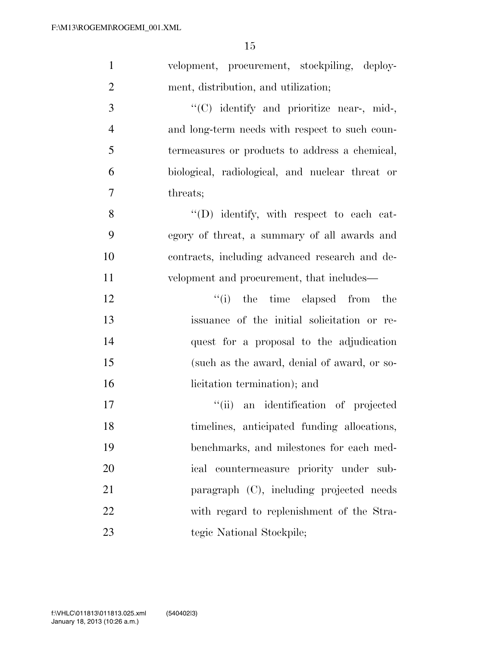| $\mathbf{1}$   | velopment, procurement, stockpiling, deploy-    |
|----------------|-------------------------------------------------|
| $\overline{2}$ | ment, distribution, and utilization;            |
| 3              | "(C) identify and prioritize near-, mid-,       |
| $\overline{4}$ | and long-term needs with respect to such coun-  |
| 5              | termeasures or products to address a chemical,  |
| 6              | biological, radiological, and nuclear threat or |
| 7              | threats;                                        |
| 8              | $\lq\lq$ . identify, with respect to each cat-  |
| 9              | egory of threat, a summary of all awards and    |
| 10             | contracts, including advanced research and de-  |
| 11             | velopment and procurement, that includes—       |
| 12             | "(i) the time elapsed from the                  |
| 13             | issuance of the initial solicitation or re-     |
| 14             | quest for a proposal to the adjudication        |
| 15             | (such as the award, denial of award, or so-     |
| 16             | licitation termination); and                    |
| 17             | "(ii) an identification of projected            |
| 18             | timelines, anticipated funding allocations,     |
| 19             | benchmarks, and milestones for each med-        |
| 20             | ical countermeasure priority under sub-         |
| 21             | paragraph (C), including projected needs        |
| 22             | with regard to replenishment of the Stra-       |
| 23             | tegic National Stockpile;                       |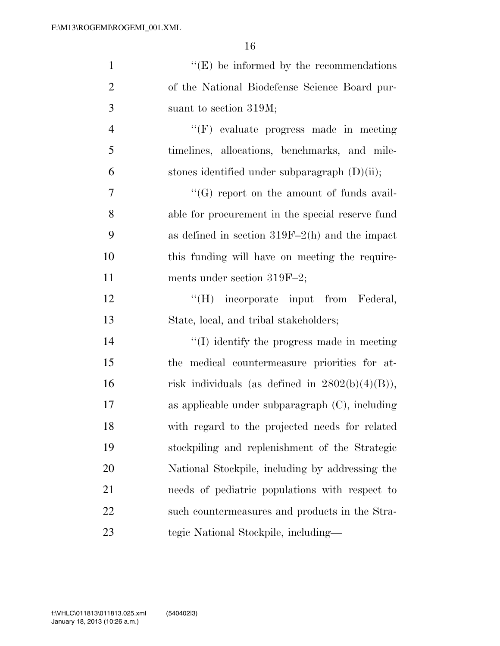| $\mathbf{1}$   | $\lq\lq(E)$ be informed by the recommendations     |
|----------------|----------------------------------------------------|
| $\overline{2}$ | of the National Biodefense Science Board pur-      |
| 3              | suant to section 319M;                             |
| $\overline{4}$ | "(F) evaluate progress made in meeting             |
| 5              | timelines, allocations, benchmarks, and mile-      |
| 6              | stones identified under subparagraph $(D)(ii)$ ;   |
| $\overline{7}$ | "(G) report on the amount of funds avail-          |
| 8              | able for procurement in the special reserve fund   |
| 9              | as defined in section $319F-2(h)$ and the impact   |
| 10             | this funding will have on meeting the require-     |
| 11             | ments under section $319F-2$ ;                     |
| 12             | "(H) incorporate input from Federal,               |
| 13             | State, local, and tribal stakeholders;             |
| 14             | $\lq\lq$ identify the progress made in meeting     |
| 15             | the medical countermeasure priorities for at-      |
| 16             | risk individuals (as defined in $2802(b)(4)(B)$ ), |
| 17             | as applicable under subparagraph $(C)$ , including |
| 18             | with regard to the projected needs for related     |
| 19             | stockpiling and replenishment of the Strategic     |
| 20             | National Stockpile, including by addressing the    |
| 21             | needs of pediatric populations with respect to     |
| 22             | such countermeasures and products in the Stra-     |
| 23             | tegic National Stockpile, including—               |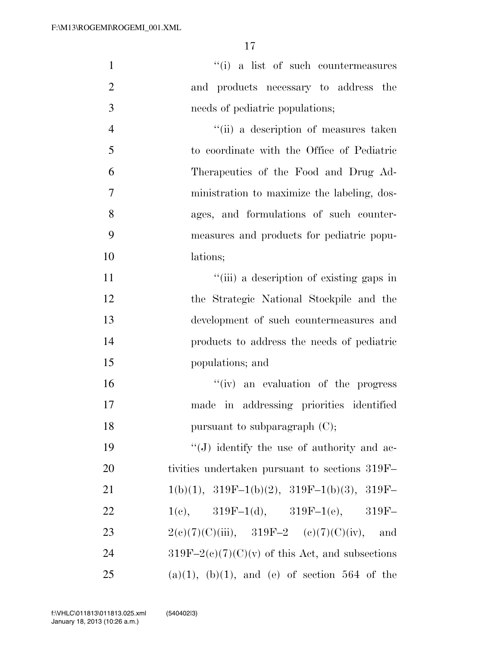| $\mathbf{1}$   | "(i) a list of such countermeasures                   |
|----------------|-------------------------------------------------------|
| $\overline{2}$ | and products necessary to address the                 |
| 3              | needs of pediatric populations;                       |
| $\overline{4}$ | "(ii) a description of measures taken                 |
| 5              | to coordinate with the Office of Pediatric            |
| 6              | Therapeutics of the Food and Drug Ad-                 |
| 7              | ministration to maximize the labeling, dos-           |
| 8              | ages, and formulations of such counter-               |
| 9              | measures and products for pediatric popu-             |
| 10             | lations;                                              |
| 11             | "(iii) a description of existing gaps in              |
| 12             | the Strategic National Stockpile and the              |
| 13             | development of such countermeasures and               |
| 14             | products to address the needs of pediatric            |
| 15             | populations; and                                      |
| 16             | "(iv) an evaluation of the progress                   |
| 17             | made in addressing priorities identified              |
| 18             | pursuant to subparagraph $(C)$ ;                      |
| 19             | "(J) identify the use of authority and ac-            |
| 20             | tivities undertaken pursuant to sections 319F         |
| 21             | $1(b)(1), 319F-1(b)(2), 319F-1(b)(3), 319F-$          |
| 22             | 1(e), $319F-1(d)$ , $319F-1(e)$ , $319F-$             |
| 23             | $2(e)(7)(C)(iii)$ , $319F-2$ (e)(7)(C)(iv), and       |
| 24             | $319F-2(c)(7)(C)(v)$ of this Act, and subsections     |
| 25             | $(a)(1)$ , $(b)(1)$ , and $(e)$ of section 564 of the |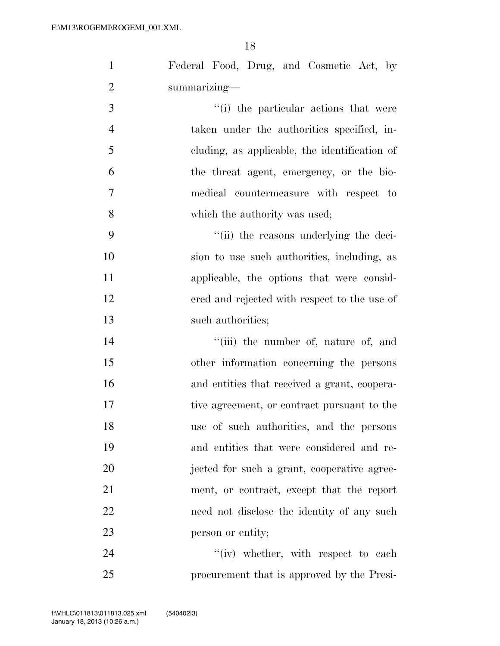| $\mathbf{1}$   | Federal Food, Drug, and Cosmetic Act, by      |
|----------------|-----------------------------------------------|
| $\overline{2}$ | summarizing-                                  |
| 3              | "(i) the particular actions that were         |
| $\overline{4}$ | taken under the authorities specified, in-    |
| 5              | cluding, as applicable, the identification of |
| 6              | the threat agent, emergency, or the bio-      |
| $\tau$         | medical countermeasure with respect to        |
| 8              | which the authority was used;                 |
| 9              | "(ii) the reasons underlying the deci-        |
| 10             | sion to use such authorities, including, as   |
| 11             | applicable, the options that were consid-     |
| 12             | ered and rejected with respect to the use of  |
| 13             | such authorities;                             |
| 14             | "(iii) the number of, nature of, and          |
| 15             | other information concerning the persons      |
| 16             | and entities that received a grant, coopera-  |
| 17             | tive agreement, or contract pursuant to the   |
| 18             | use of such authorities, and the persons      |
| 19             | and entities that were considered and re-     |
| 20             | jected for such a grant, cooperative agree-   |
| 21             | ment, or contract, except that the report     |
| 22             | need not disclose the identity of any such    |
| 23             | person or entity;                             |
| 24             | $f'(iv)$ whether, with respect to each        |
| 25             | procurement that is approved by the Presi-    |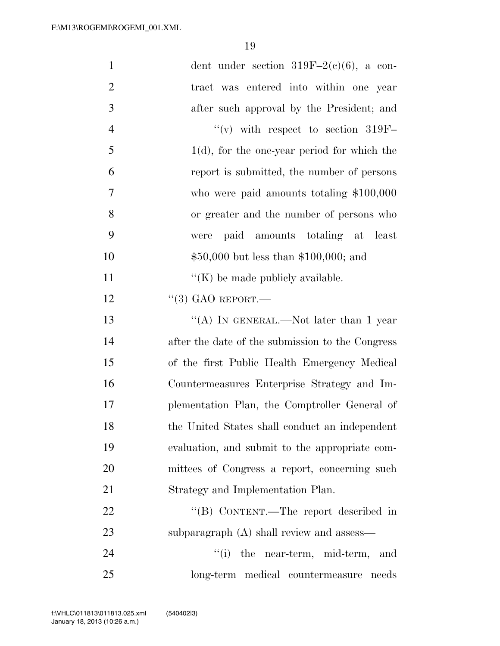| $\mathbf{1}$   | dent under section $319F-2(c)(6)$ , a con-       |
|----------------|--------------------------------------------------|
| $\overline{2}$ | tract was entered into within one year           |
| 3              | after such approval by the President; and        |
| $\overline{4}$ | $\lq\lq$ with respect to section 319F-           |
| 5              | $1(d)$ , for the one-year period for which the   |
| 6              | report is submitted, the number of persons       |
| 7              | who were paid amounts totaling $$100,000$        |
| 8              | or greater and the number of persons who         |
| 9              | paid amounts totaling at least<br>were           |
| 10             | $$50,000$ but less than \$100,000; and           |
| 11             | $\lq\lq$ (K) be made publicly available.         |
| 12             | $``(3)$ GAO REPORT.                              |
| 13             | "(A) IN GENERAL.—Not later than 1 year           |
| 14             | after the date of the submission to the Congress |
| 15             | of the first Public Health Emergency Medical     |
| 16             | Countermeasures Enterprise Strategy and Im-      |
| 17             | plementation Plan, the Comptroller General of    |
| 18             | the United States shall conduct an independent   |
| 19             | evaluation, and submit to the appropriate com-   |
| 20             | mittees of Congress a report, concerning such    |
| 21             | Strategy and Implementation Plan.                |
| 22             | "(B) CONTENT.—The report described in            |
| 23             | subparagraph (A) shall review and assess—        |
| 24             | ``(i)<br>the near-term, mid-term,<br>and         |
| 25             | long-term medical countermeasure needs           |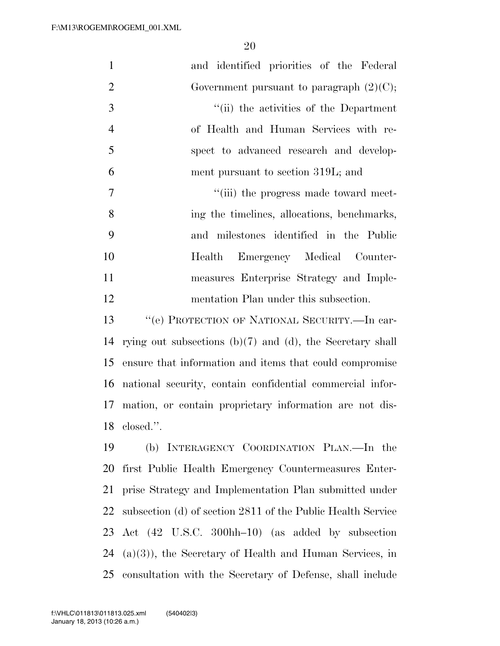| $\mathbf{1}$   | and identified priorities of the Federal                       |
|----------------|----------------------------------------------------------------|
| $\overline{2}$ | Government pursuant to paragraph $(2)(C)$ ;                    |
| 3              | "(ii) the activities of the Department                         |
| $\overline{4}$ | of Health and Human Services with re-                          |
| 5              | spect to advanced research and develop-                        |
| 6              | ment pursuant to section 319L; and                             |
| 7              | "(iii) the progress made toward meet-                          |
| 8              | ing the timelines, allocations, benchmarks,                    |
| 9              | and milestones identified in the Public                        |
| 10             | Emergency Medical Counter-<br>Health                           |
| 11             | measures Enterprise Strategy and Imple-                        |
| 12             | mentation Plan under this subsection.                          |
| 13             | "(e) PROTECTION OF NATIONAL SECURITY.—In car-                  |
| 14             | rying out subsections $(b)(7)$ and $(d)$ , the Secretary shall |
| 15             | ensure that information and items that could compromise        |
| 16             | national security, contain confidential commercial infor-      |
| 17             | mation, or contain proprietary information are not dis-        |
| 18             | closed.".                                                      |
| 19             | (b) INTERAGENCY COORDINATION PLAN.—In the                      |
| 20             | first Public Health Emergency Countermeasures Enter-           |
| 21             | prise Strategy and Implementation Plan submitted under         |
| 22             | subsection (d) of section 2811 of the Public Health Service    |
| 23             | Act (42 U.S.C. 300hh-10) (as added by subsection               |
| 24             | $(a)(3)$ , the Secretary of Health and Human Services, in      |

consultation with the Secretary of Defense, shall include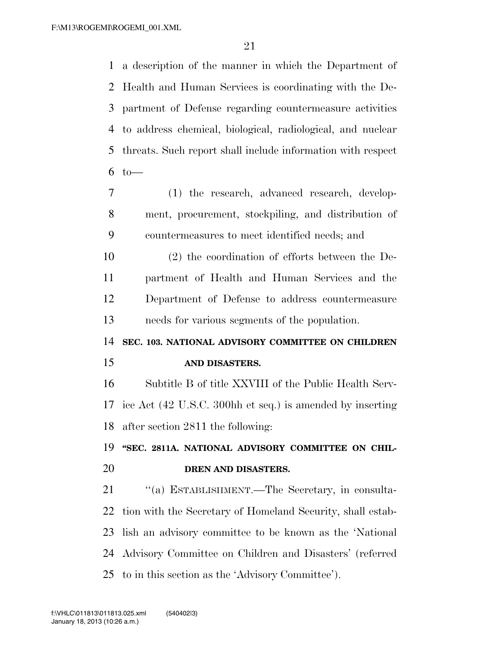a description of the manner in which the Department of Health and Human Services is coordinating with the De- partment of Defense regarding countermeasure activities to address chemical, biological, radiological, and nuclear threats. Such report shall include information with respect to  $-$ 

- (1) the research, advanced research, develop- ment, procurement, stockpiling, and distribution of countermeasures to meet identified needs; and
- (2) the coordination of efforts between the De- partment of Health and Human Services and the Department of Defense to address countermeasure needs for various segments of the population.
- **SEC. 103. NATIONAL ADVISORY COMMITTEE ON CHILDREN AND DISASTERS.**

 Subtitle B of title XXVIII of the Public Health Serv- ice Act (42 U.S.C. 300hh et seq.) is amended by inserting after section 2811 the following:

# **''SEC. 2811A. NATIONAL ADVISORY COMMITTEE ON CHIL-DREN AND DISASTERS.**

21 "(a) ESTABLISHMENT.—The Secretary, in consulta- tion with the Secretary of Homeland Security, shall estab- lish an advisory committee to be known as the 'National Advisory Committee on Children and Disasters' (referred to in this section as the 'Advisory Committee').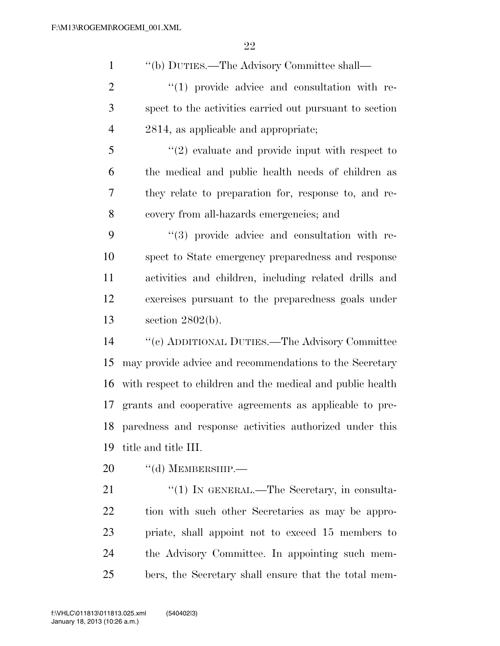''(b) DUTIES.—The Advisory Committee shall— ''(1) provide advice and consultation with re- spect to the activities carried out pursuant to section 2814, as applicable and appropriate; ''(2) evaluate and provide input with respect to the medical and public health needs of children as they relate to preparation for, response to, and re- covery from all-hazards emergencies; and  $(3)$  provide advice and consultation with re- spect to State emergency preparedness and response activities and children, including related drills and exercises pursuant to the preparedness goals under section 2802(b).

 ''(c) ADDITIONAL DUTIES.—The Advisory Committee may provide advice and recommendations to the Secretary with respect to children and the medical and public health grants and cooperative agreements as applicable to pre- paredness and response activities authorized under this title and title III.

20 "(d) MEMBERSHIP.—

21 "(1) IN GENERAL.—The Secretary, in consulta- tion with such other Secretaries as may be appro- priate, shall appoint not to exceed 15 members to the Advisory Committee. In appointing such mem-bers, the Secretary shall ensure that the total mem-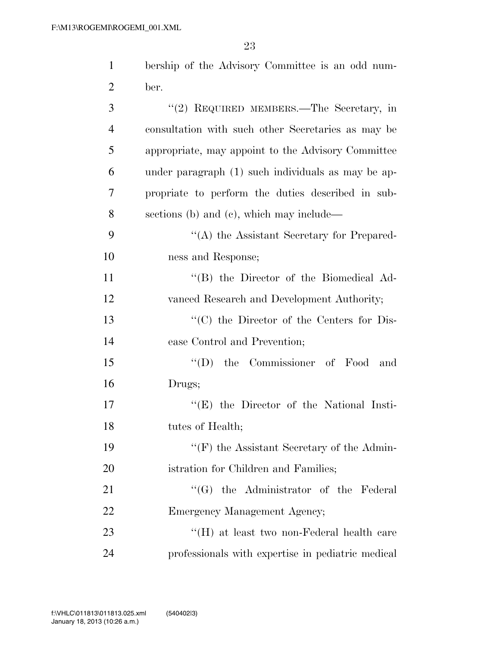| $\mathbf{1}$   | bership of the Advisory Committee is an odd num-   |
|----------------|----------------------------------------------------|
| $\overline{2}$ | ber.                                               |
| 3              | "(2) REQUIRED MEMBERS.—The Secretary, in           |
| $\overline{4}$ | consultation with such other Secretaries as may be |
| 5              | appropriate, may appoint to the Advisory Committee |
| 6              | under paragraph (1) such individuals as may be ap- |
| 7              | propriate to perform the duties described in sub-  |
| 8              | sections (b) and (c), which may include—           |
| 9              | "(A) the Assistant Secretary for Prepared-         |
| 10             | ness and Response;                                 |
| 11             | "(B) the Director of the Biomedical Ad-            |
| 12             | vanced Research and Development Authority;         |
| 13             | $\cdot$ (C) the Director of the Centers for Dis-   |
| 14             | ease Control and Prevention;                       |
| 15             | the Commissioner of Food<br>$\lq\lq (D)$<br>and    |
| 16             | Drugs;                                             |
| 17             | $\lq\lq$ (E) the Director of the National Insti-   |
| 18             | tutes of Health;                                   |
| 19             | $\lq\lq(F)$ the Assistant Secretary of the Admin-  |
| 20             | istration for Children and Families;               |
| 21             | "(G) the Administrator of the Federal              |
| 22             | Emergency Management Agency;                       |
| 23             | "(H) at least two non-Federal health care          |
| 24             | professionals with expertise in pediatric medical  |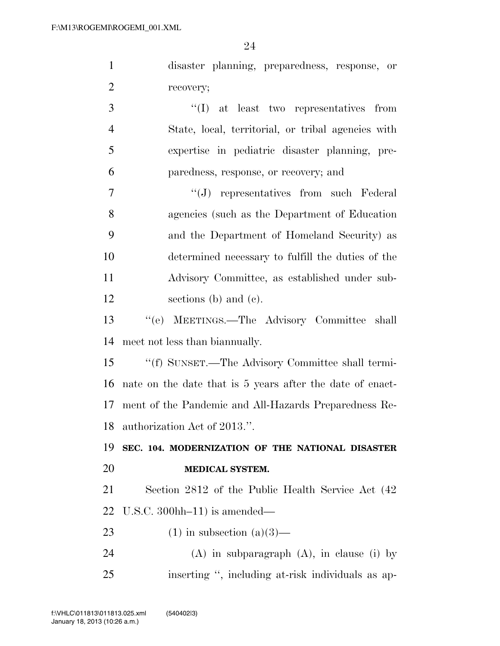| $\mathbf{1}$   | disaster planning, preparedness, response, or             |
|----------------|-----------------------------------------------------------|
| $\overline{2}$ | recovery;                                                 |
| 3              | "(I) at least two representatives from                    |
| $\overline{4}$ | State, local, territorial, or tribal agencies with        |
| 5              | expertise in pediatric disaster planning, pre-            |
| 6              | paredness, response, or recovery; and                     |
| $\tau$         | $\lq\lq(J)$ representatives from such Federal             |
| 8              | agencies (such as the Department of Education             |
| 9              | and the Department of Homeland Security) as               |
| 10             | determined necessary to fulfill the duties of the         |
| 11             | Advisory Committee, as established under sub-             |
| 12             | sections (b) and (c).                                     |
| 13             | "(e) MEETINGS.—The Advisory Committee shall               |
| 14             | meet not less than biannually.                            |
| 15             | "(f) SUNSET.—The Advisory Committee shall termi-          |
| 16             | nate on the date that is 5 years after the date of enact- |
| 17             | ment of the Pandemic and All-Hazards Preparedness Re-     |
|                | 18 authorization Act of 2013.".                           |
| 19             | SEC. 104. MODERNIZATION OF THE NATIONAL DISASTER          |
| 20             | MEDICAL SYSTEM.                                           |
| 21             | Section 2812 of the Public Health Service Act (42)        |
| 22             | U.S.C. $300$ hh $-11$ ) is amended—                       |
| 23             | $(1)$ in subsection $(a)(3)$ —                            |
| 24             | $(A)$ in subparagraph $(A)$ , in clause (i) by            |
| 25             | inserting ", including at-risk individuals as ap-         |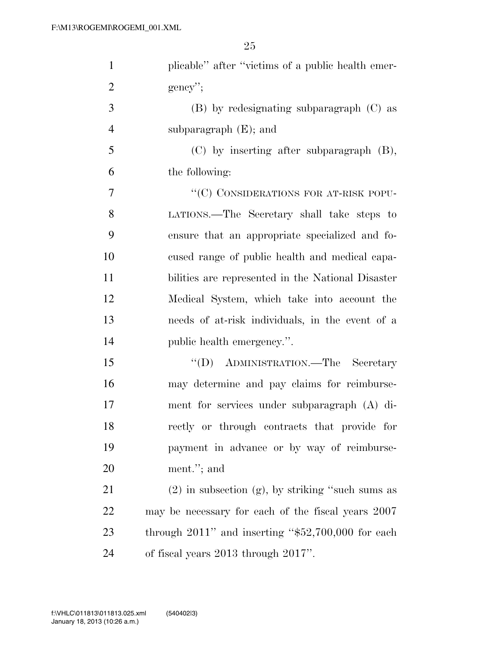| $\mathbf{1}$   | plicable" after "victims of a public health emer-       |
|----------------|---------------------------------------------------------|
| $\overline{2}$ | $gency$ ";                                              |
| 3              | (B) by redesignating subparagraph (C) as                |
| $\overline{4}$ | subparagraph $(E)$ ; and                                |
| 5              | $(C)$ by inserting after subparagraph $(B)$ ,           |
| 6              | the following:                                          |
| 7              | "(C) CONSIDERATIONS FOR AT-RISK POPU-                   |
| 8              | LATIONS.—The Secretary shall take steps to              |
| 9              | ensure that an appropriate specialized and fo-          |
| 10             | cused range of public health and medical capa-          |
| 11             | bilities are represented in the National Disaster       |
| 12             | Medical System, which take into account the             |
| 13             | needs of at-risk individuals, in the event of a         |
| 14             | public health emergency.".                              |
| 15             | "(D) ADMINISTRATION.—The Secretary                      |
| 16             | may determine and pay claims for reimburse-             |
| 17             | ment for services under subparagraph (A) di-            |
| 18             | rectly or through contracts that provide for            |
| 19             | payment in advance or by way of reimburse-              |
| 20             | ment."; and                                             |
| 21             | $(2)$ in subsection $(g)$ , by striking "such sums as   |
| 22             | may be necessary for each of the fiscal years 2007      |
| 23             | through $2011$ " and inserting " $$52,700,000$ for each |
| 24             | of fiscal years 2013 through 2017".                     |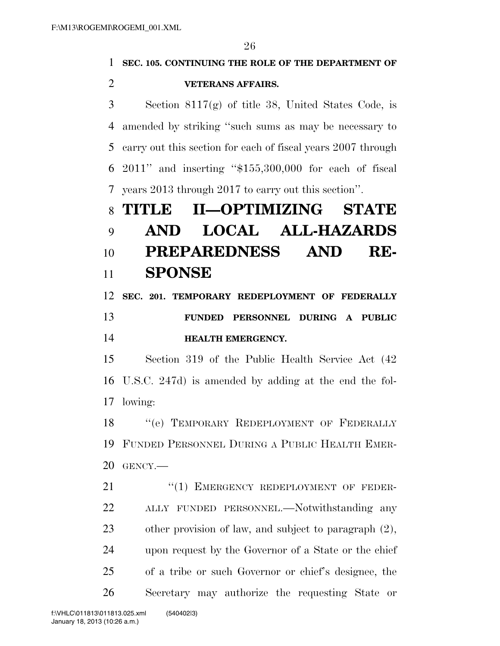$\Omega$ 

|                | 26                                                           |
|----------------|--------------------------------------------------------------|
| 1              | SEC. 105. CONTINUING THE ROLE OF THE DEPARTMENT OF           |
| $\overline{2}$ | <b>VETERANS AFFAIRS.</b>                                     |
| 3              | Section $8117(g)$ of title 38, United States Code, is        |
| 4              | amended by striking "such sums as may be necessary to        |
| 5              | carry out this section for each of fiscal years 2007 through |
| 6              | $2011$ " and inserting " $$155,300,000$ for each of fiscal   |
| 7              | years 2013 through 2017 to carry out this section".          |
| 8              | II-OPTIMIZING STATE<br>TITLE                                 |
| 9              | <b>LOCAL ALL-HAZARDS</b><br>AND                              |
| 10             | PREPAREDNESS AND<br>RE-                                      |
| 11             | <b>SPONSE</b>                                                |
| 12             | SEC. 201. TEMPORARY REDEPLOYMENT OF FEDERALLY                |
| 13             | FUNDED PERSONNEL DURING A PUBLIC                             |
| 14             | <b>HEALTH EMERGENCY.</b>                                     |
| 15             | Section 319 of the Public Health Service Act (42)            |
| 16             | U.S.C. 247d) is amended by adding at the end the fol-        |
|                | 17 lowing:                                                   |
| 18             | "(e) TEMPORARY REDEPLOYMENT OF FEDERALLY                     |
| 19             | FUNDED PERSONNEL DURING A PUBLIC HEALTH EMER-                |
| 20             | GENCY.-                                                      |
| 21             | "(1) EMERGENCY REDEPLOYMENT OF FEDER-                        |
| 22             | ALLY FUNDED PERSONNEL.—Notwithstanding any                   |
| 23             | other provision of law, and subject to paragraph $(2)$ ,     |
| 24             | upon request by the Governor of a State or the chief         |
| 25             | of a tribe or such Governor or chief's designee, the         |

Secretary may authorize the requesting State or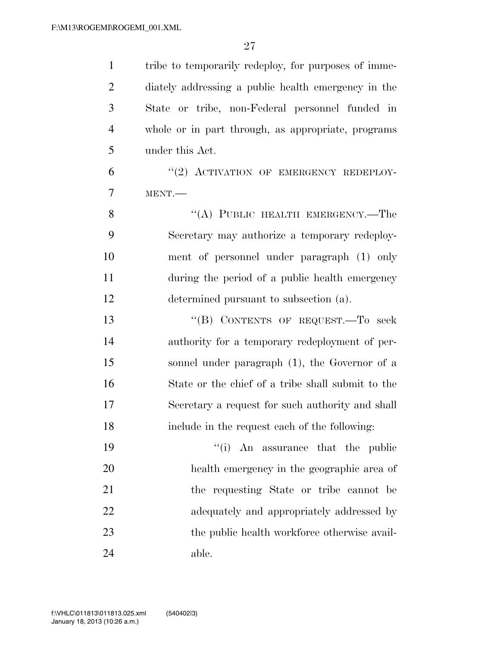| $\mathbf{1}$   | tribe to temporarily redeploy, for purposes of imme- |
|----------------|------------------------------------------------------|
| $\overline{2}$ | diately addressing a public health emergency in the  |
| 3              | State or tribe, non-Federal personnel funded in      |
| $\overline{4}$ | whole or in part through, as appropriate, programs   |
| 5              | under this Act.                                      |
| 6              | "(2) ACTIVATION OF EMERGENCY REDEPLOY-               |
| 7              | MENT.                                                |
| 8              | "(A) PUBLIC HEALTH EMERGENCY.—The                    |
| 9              | Secretary may authorize a temporary redeploy-        |
| 10             | ment of personnel under paragraph (1) only           |
| 11             | during the period of a public health emergency       |
| 12             | determined pursuant to subsection (a).               |
| 13             | "(B) CONTENTS OF REQUEST. To seek                    |
| 14             | authority for a temporary redeployment of per-       |
| 15             | sonnel under paragraph (1), the Governor of a        |
| 16             | State or the chief of a tribe shall submit to the    |
| 17             | Secretary a request for such authority and shall     |
| 18             | include in the request each of the following:        |
| 19             | "(i) An assurance that the public                    |
| 20             | health emergency in the geographic area of           |
| 21             | the requesting State or tribe cannot be              |
| 22             | adequately and appropriately addressed by            |
| 23             | the public health workforce otherwise avail-         |
| 24             | able.                                                |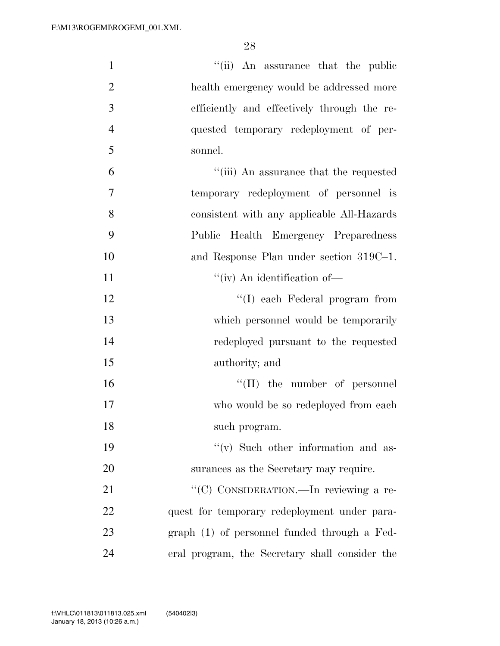| $\mathbf{1}$   | "(ii) An assurance that the public             |
|----------------|------------------------------------------------|
| $\overline{2}$ | health emergency would be addressed more       |
| 3              | efficiently and effectively through the re-    |
| $\overline{4}$ | quested temporary redeployment of per-         |
| 5              | sonnel.                                        |
| 6              | "(iii) An assurance that the requested         |
| $\overline{7}$ | temporary redeployment of personnel is         |
| 8              | consistent with any applicable All-Hazards     |
| 9              | Public Health Emergency Preparedness           |
| 10             | and Response Plan under section 319C-1.        |
| 11             | $``(iv)$ An identification of-                 |
| 12             | "(I) each Federal program from                 |
| 13             | which personnel would be temporarily           |
| 14             | redeployed pursuant to the requested           |
| 15             | authority; and                                 |
| 16             | $\lq\lq$ (II) the number of personnel          |
| 17             | who would be so redeployed from each           |
| 18             | such program.                                  |
| 19             | "(v) Such other information and as-            |
| 20             | surances as the Secretary may require.         |
| 21             | "(C) CONSIDERATION.—In reviewing a re-         |
| 22             | quest for temporary redeployment under para-   |
| 23             | graph (1) of personnel funded through a Fed-   |
| 24             | eral program, the Secretary shall consider the |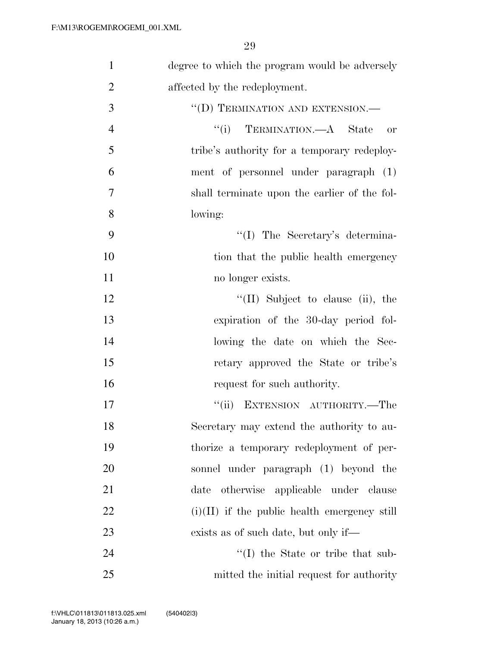| $\mathbf{1}$   | degree to which the program would be adversely |
|----------------|------------------------------------------------|
| $\overline{2}$ | affected by the redeployment.                  |
| 3              | "(D) TERMINATION AND EXTENSION.—               |
| $\overline{4}$ | "(i) TERMINATION.—A State<br>or                |
| 5              | tribe's authority for a temporary redeploy-    |
| 6              | ment of personnel under paragraph (1)          |
| 7              | shall terminate upon the earlier of the fol-   |
| 8              | lowing:                                        |
| 9              | "(I) The Secretary's determina-                |
| 10             | tion that the public health emergency          |
| 11             | no longer exists.                              |
| 12             | $\lq\lq$ (II) Subject to clause (ii), the      |
| 13             | expiration of the 30-day period fol-           |
| 14             | lowing the date on which the Sec-              |
| 15             | retary approved the State or tribe's           |
| 16             | request for such authority.                    |
| 17             | EXTENSION AUTHORITY.—The<br>``(ii)             |
| 18             | Secretary may extend the authority to au-      |
| 19             | thorize a temporary redeployment of per-       |
| 20             | sonnel under paragraph (1) beyond the          |
| 21             | date otherwise applicable under clause         |
| 22             | $(i)(II)$ if the public health emergency still |
| 23             | exists as of such date, but only if—           |
| 24             | $\lq\lq$ the State or tribe that sub-          |
| 25             | mitted the initial request for authority       |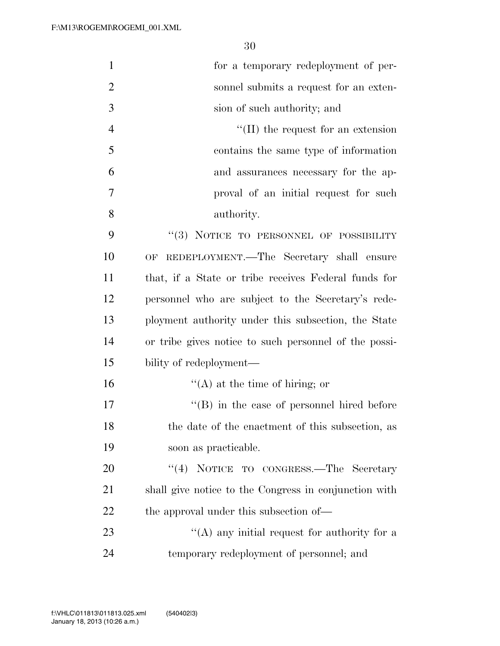| $\mathbf{1}$   | for a temporary redeployment of per-                  |
|----------------|-------------------------------------------------------|
| $\overline{2}$ | sonnel submits a request for an exten-                |
| 3              | sion of such authority; and                           |
| $\overline{4}$ | $\lq\lq$ (II) the request for an extension            |
| 5              | contains the same type of information                 |
| 6              | and assurances necessary for the ap-                  |
| 7              | proval of an initial request for such                 |
| 8              | authority.                                            |
| 9              | "(3) NOTICE TO PERSONNEL OF POSSIBILITY               |
| 10             | OF REDEPLOYMENT.—The Secretary shall ensure           |
| 11             | that, if a State or tribe receives Federal funds for  |
| 12             | personnel who are subject to the Secretary's rede-    |
| 13             | ployment authority under this subsection, the State   |
| 14             | or tribe gives notice to such personnel of the possi- |
| 15             | bility of redeployment-                               |
| 16             | $\lq\lq$ at the time of hiring; or                    |
| 17             | $\lq\lq (B)$ in the case of personnel hired before    |
| 18             | the date of the enactment of this subsection, as      |
| 19             | soon as practicable.                                  |
| 20             | "(4) NOTICE TO CONGRESS.—The Secretary                |
| 21             | shall give notice to the Congress in conjunction with |
| <u>22</u>      | the approval under this subsection of—                |
| 23             | "(A) any initial request for authority for a          |
| 24             | temporary redeployment of personnel; and              |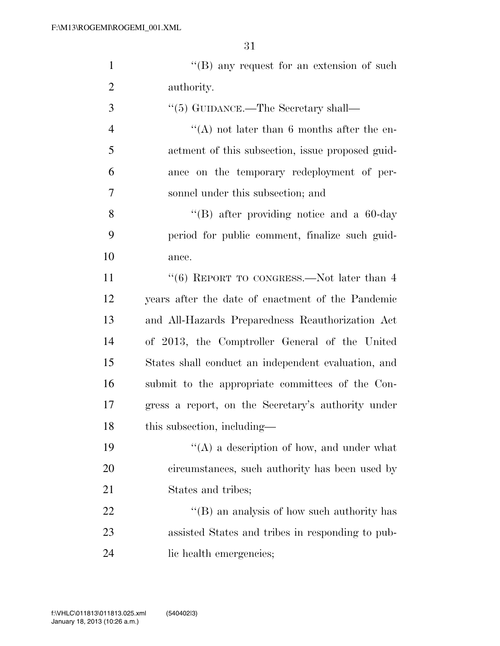|     | $\lq\lq (B)$ any request for an extension of such |
|-----|---------------------------------------------------|
| 2   | authority.                                        |
| - 3 | $\lq(5)$ GUIDANCE.—The Secretary shall—           |

 ''(A) not later than 6 months after the en- actment of this subsection, issue proposed guid- ance on the temporary redeployment of per-sonnel under this subsection; and

 ''(B) after providing notice and a 60-day period for public comment, finalize such guid-ance.

11 ''(6) REPORT TO CONGRESS.—Not later than 4 years after the date of enactment of the Pandemic and All-Hazards Preparedness Reauthorization Act of 2013, the Comptroller General of the United States shall conduct an independent evaluation, and submit to the appropriate committees of the Con- gress a report, on the Secretary's authority under 18 this subsection, including—

19  $"({\rm A})$  a description of how, and under what circumstances, such authority has been used by States and tribes;

22 "'(B) an analysis of how such authority has assisted States and tribes in responding to pub-lic health emergencies;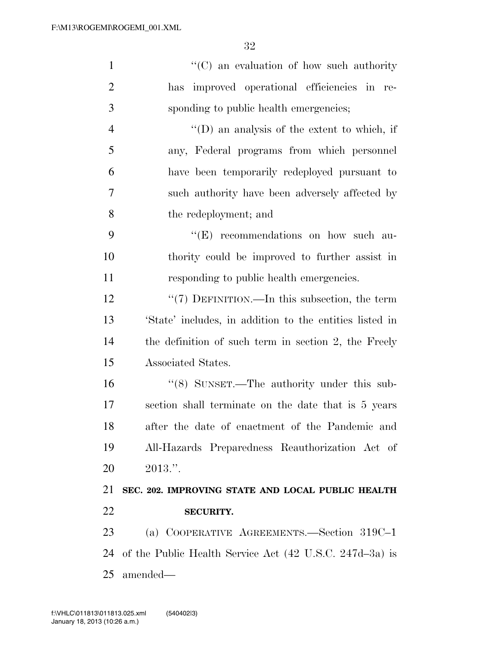| $\mathbf{1}$   | $\lq\lq$ (C) an evaluation of how such authority        |
|----------------|---------------------------------------------------------|
| $\overline{2}$ | improved operational efficiencies in re-<br>has         |
| 3              | sponding to public health emergencies;                  |
| $\overline{4}$ | $\lq\lq$ (D) an analysis of the extent to which, if     |
| 5              | any, Federal programs from which personnel              |
| 6              | have been temporarily redeployed pursuant to            |
| 7              | such authority have been adversely affected by          |
| 8              | the redeployment; and                                   |
| 9              | $\lq\lq(E)$ recommendations on how such au-             |
| 10             | thority could be improved to further assist in          |
| 11             | responding to public health emergencies.                |
| 12             | " $(7)$ DEFINITION.—In this subsection, the term        |
| 13             | 'State' includes, in addition to the entities listed in |
| 14             | the definition of such term in section 2, the Freely    |
| 15             | Associated States.                                      |
| 16             | $\cdot\cdot$ (8) SUNSET.—The authority under this sub-  |
| 17             | section shall terminate on the date that is 5 years     |
| 18             | after the date of enactment of the Pandemic and         |
| 19             | All-Hazards Preparedness Reauthorization Act of         |
| 20             | $2013."$ .                                              |
| 21             | SEC. 202. IMPROVING STATE AND LOCAL PUBLIC HEALTH       |
| 22             | <b>SECURITY.</b>                                        |
| 23             | (a) COOPERATIVE AGREEMENTS.—Section 319C-1              |
| 24             | of the Public Health Service Act (42 U.S.C. 247d-3a) is |
| 25             | amended—                                                |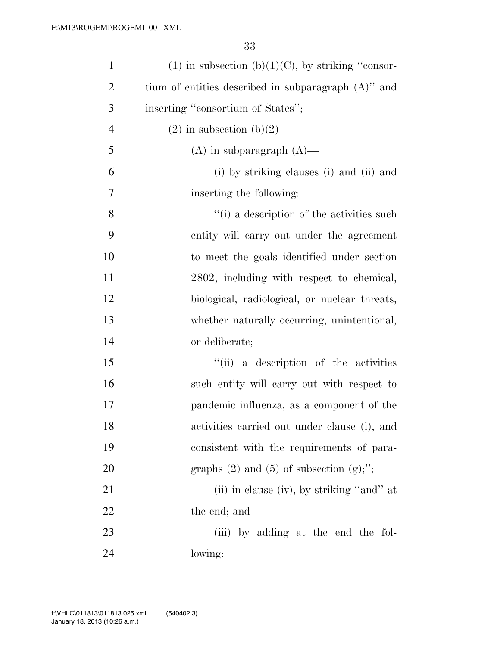| $\mathbf{1}$   | $(1)$ in subsection $(b)(1)(C)$ , by striking "consor- |
|----------------|--------------------------------------------------------|
| $\overline{2}$ | tium of entities described in subparagraph $(A)$ " and |
| 3              | inserting "consortium of States";                      |
| $\overline{4}$ | $(2)$ in subsection $(b)(2)$ —                         |
| 5              | $(A)$ in subparagraph $(A)$ —                          |
| 6              | (i) by striking clauses (i) and (ii) and               |
| 7              | inserting the following:                               |
| 8              | "(i) a description of the activities such              |
| 9              | entity will carry out under the agreement              |
| 10             | to meet the goals identified under section             |
| 11             | 2802, including with respect to chemical,              |
| 12             | biological, radiological, or nuclear threats,          |
| 13             | whether naturally occurring, unintentional,            |
| 14             | or deliberate;                                         |
| 15             | "(ii) a description of the activities                  |
| 16             | such entity will carry out with respect to             |
| 17             | pandemic influenza, as a component of the              |
| 18             | activities carried out under clause (i), and           |
| 19             | consistent with the requirements of para-              |
| 20             | graphs $(2)$ and $(5)$ of subsection $(g)$ ;";         |
| 21             | (ii) in clause (iv), by striking "and" at              |
| 22             | the end; and                                           |
| 23             | (iii) by adding at the end the fol-                    |
| 24             | lowing:                                                |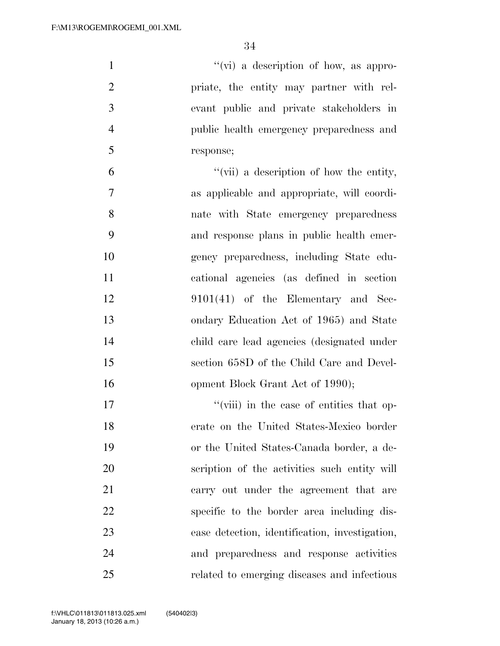''(vi) a description of how, as appro- priate, the entity may partner with rel- evant public and private stakeholders in public health emergency preparedness and response; ''(vii) a description of how the entity, as applicable and appropriate, will coordi-

 nate with State emergency preparedness and response plans in public health emer- gency preparedness, including State edu- cational agencies (as defined in section 9101(41) of the Elementary and Sec- ondary Education Act of 1965) and State child care lead agencies (designated under section 658D of the Child Care and Devel-16 opment Block Grant Act of 1990);

17 ''(viii) in the case of entities that op- erate on the United States-Mexico border or the United States-Canada border, a de- scription of the activities such entity will carry out under the agreement that are specific to the border area including dis- ease detection, identification, investigation, and preparedness and response activities related to emerging diseases and infectious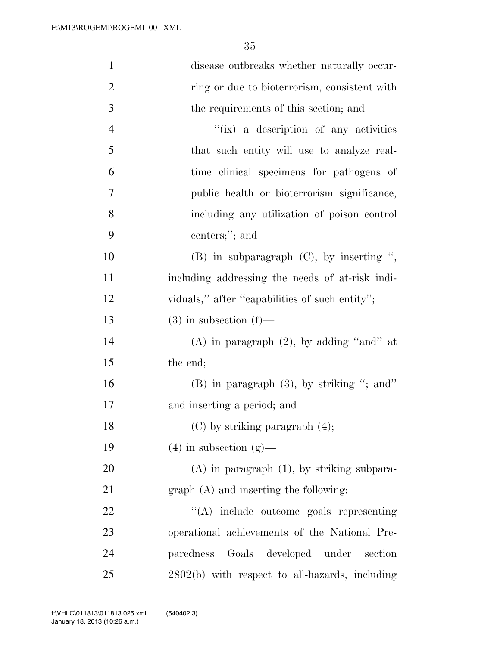| $\mathbf{1}$   | disease outbreaks whether naturally occur-       |
|----------------|--------------------------------------------------|
| $\overline{2}$ | ring or due to bioterrorism, consistent with     |
| 3              | the requirements of this section; and            |
| $\overline{4}$ | "(ix) a description of any activities            |
| 5              | that such entity will use to analyze real-       |
| 6              | time clinical specimens for pathogens of         |
| 7              | public health or bioterrorism significance,      |
| 8              | including any utilization of poison control      |
| 9              | centers;"; and                                   |
| 10             | (B) in subparagraph $(C)$ , by inserting ",      |
| 11             | including addressing the needs of at-risk indi-  |
| 12             | viduals," after "capabilities of such entity";   |
| 13             | $(3)$ in subsection $(f)$ —                      |
| 14             | (A) in paragraph $(2)$ , by adding "and" at      |
| 15             | the end;                                         |
| 16             | $(B)$ in paragraph $(3)$ , by striking "; and"   |
| 17             | and inserting a period; and                      |
| 18             | $(C)$ by striking paragraph $(4)$ ;              |
| 19             | $(4)$ in subsection $(g)$ —                      |
| 20             | $(A)$ in paragraph $(1)$ , by striking subpara-  |
| 21             | $graph(A)$ and inserting the following:          |
| 22             | $\lq\lq$ include outcome goals representing      |
| 23             | operational achievements of the National Pre-    |
| 24             | paredness Goals developed under<br>section       |
| 25             | $2802(b)$ with respect to all-hazards, including |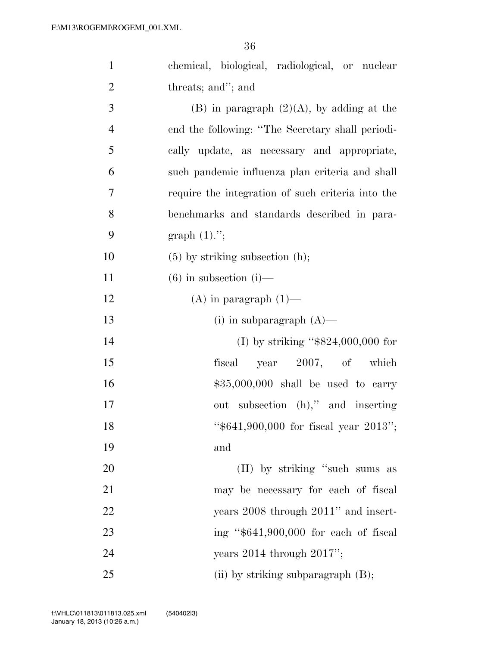| $\mathbf{1}$   | chemical, biological, radiological, or nuclear    |
|----------------|---------------------------------------------------|
| $\mathbf{2}$   | threats; and"; and                                |
| 3              | $(B)$ in paragraph $(2)(A)$ , by adding at the    |
| $\overline{4}$ | end the following: "The Secretary shall periodi-  |
| 5              | cally update, as necessary and appropriate,       |
| 6              | such pandemic influenza plan criteria and shall   |
| $\tau$         | require the integration of such criteria into the |
| 8              | benchmarks and standards described in para-       |
| 9              | graph $(1)$ .";                                   |
| 10             | $(5)$ by striking subsection $(h)$ ;              |
| 11             | $(6)$ in subsection $(i)$ —                       |
| 12             | $(A)$ in paragraph $(1)$ —                        |
| 13             | (i) in subparagraph $(A)$ —                       |
| 14             | (I) by striking " $$824,000,000$ for              |
| 15             | fiscal year 2007, of which                        |
| 16             | $$35,000,000$ shall be used to carry              |
| 17             | out subsection (h)," and inserting                |
| 18             | " $$641,900,000$ for fiscal year 2013";           |
| 19             | and                                               |
| 20             | (II) by striking "such sums as                    |
| 21             | may be necessary for each of fiscal               |
| 22             | years 2008 through 2011" and insert-              |
| 23             | ing " $$641,900,000$ for each of fiscal           |
| 24             | years $2014$ through $2017$ ";                    |
| 25             | (ii) by striking subparagraph $(B)$ ;             |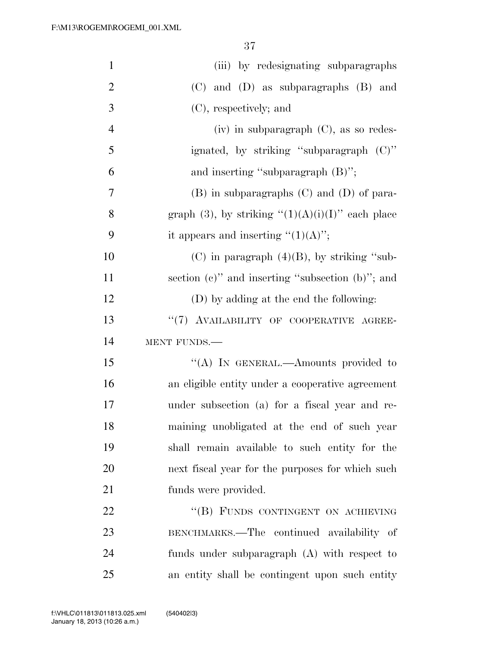| $\mathbf{1}$   | (iii) by redesignating subparagraphs                   |
|----------------|--------------------------------------------------------|
| $\overline{2}$ | (C) and (D) as subparagraphs (B) and                   |
| 3              | (C), respectively; and                                 |
| $\overline{4}$ | $(iv)$ in subparagraph $(C)$ , as so redes-            |
| 5              | ignated, by striking "subparagraph (C)"                |
| 6              | and inserting "subparagraph $(B)$ ";                   |
| $\overline{7}$ | $(B)$ in subparagraphs $(C)$ and $(D)$ of para-        |
| 8              | graph (3), by striking " $(1)(A)(i)(I)$ " each place   |
| 9              | it appears and inserting " $(1)(A)$ ";                 |
| 10             | $(C)$ in paragraph $(4)(B)$ , by striking "sub-        |
| 11             | section $(c)$ " and inserting "subsection $(b)$ "; and |
| 12             | (D) by adding at the end the following:                |
| 13             | "(7) AVAILABILITY OF COOPERATIVE AGREE-                |
| 14             | MENT FUNDS.                                            |
| 15             | "(A) IN GENERAL.—Amounts provided to                   |
| 16             | an eligible entity under a cooperative agreement       |
| 17             | under subsection (a) for a fiscal year and re-         |
| 18             | maining unobligated at the end of such year            |
| 19             | shall remain available to such entity for the          |
| 20             | next fiscal year for the purposes for which such       |
| 21             | funds were provided.                                   |
| 22             | "(B) FUNDS CONTINGENT ON ACHIEVING                     |
| 23             | BENCHMARKS.—The continued availability of              |
| 24             | funds under subparagraph $(A)$ with respect to         |
| 25             | an entity shall be contingent upon such entity         |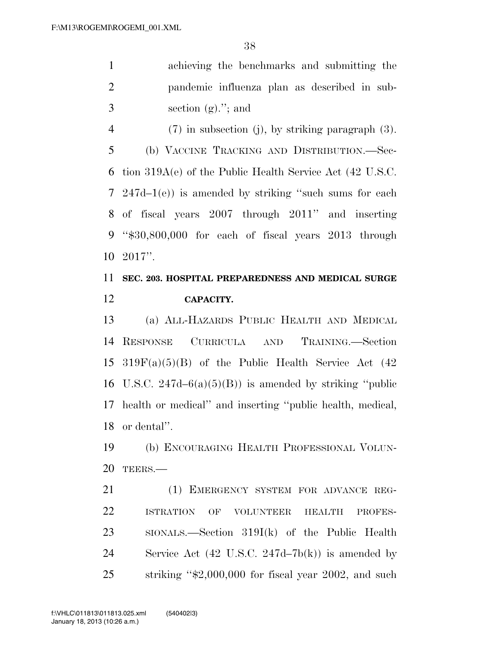|                | achieving the benchmarks and submitting the  |
|----------------|----------------------------------------------|
| $\overline{2}$ | pandemic influenza plan as described in sub- |
| -3             | section $(g)$ ."; and                        |

(7) in subsection (j), by striking paragraph (3).

 (b) VACCINE TRACKING AND DISTRIBUTION.—Sec- tion 319A(e) of the Public Health Service Act (42 U.S.C. 247d–1(e)) is amended by striking ''such sums for each of fiscal years 2007 through 2011'' and inserting ''\$30,800,000 for each of fiscal years 2013 through 2017''.

# **SEC. 203. HOSPITAL PREPAREDNESS AND MEDICAL SURGE CAPACITY.**

 (a) ALL-HAZARDS PUBLIC HEALTH AND MEDICAL RESPONSE CURRICULA AND TRAINING.—Section  $319F(a)(5)(B)$  of the Public Health Service Act (42) 16 U.S.C.  $247d-6(a)(5)(B)$  is amended by striking "public" health or medical'' and inserting ''public health, medical, or dental''.

 (b) ENCOURAGING HEALTH PROFESSIONAL VOLUN-TEERS.—

 (1) EMERGENCY SYSTEM FOR ADVANCE REG- ISTRATION OF VOLUNTEER HEALTH PROFES- SIONALS.—Section 319I(k) of the Public Health Service Act (42 U.S.C. 247d–7b(k)) is amended by striking ''\$2,000,000 for fiscal year 2002, and such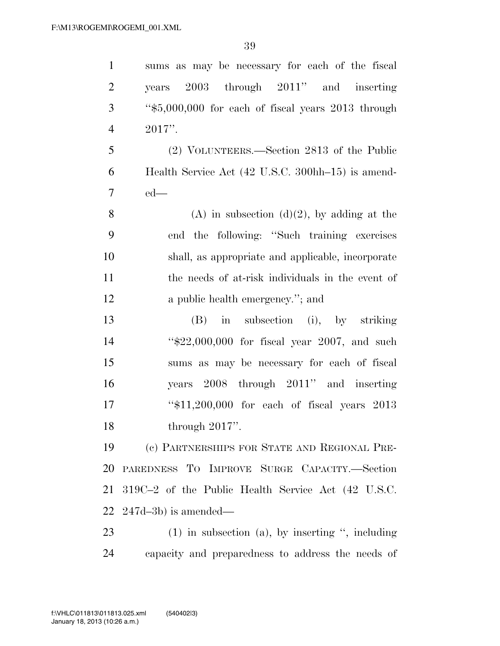sums as may be necessary for each of the fiscal years 2003 through 2011'' and inserting ''\$5,000,000 for each of fiscal years 2013 through 2017''. (2) VOLUNTEERS.—Section 2813 of the Public Health Service Act (42 U.S.C. 300hh–15) is amend- ed— 8 (A) in subsection  $(d)(2)$ , by adding at the end the following: ''Such training exercises shall, as appropriate and applicable, incorporate the needs of at-risk individuals in the event of 12 a public health emergency."; and (B) in subsection (i), by striking ''\$22,000,000 for fiscal year 2007, and such sums as may be necessary for each of fiscal years 2008 through 2011'' and inserting ''\$11,200,000 for each of fiscal years 2013 through 2017''. (c) PARTNERSHIPS FOR STATE AND REGIONAL PRE- PAREDNESS TO IMPROVE SURGE CAPACITY.—Section 319C–2 of the Public Health Service Act (42 U.S.C. 247d–3b) is amended— (1) in subsection (a), by inserting '', including capacity and preparedness to address the needs of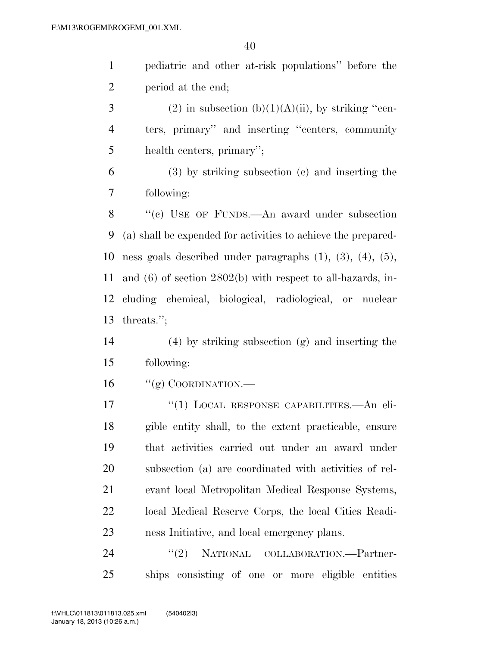pediatric and other at-risk populations'' before the period at the end;

3 (2) in subsection (b)(1)(A)(ii), by striking "cen- ters, primary'' and inserting ''centers, community health centers, primary'';

 (3) by striking subsection (c) and inserting the following:

 ''(c) USE OF FUNDS.—An award under subsection (a) shall be expended for activities to achieve the prepared- ness goals described under paragraphs (1), (3), (4), (5), and (6) of section 2802(b) with respect to all-hazards, in- cluding chemical, biological, radiological, or nuclear threats.'';

 (4) by striking subsection (g) and inserting the following:

"(g) COORDINATION.—

17 <sup>"</sup>(1) LOCAL RESPONSE CAPABILITIES.—An eli- gible entity shall, to the extent practicable, ensure that activities carried out under an award under subsection (a) are coordinated with activities of rel- evant local Metropolitan Medical Response Systems, local Medical Reserve Corps, the local Cities Readi-ness Initiative, and local emergency plans.

24 "(2) NATIONAL COLLABORATION.—Partner-ships consisting of one or more eligible entities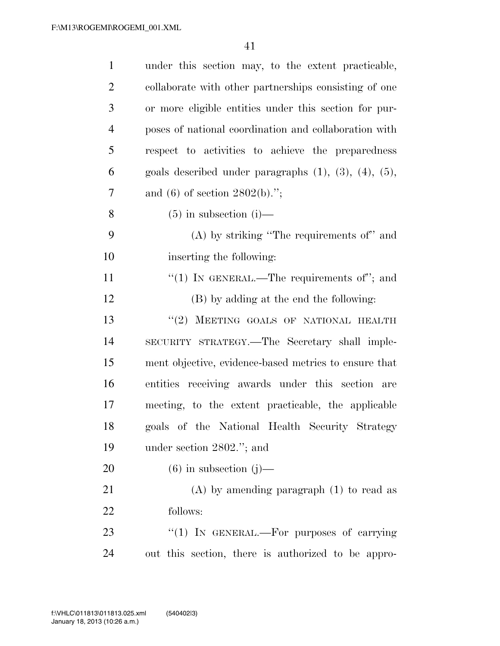| $\mathbf{1}$   | under this section may, to the extent practicable,               |
|----------------|------------------------------------------------------------------|
| $\overline{2}$ | collaborate with other partnerships consisting of one            |
| 3              | or more eligible entities under this section for pur-            |
| $\overline{4}$ | poses of national coordination and collaboration with            |
| 5              | respect to activities to achieve the preparedness                |
| 6              | goals described under paragraphs $(1)$ , $(3)$ , $(4)$ , $(5)$ , |
| 7              | and (6) of section $2802(b)$ .";                                 |
| $8\,$          | $(5)$ in subsection (i)—                                         |
| 9              | $(A)$ by striking "The requirements of" and                      |
| 10             | inserting the following:                                         |
| 11             | "(1) IN GENERAL.—The requirements of"; and                       |
| 12             | (B) by adding at the end the following:                          |
| 13             | "(2) MEETING GOALS OF NATIONAL HEALTH                            |
| 14             | SECURITY STRATEGY.—The Secretary shall imple-                    |
| 15             | ment objective, evidence-based metrics to ensure that            |
| 16             | entities receiving awards under this section<br>are              |
| 17             | meeting, to the extent practicable, the applicable               |
| 18             | goals of the National Health Security Strategy                   |
| 19             | under section 2802."; and                                        |
| 20             | $(6)$ in subsection $(j)$ —                                      |
| 21             | $(A)$ by amending paragraph $(1)$ to read as                     |
| 22             | follows:                                                         |
| 23             | "(1) IN GENERAL.—For purposes of carrying                        |
| 24             | out this section, there is authorized to be appro-               |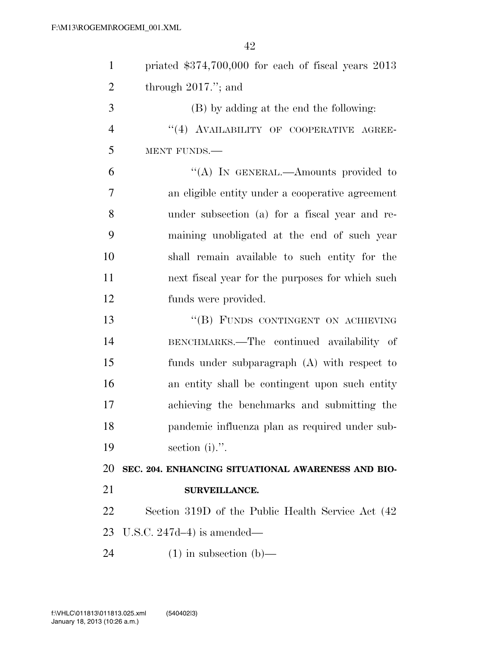| $\mathbf{1}$   | priated $$374,700,000$ for each of fiscal years $2013$ |
|----------------|--------------------------------------------------------|
| $\overline{2}$ | through $2017$ ."; and                                 |
| 3              | (B) by adding at the end the following:                |
| $\overline{4}$ | "(4) AVAILABILITY OF COOPERATIVE AGREE-                |
| 5              | MENT FUNDS.                                            |
| 6              | "(A) IN GENERAL.—Amounts provided to                   |
| 7              | an eligible entity under a cooperative agreement       |
| 8              | under subsection (a) for a fiscal year and re-         |
| 9              | maining unobligated at the end of such year            |
| 10             | shall remain available to such entity for the          |
| 11             | next fiscal year for the purposes for which such       |
| 12             | funds were provided.                                   |
| 13             | "(B) FUNDS CONTINGENT ON ACHIEVING                     |
| 14             | BENCHMARKS.—The continued availability of              |
| 15             | funds under subparagraph (A) with respect to           |
| 16             | an entity shall be contingent upon such entity         |
| 17             | achieving the benchmarks and submitting the            |
| 18             | pandemic influenza plan as required under sub-         |
| 19             | section $(i)$ .".                                      |
| 20             | SEC. 204. ENHANCING SITUATIONAL AWARENESS AND BIO-     |
| 21             | SURVEILLANCE.                                          |
| 22             | Section 319D of the Public Health Service Act (42)     |
| 23             | U.S.C. $247d-4$ ) is amended—                          |
| 24             | $(1)$ in subsection $(b)$ —                            |
|                |                                                        |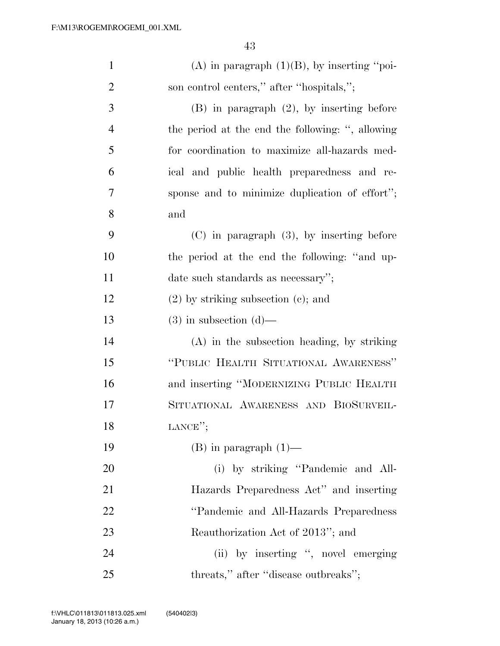| $\mathbf{1}$   | (A) in paragraph $(1)(B)$ , by inserting "poi-   |
|----------------|--------------------------------------------------|
| $\overline{2}$ | son control centers," after "hospitals,";        |
| 3              | $(B)$ in paragraph $(2)$ , by inserting before   |
| $\overline{4}$ | the period at the end the following: ", allowing |
| 5              | for coordination to maximize all-hazards med-    |
| 6              | ical and public health preparedness and re-      |
| 7              | sponse and to minimize duplication of effort";   |
| 8              | and                                              |
| 9              | $(C)$ in paragraph $(3)$ , by inserting before   |
| 10             | the period at the end the following: "and up-    |
| 11             | date such standards as necessary";               |
| 12             | $(2)$ by striking subsection $(e)$ ; and         |
| 13             | $(3)$ in subsection $(d)$ —                      |
| 14             | (A) in the subsection heading, by striking       |
| 15             | "PUBLIC HEALTH SITUATIONAL AWARENESS"            |
| 16             | and inserting "MODERNIZING PUBLIC HEALTH         |
| 17             | SITUATIONAL AWARENESS AND BIOSURVEIL-            |
| 18             | LANCE";                                          |
| 19             | $(B)$ in paragraph $(1)$ —                       |
| 20             | (i) by striking "Pandemic and All-               |
| 21             | Hazards Preparedness Act" and inserting          |
| 22             | "Pandemic and All-Hazards Preparedness           |
| 23             | Reauthorization Act of 2013"; and                |
| 24             | (ii) by inserting ", novel emerging              |
| 25             | threats," after "disease outbreaks";             |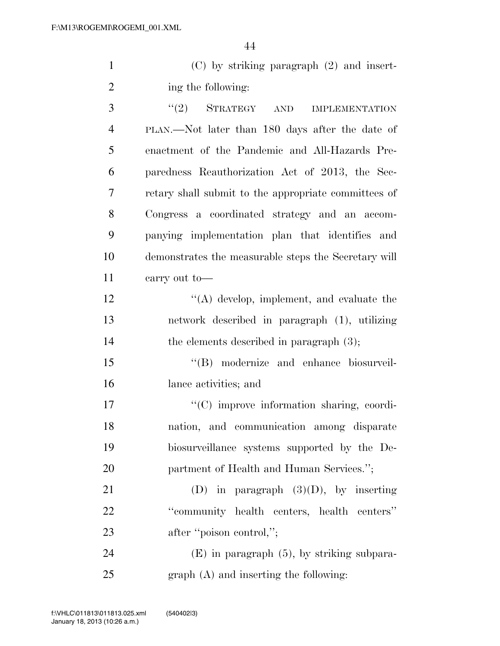1 (C) by striking paragraph (2) and insert-2 ing the following:

3 "(2) STRATEGY AND IMPLEMENTATION PLAN.—Not later than 180 days after the date of enactment of the Pandemic and All-Hazards Pre- paredness Reauthorization Act of 2013, the Sec- retary shall submit to the appropriate committees of Congress a coordinated strategy and an accom- panying implementation plan that identifies and demonstrates the measurable steps the Secretary will carry out to—

12 ''(A) develop, implement, and evaluate the 13 network described in paragraph (1), utilizing 14 the elements described in paragraph  $(3)$ ;

15 "(B) modernize and enhance biosurveil-16 lance activities; and

 $\langle \text{C}(\text{C}) \rangle$  improve information sharing, coordi- nation, and communication among disparate biosurveillance systems supported by the De-20 partment of Health and Human Services.";

21 (D) in paragraph  $(3)(D)$ , by inserting 22 ''community health centers, health centers'' 23 after "poison control,";

24 (E) in paragraph (5), by striking subpara-25 graph (A) and inserting the following: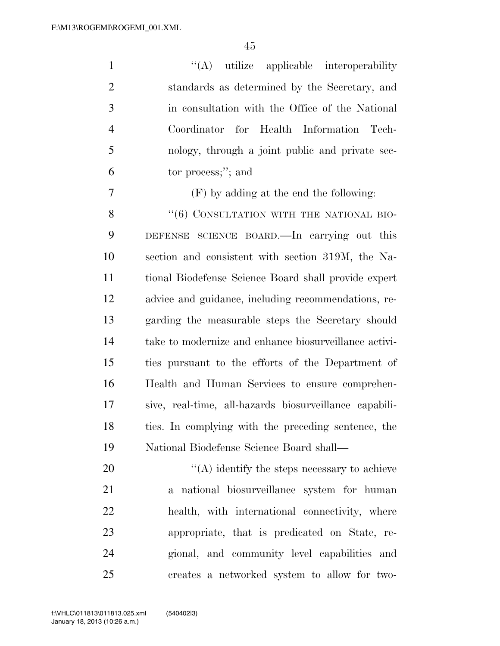$\langle (A)$  utilize applicable interoperability standards as determined by the Secretary, and in consultation with the Office of the National Coordinator for Health Information Tech- nology, through a joint public and private sec-tor process;''; and

(F) by adding at the end the following:

8 "(6) CONSULTATION WITH THE NATIONAL BIO- DEFENSE SCIENCE BOARD.—In carrying out this section and consistent with section 319M, the Na- tional Biodefense Science Board shall provide expert advice and guidance, including recommendations, re- garding the measurable steps the Secretary should take to modernize and enhance biosurveillance activi- ties pursuant to the efforts of the Department of Health and Human Services to ensure comprehen- sive, real-time, all-hazards biosurveillance capabili- ties. In complying with the preceding sentence, the National Biodefense Science Board shall—

 ''(A) identify the steps necessary to achieve a national biosurveillance system for human health, with international connectivity, where appropriate, that is predicated on State, re- gional, and community level capabilities and creates a networked system to allow for two-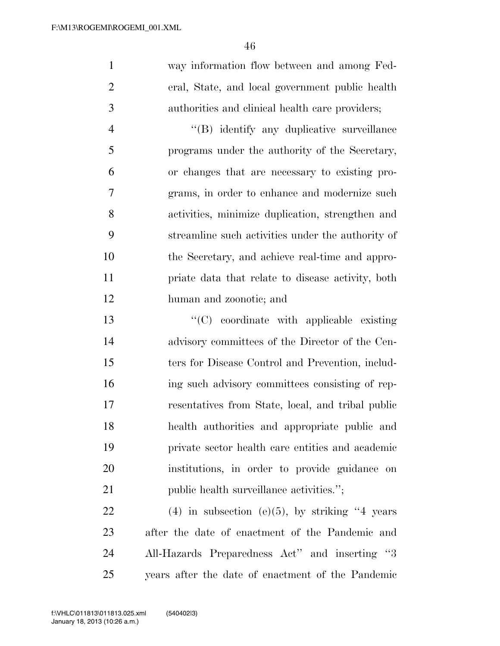way information flow between and among Fed- eral, State, and local government public health authorities and clinical health care providers;

 $\langle$  (B) identify any duplicative surveillance programs under the authority of the Secretary, or changes that are necessary to existing pro- grams, in order to enhance and modernize such activities, minimize duplication, strengthen and streamline such activities under the authority of the Secretary, and achieve real-time and appro- priate data that relate to disease activity, both human and zoonotic; and

 ''(C) coordinate with applicable existing advisory committees of the Director of the Cen- ters for Disease Control and Prevention, includ- ing such advisory committees consisting of rep- resentatives from State, local, and tribal public health authorities and appropriate public and private sector health care entities and academic institutions, in order to provide guidance on 21 public health surveillance activities.";

22 (4) in subsection (e)(5), by striking years after the date of enactment of the Pandemic and All-Hazards Preparedness Act'' and inserting ''3 years after the date of enactment of the Pandemic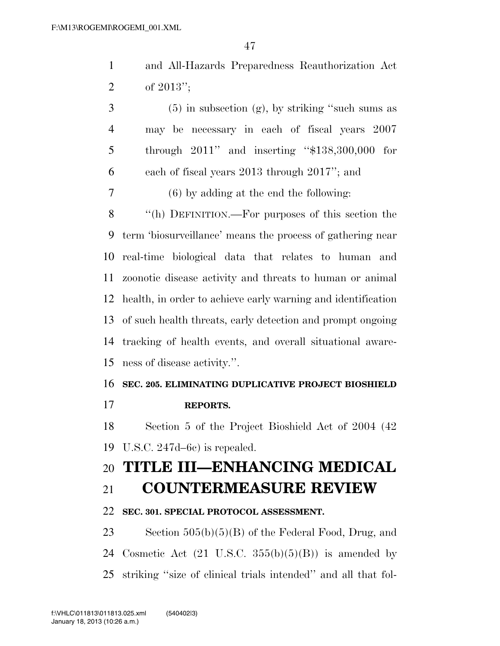| and All-Hazards Preparedness Reauthorization Act |  |  |
|--------------------------------------------------|--|--|
| 2 of $2013"$ ;                                   |  |  |

 $3 \t\t (5)$  in subsection (g), by striking "such sums as may be necessary in each of fiscal years 2007 through 2011'' and inserting ''\$138,300,000 for each of fiscal years 2013 through 2017''; and (6) by adding at the end the following: ''(h) DEFINITION.—For purposes of this section the term 'biosurveillance' means the process of gathering near real-time biological data that relates to human and zoonotic disease activity and threats to human or animal health, in order to achieve early warning and identification of such health threats, early detection and prompt ongoing tracking of health events, and overall situational aware-ness of disease activity.''.

## **SEC. 205. ELIMINATING DUPLICATIVE PROJECT BIOSHIELD**

**REPORTS.** 

 Section 5 of the Project Bioshield Act of 2004 (42 U.S.C. 247d–6c) is repealed.

# **TITLE III—ENHANCING MEDICAL**

# **COUNTERMEASURE REVIEW**

## **SEC. 301. SPECIAL PROTOCOL ASSESSMENT.**

 Section 505(b)(5)(B) of the Federal Food, Drug, and 24 Cosmetic Act  $(21 \text{ U.S.C. } 355(b)(5)(B))$  is amended by striking ''size of clinical trials intended'' and all that fol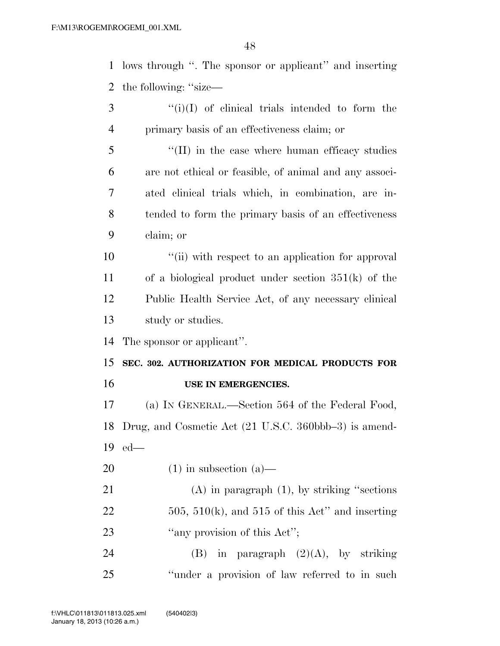lows through ''. The sponsor or applicant'' and inserting the following: ''size— ''(i)(I) of clinical trials intended to form the primary basis of an effectiveness claim; or

5 "(II) in the case where human efficacy studies are not ethical or feasible, of animal and any associ- ated clinical trials which, in combination, are in- tended to form the primary basis of an effectiveness claim; or

 $\frac{1}{10}$  ii) with respect to an application for approval of a biological product under section 351(k) of the Public Health Service Act, of any necessary clinical study or studies.

The sponsor or applicant''.

 **SEC. 302. AUTHORIZATION FOR MEDICAL PRODUCTS FOR USE IN EMERGENCIES.** 

 (a) IN GENERAL.—Section 564 of the Federal Food, Drug, and Cosmetic Act (21 U.S.C. 360bbb–3) is amend-ed—

20  $(1)$  in subsection  $(a)$ —

 (A) in paragraph (1), by striking ''sections 22  $505, 510(k)$ , and  $515$  of this Act" and inserting 23 "any provision of this Act";

24 (B) in paragraph  $(2)(A)$ , by striking ''under a provision of law referred to in such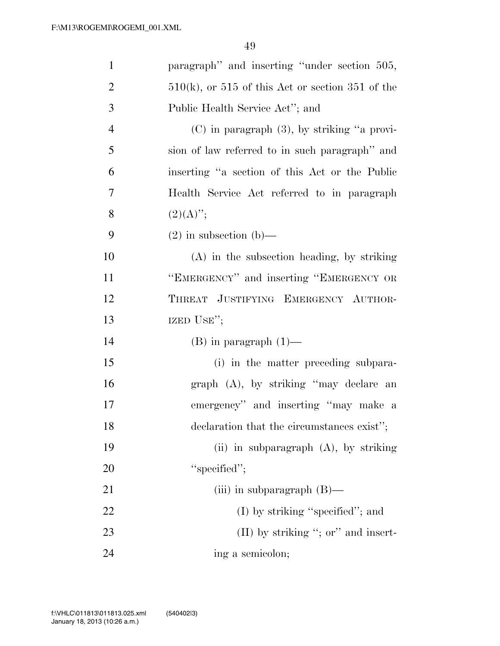| $\mathbf{1}$   | paragraph" and inserting "under section 505,          |
|----------------|-------------------------------------------------------|
| $\overline{2}$ | $510(k)$ , or $515$ of this Act or section 351 of the |
| 3              | Public Health Service Act"; and                       |
| $\overline{4}$ | $(C)$ in paragraph $(3)$ , by striking "a provi-      |
| 5              | sion of law referred to in such paragraph" and        |
| 6              | inserting "a section of this Act or the Public        |
| $\overline{7}$ | Health Service Act referred to in paragraph           |
| 8              | $(2)(A)$ ";                                           |
| 9              | $(2)$ in subsection $(b)$ —                           |
| 10             | (A) in the subsection heading, by striking            |
| 11             | "EMERGENCY" and inserting "EMERGENCY OR               |
| 12             | THREAT JUSTIFYING EMERGENCY AUTHOR-                   |
| 13             | IZED USE";                                            |
| 14             | $(B)$ in paragraph $(1)$ —                            |
| 15             | (i) in the matter preceding subpara-                  |
| 16             | graph (A), by striking "may declare an                |
| 17             | emergency" and inserting "may make a                  |
| 18             | declaration that the circumstances exist";            |
| 19             | (ii) in subparagraph $(A)$ , by striking              |
| 20             | "specified";                                          |
| 21             | (iii) in subparagraph $(B)$ —                         |
| 22             | $(I)$ by striking "specified"; and                    |
| 23             | $(II)$ by striking "; or" and insert-                 |
| 24             | ing a semicolon;                                      |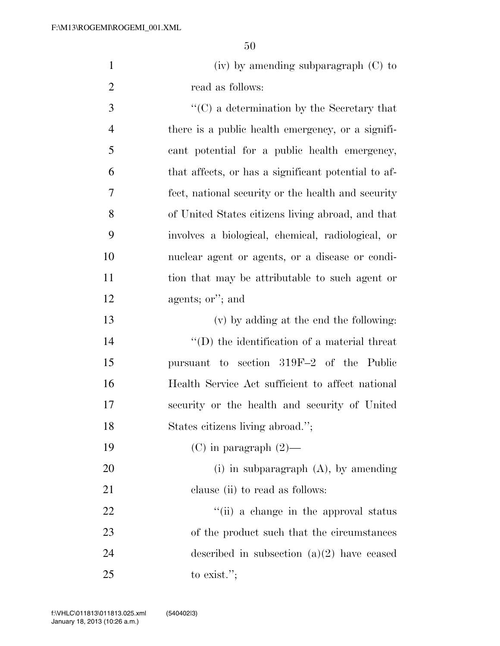| $(iv)$ by amending subparagraph $(C)$ to |
|------------------------------------------|
| read as follows:                         |

 ''(C) a determination by the Secretary that there is a public health emergency, or a signifi- cant potential for a public health emergency, that affects, or has a significant potential to af- fect, national security or the health and security of United States citizens living abroad, and that involves a biological, chemical, radiological, or nuclear agent or agents, or a disease or condi- tion that may be attributable to such agent or agents; or''; and

 (v) by adding at the end the following:  $\langle (D)$  the identification of a material threat pursuant to section 319F–2 of the Public Health Service Act sufficient to affect national security or the health and security of United States citizens living abroad.'';

19 (C) in paragraph  $(2)$ —

 (i) in subparagraph (A), by amending 21 clause (ii) to read as follows:

22 ''(ii) a change in the approval status 23 of the product such that the circumstances described in subsection (a)(2) have ceased to exist.'';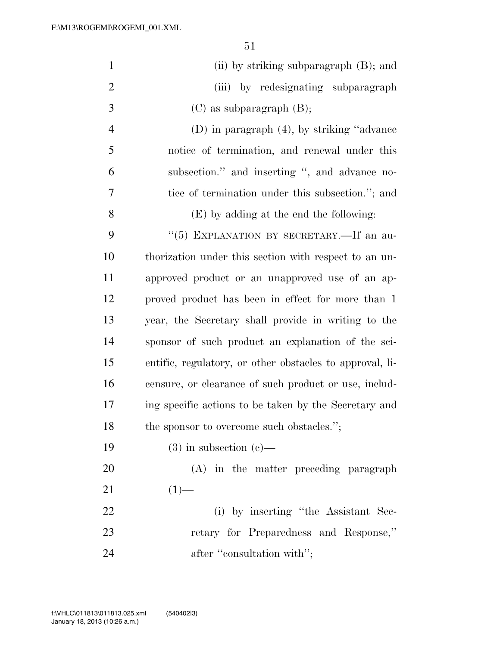| $\mathbf{1}$   | (ii) by striking subparagraph (B); and                   |
|----------------|----------------------------------------------------------|
| $\overline{2}$ | (iii) by redesignating subparagraph                      |
| 3              | $(C)$ as subparagraph $(B)$ ;                            |
| 4              | $(D)$ in paragraph $(4)$ , by striking "advance"         |
| 5              | notice of termination, and renewal under this            |
| 6              | subsection." and inserting ", and advance no-            |
| 7              | tice of termination under this subsection."; and         |
| 8              | (E) by adding at the end the following:                  |
| 9              | "(5) EXPLANATION BY SECRETARY.—If an au-                 |
| 10             | thorization under this section with respect to an un-    |
| 11             | approved product or an unapproved use of an ap-          |
| 12             | proved product has been in effect for more than 1        |
| 13             | year, the Secretary shall provide in writing to the      |
| 14             | sponsor of such product an explanation of the sci-       |
| 15             | entific, regulatory, or other obstacles to approval, li- |
| 16             | censure, or clearance of such product or use, includ-    |
| 17             | ing specific actions to be taken by the Secretary and    |
| 18             | the sponsor to overcome such obstacles.";                |
| 19             | $(3)$ in subsection $(e)$ —                              |
| 20             | (A) in the matter preceding paragraph                    |
| 21             | $(1)$ —                                                  |
| 22             | (i) by inserting "the Assistant Sec-                     |
| 23             | retary for Preparedness and Response,"                   |
| 24             | after "consultation with";                               |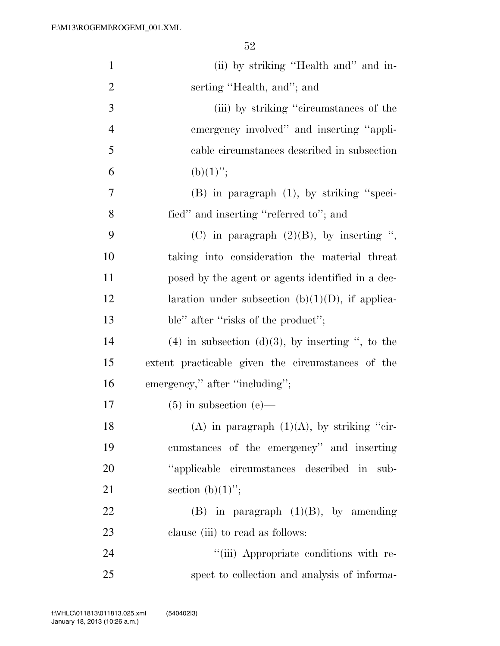| $\mathbf{1}$   | (ii) by striking "Health and" and in-                 |
|----------------|-------------------------------------------------------|
| $\overline{2}$ | serting "Health, and"; and                            |
| 3              | (iii) by striking "circumstances of the               |
| $\overline{4}$ | emergency involved" and inserting "appli-             |
| 5              | cable circumstances described in subsection           |
| 6              | $(b)(1)$ ";                                           |
| 7              | $(B)$ in paragraph $(1)$ , by striking "speci-        |
| 8              | fied" and inserting "referred to"; and                |
| 9              | (C) in paragraph $(2)(B)$ , by inserting ",           |
| 10             | taking into consideration the material threat         |
| 11             | posed by the agent or agents identified in a dec-     |
| 12             | laration under subsection (b) $(1)(D)$ , if applica-  |
| 13             | ble" after "risks of the product";                    |
| 14             | $(4)$ in subsection $(d)(3)$ , by inserting ", to the |
| 15             | extent practicable given the circumstances of the     |
| 16             | emergency," after "including";                        |
| 17             | $(5)$ in subsection $(e)$ —                           |
| 18             | (A) in paragraph $(1)(A)$ , by striking "cir-         |
| 19             | cumstances of the emergency" and inserting            |
| 20             | "applicable circumstances described in sub-           |
| 21             | section $(b)(1)$ ";                                   |
| 22             | $(B)$ in paragraph $(1)(B)$ , by amending             |
| 23             | clause (iii) to read as follows:                      |
| 24             | "(iii) Appropriate conditions with re-                |
| 25             | spect to collection and analysis of informa-          |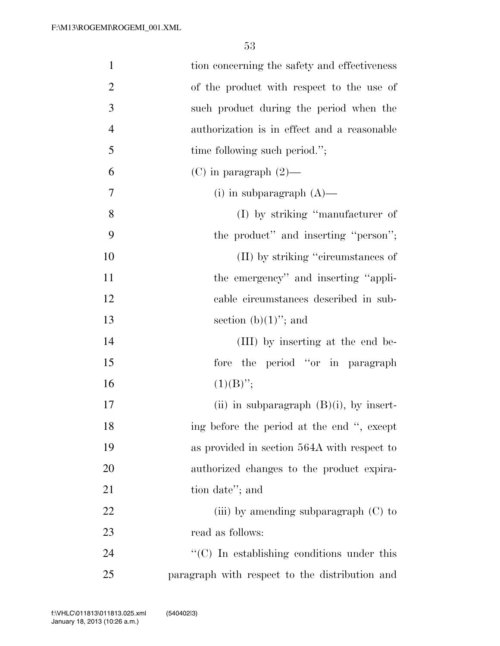| $\mathbf{1}$   | tion concerning the safety and effectiveness                    |
|----------------|-----------------------------------------------------------------|
| $\overline{2}$ | of the product with respect to the use of                       |
| 3              | such product during the period when the                         |
| $\overline{4}$ | authorization is in effect and a reasonable                     |
| 5              | time following such period.";                                   |
| 6              | $(C)$ in paragraph $(2)$ —                                      |
| 7              | (i) in subparagraph $(A)$ —                                     |
| 8              | (I) by striking "manufacturer of                                |
| 9              | the product" and inserting "person";                            |
| 10             | (II) by striking "circumstances of                              |
| 11             | the emergency" and inserting "appli-                            |
| 12             | cable circumstances described in sub-                           |
| 13             | section $(b)(1)$ "; and                                         |
| 14             | (III) by inserting at the end be-                               |
| 15             | fore the period "or in paragraph                                |
| 16             | $(1)(B)$ ";                                                     |
| 17             | (ii) in subparagraph $(B)(i)$ , by insert-                      |
| 18             | ing before the period at the end ", except                      |
| 19             | as provided in section 564A with respect to                     |
| 20             | authorized changes to the product expira-                       |
| 21             | tion date"; and                                                 |
| 22             | (iii) by amending subparagraph $(C)$ to                         |
| 23             | read as follows:                                                |
| 24             | $\lq\lq$ <sup>c</sup> (C) In establishing conditions under this |
| 25             | paragraph with respect to the distribution and                  |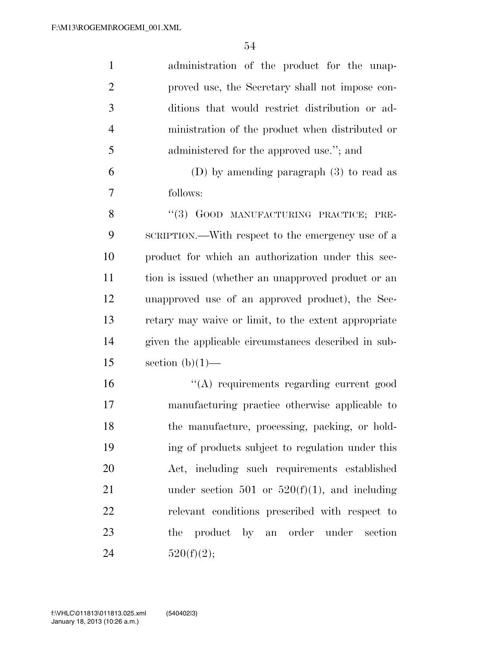| $\mathbf{1}$   | administration of the product for the unap-          |
|----------------|------------------------------------------------------|
| $\overline{2}$ | proved use, the Secretary shall not impose con-      |
| 3              | ditions that would restrict distribution or ad-      |
| $\overline{4}$ | ministration of the product when distributed or      |
| 5              | administered for the approved use."; and             |
| 6              | $(D)$ by amending paragraph $(3)$ to read as         |
| 7              | follows:                                             |
| 8              | "(3) GOOD MANUFACTURING PRACTICE; PRE-               |
| 9              | SCRIPTION.—With respect to the emergency use of a    |
| 10             | product for which an authorization under this sec-   |
| 11             | tion is issued (whether an unapproved product or an  |
| 12             | unapproved use of an approved product), the Sec-     |
| 13             | retary may waive or limit, to the extent appropriate |
| 14             | given the applicable circumstances described in sub- |
| 15             | section $(b)(1)$ —                                   |
| 16             | "(A) requirements regarding current good             |
| 17             | manufacturing practice otherwise applicable to       |
| 18             | the manufacture, processing, packing, or hold-       |
| 19             | ing of products subject to regulation under this     |
| 20             | Act, including such requirements established         |
| 21             | under section 501 or $520(f)(1)$ , and including     |
| 22             | relevant conditions prescribed with respect to       |
| 23             | the product by an order under<br>section             |
| 24             | 520(f)(2);                                           |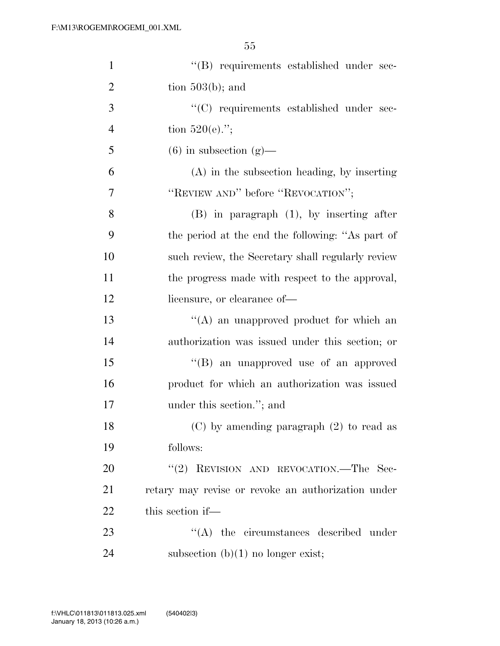| $\mathbf{1}$   | "(B) requirements established under sec-           |
|----------------|----------------------------------------------------|
| $\overline{2}$ | tion $503(b)$ ; and                                |
| 3              | "(C) requirements established under sec-           |
| $\overline{4}$ | tion $520(e)$ .";                                  |
| 5              | $(6)$ in subsection $(g)$ —                        |
| 6              | $(A)$ in the subsection heading, by inserting      |
| 7              | "REVIEW AND" before "REVOCATION";                  |
| 8              | $(B)$ in paragraph $(1)$ , by inserting after      |
| 9              | the period at the end the following: "As part of   |
| 10             | such review, the Secretary shall regularly review  |
| 11             | the progress made with respect to the approval,    |
| 12             | licensure, or clearance of—                        |
| 13             | $\lq\lq$ an unapproved product for which an        |
| 14             | authorization was issued under this section; or    |
| 15             | "(B) an unapproved use of an approved              |
| 16             | product for which an authorization was issued      |
| 17             | under this section."; and                          |
| 18             | $(C)$ by amending paragraph $(2)$ to read as       |
| 19             | follows:                                           |
| 20             | "(2) REVISION AND REVOCATION.—The Sec-             |
| 21             | retary may revise or revoke an authorization under |
| 22             | this section if—                                   |
| 23             | $\lq\lq$ the circumstances described under         |
| 24             | subsection $(b)(1)$ no longer exist;               |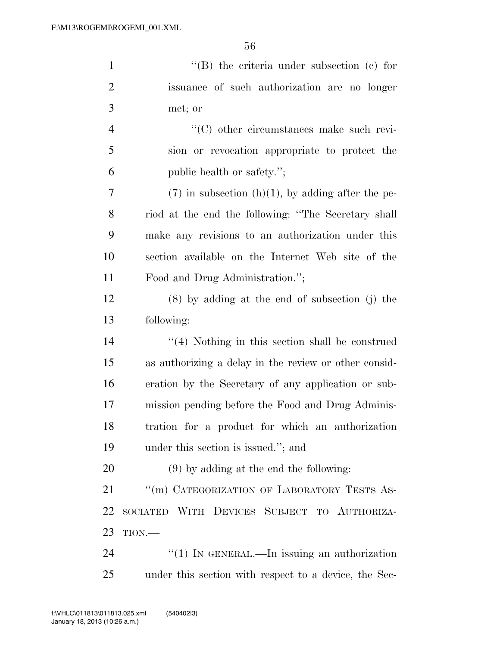| $\mathbf{1}$   | $\lq\lq$ the criteria under subsection (c) for        |
|----------------|-------------------------------------------------------|
| $\overline{2}$ | issuance of such authorization are no longer          |
| 3              | met; or                                               |
| $\overline{4}$ | "(C) other circumstances make such revi-              |
| 5              | sion or revocation appropriate to protect the         |
| 6              | public health or safety.";                            |
| 7              | $(7)$ in subsection (h)(1), by adding after the pe-   |
| 8              | riod at the end the following: "The Secretary shall   |
| 9              | make any revisions to an authorization under this     |
| 10             | section available on the Internet Web site of the     |
| 11             | Food and Drug Administration.";                       |
| 12             | $(8)$ by adding at the end of subsection $(j)$ the    |
| 13             | following:                                            |
| 14             | $\lq(4)$ Nothing in this section shall be construed   |
| 15             | as authorizing a delay in the review or other consid- |
| 16             | eration by the Secretary of any application or sub-   |
| 17             | mission pending before the Food and Drug Adminis-     |
| 18             | tration for a product for which an authorization      |
| 19             | under this section is issued."; and                   |
| 20             | $(9)$ by adding at the end the following:             |
| 21             | "(m) CATEGORIZATION OF LABORATORY TESTS AS-           |
| 22             | SOCIATED WITH DEVICES SUBJECT TO AUTHORIZA-           |
| 23             | $TION$ .                                              |
| 24             | " $(1)$ In GENERAL.—In issuing an authorization       |

under this section with respect to a device, the Sec-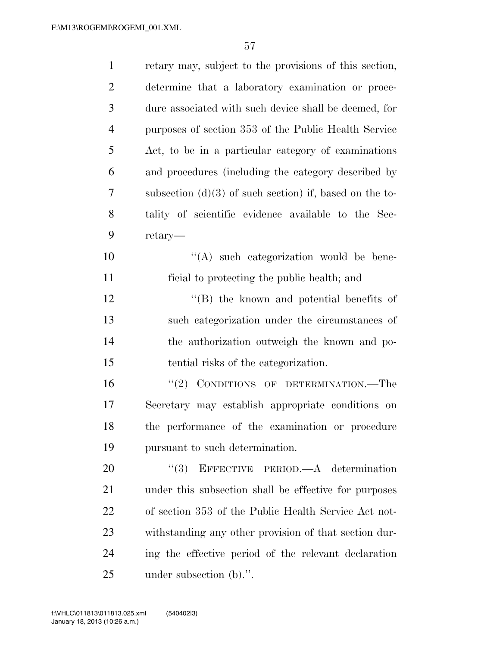| $\mathbf{1}$   | retary may, subject to the provisions of this section,    |
|----------------|-----------------------------------------------------------|
| $\overline{2}$ | determine that a laboratory examination or proce-         |
| 3              | dure associated with such device shall be deemed, for     |
| $\overline{4}$ | purposes of section 353 of the Public Health Service      |
| 5              | Act, to be in a particular category of examinations       |
| 6              | and procedures (including the category described by       |
| 7              | subsection $(d)(3)$ of such section) if, based on the to- |
| 8              | tality of scientific evidence available to the Sec-       |
| 9              | retary—                                                   |
| 10             | $\lq\lq$ such categorization would be bene-               |
| 11             | ficial to protecting the public health; and               |
| 12             | $\lq\lq$ the known and potential benefits of              |
| 13             | such categorization under the circumstances of            |
| 14             | the authorization outweigh the known and po-              |
| 15             | tential risks of the categorization.                      |
| 16             | "(2) CONDITIONS OF DETERMINATION.—The                     |
| 17             | Secretary may establish appropriate conditions on         |
| 18             | the performance of the examination or procedure           |
| 19             | pursuant to such determination.                           |
| 20             | EFFECTIVE PERIOD.—A determination<br>(3)                  |
| 21             | under this subsection shall be effective for purposes     |
| 22             | of section 353 of the Public Health Service Act not-      |
| 23             | withstanding any other provision of that section dur-     |
| 24             | ing the effective period of the relevant declaration      |
| 25             | under subsection (b).".                                   |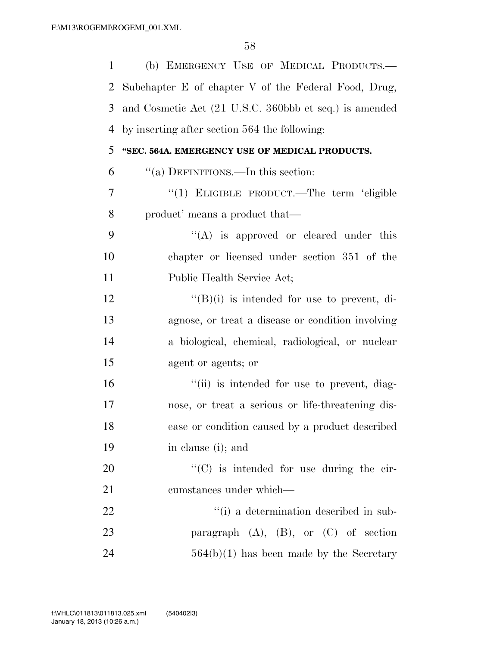| $\mathbf{1}$   | (b) EMERGENCY USE OF MEDICAL PRODUCTS.-                |
|----------------|--------------------------------------------------------|
| $\overline{2}$ | Subchapter E of chapter V of the Federal Food, Drug,   |
| 3              | and Cosmetic Act (21 U.S.C. 360bbb et seq.) is amended |
| 4              | by inserting after section 564 the following:          |
| 5              | "SEC. 564A. EMERGENCY USE OF MEDICAL PRODUCTS.         |
| 6              | "(a) DEFINITIONS.—In this section:                     |
| 7              | "(1) ELIGIBLE PRODUCT.—The term 'eligible              |
| 8              | product' means a product that—                         |
| 9              | $\lq\lq$ is approved or cleared under this             |
| 10             | chapter or licensed under section 351 of the           |
| 11             | Public Health Service Act;                             |
| 12             | $\lq\lq(B)(i)$ is intended for use to prevent, di-     |
| 13             | agnose, or treat a disease or condition involving      |
| 14             | a biological, chemical, radiological, or nuclear       |
| 15             | agent or agents; or                                    |
| 16             | "(ii) is intended for use to prevent, diag-            |
| 17             | nose, or treat a serious or life-threatening dis-      |
| 18             | ease or condition caused by a product described        |
| 19             | in clause (i); and                                     |
| 20             | "(C) is intended for use during the cir-               |
| 21             | cumstances under which—                                |
| 22             | "(i) a determination described in sub-                 |
| 23             | paragraph $(A)$ , $(B)$ , or $(C)$ of section          |
| 24             | $564(b)(1)$ has been made by the Secretary             |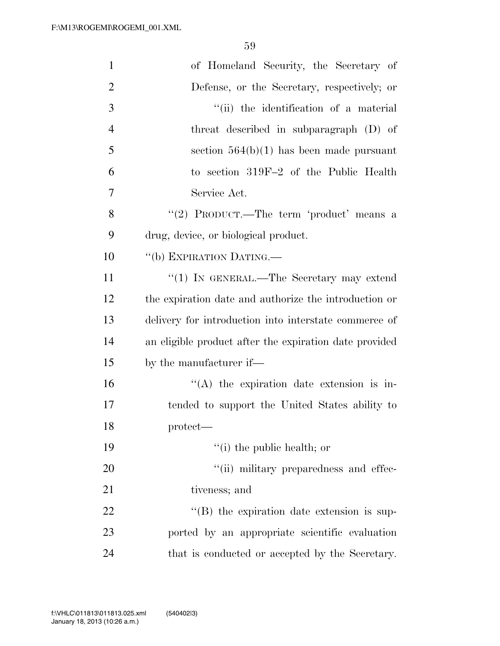| $\mathbf{1}$   | of Homeland Security, the Secretary of                 |
|----------------|--------------------------------------------------------|
| $\overline{2}$ | Defense, or the Secretary, respectively; or            |
| 3              | "(ii) the identification of a material                 |
| $\overline{4}$ | threat described in subparagraph (D) of                |
| 5              | section $564(b)(1)$ has been made pursuant             |
| 6              | to section 319F-2 of the Public Health                 |
| 7              | Service Act.                                           |
| 8              | "(2) PRODUCT.—The term 'product' means a               |
| 9              | drug, device, or biological product.                   |
| 10             | "(b) EXPIRATION DATING.—                               |
| 11             | "(1) IN GENERAL.—The Secretary may extend              |
| 12             | the expiration date and authorize the introduction or  |
| 13             | delivery for introduction into interstate commerce of  |
| 14             | an eligible product after the expiration date provided |
| 15             | by the manufacturer if—                                |
| 16             | $\lq\lq$ the expiration date extension is in-          |
| 17             | tended to support the United States ability to         |
| 18             | protect-                                               |
| 19             | $f(i)$ the public health; or                           |
| 20             | "(ii) military preparedness and effec-                 |
| 21             | tiveness; and                                          |
| 22             | $\lq\lq$ the expiration date extension is sup-         |
| 23             | ported by an appropriate scientific evaluation         |
| 24             | that is conducted or accepted by the Secretary.        |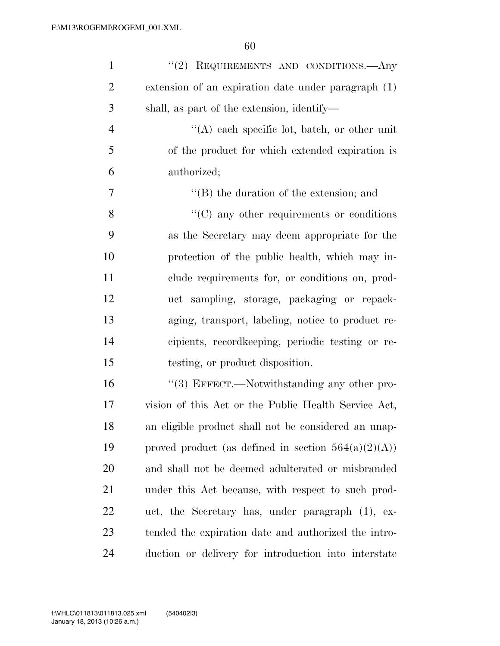| $\mathbf{1}$   | "(2) REQUIREMENTS AND CONDITIONS.—Any                  |
|----------------|--------------------------------------------------------|
| $\overline{2}$ | extension of an expiration date under paragraph (1)    |
| 3              | shall, as part of the extension, identify—             |
| $\overline{4}$ | $\lq\lq$ each specific lot, batch, or other unit       |
| 5              | of the product for which extended expiration is        |
| 6              | authorized;                                            |
| 7              | $\lq\lq (B)$ the duration of the extension; and        |
| 8              | $\cdot$ (C) any other requirements or conditions       |
| 9              | as the Secretary may deem appropriate for the          |
| 10             | protection of the public health, which may in-         |
| 11             | clude requirements for, or conditions on, prod-        |
| 12             | uct sampling, storage, packaging or repack-            |
| 13             | aging, transport, labeling, notice to product re-      |
| 14             | cipients, recordkeeping, periodic testing or re-       |
| 15             | testing, or product disposition.                       |
| 16             | "(3) EFFECT.—Notwithstanding any other pro-            |
| 17             | vision of this Act or the Public Health Service Act,   |
| 18             | an eligible product shall not be considered an unap-   |
| 19             | proved product (as defined in section $564(a)(2)(A)$ ) |
| 20             | and shall not be deemed adulterated or misbranded      |
| 21             | under this Act because, with respect to such prod-     |
| 22             | uct, the Secretary has, under paragraph (1), ex-       |
| 23             | tended the expiration date and authorized the intro-   |
| 24             | duction or delivery for introduction into interstate   |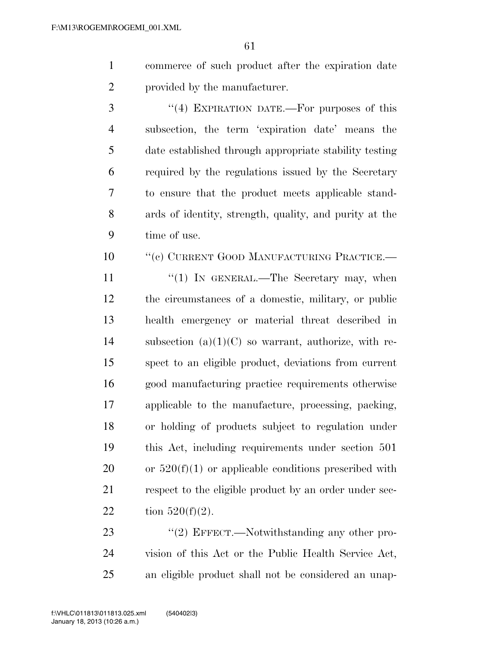- commerce of such product after the expiration date provided by the manufacturer.
- 3 "(4) EXPIRATION DATE.—For purposes of this subsection, the term 'expiration date' means the date established through appropriate stability testing required by the regulations issued by the Secretary to ensure that the product meets applicable stand- ards of identity, strength, quality, and purity at the time of use.
- 10 "'(c) CURRENT GOOD MANUFACTURING PRACTICE.—
- 11  $\frac{u(1)}{N}$  IN GENERAL.—The Secretary may, when the circumstances of a domestic, military, or public health emergency or material threat described in 14 subsection  $(a)(1)(C)$  so warrant, authorize, with re- spect to an eligible product, deviations from current good manufacturing practice requirements otherwise applicable to the manufacture, processing, packing, or holding of products subject to regulation under this Act, including requirements under section 501 20 or  $520(f)(1)$  or applicable conditions prescribed with 21 respect to the eligible product by an order under sec-22 tion  $520(f)(2)$ .
- 23 "(2) EFFECT.—Notwithstanding any other pro- vision of this Act or the Public Health Service Act, an eligible product shall not be considered an unap-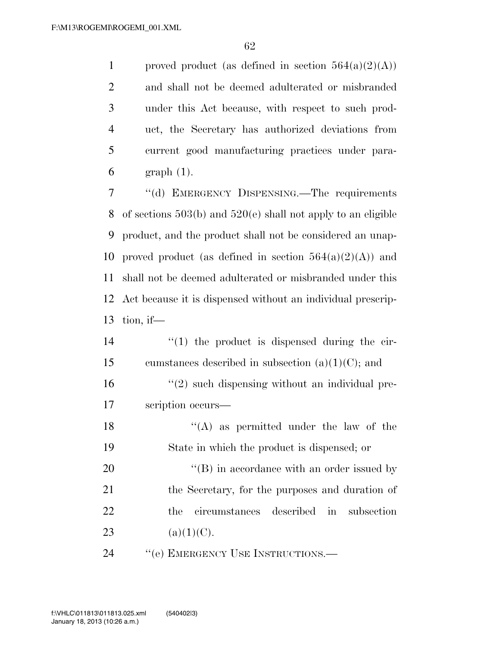1 proved product (as defined in section  $564(a)(2)(A)$ ) and shall not be deemed adulterated or misbranded under this Act because, with respect to such prod- uct, the Secretary has authorized deviations from current good manufacturing practices under para-graph (1).

 ''(d) EMERGENCY DISPENSING.—The requirements of sections 503(b) and 520(e) shall not apply to an eligible product, and the product shall not be considered an unap-10 proved product (as defined in section  $564(a)(2)(A)$ ) and shall not be deemed adulterated or misbranded under this Act because it is dispensed without an individual prescrip-tion, if—

- 14  $\frac{1}{2}$  (1) the product is dispensed during the cir-15 cumstances described in subsection  $(a)(1)(C)$ ; and 16 "(2) such dispensing without an individual pre-17 scription occurs—
- 18  $((A)$  as permitted under the law of the 19 State in which the product is dispensed; or 20  $\langle (B) \rangle$  in accordance with an order issued by 21 the Secretary, for the purposes and duration of 22 the circumstances described in subsection 23 (a)(1)(C).

24 " (e) EMERGENCY USE INSTRUCTIONS.—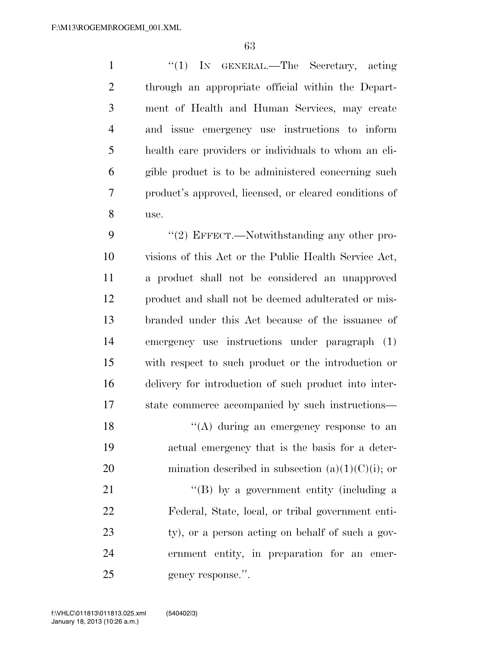1 ''(1) IN GENERAL.—The Secretary, acting through an appropriate official within the Depart- ment of Health and Human Services, may create and issue emergency use instructions to inform health care providers or individuals to whom an eli- gible product is to be administered concerning such product's approved, licensed, or cleared conditions of use.

9 "(2) EFFECT.—Notwithstanding any other pro- visions of this Act or the Public Health Service Act, a product shall not be considered an unapproved product and shall not be deemed adulterated or mis- branded under this Act because of the issuance of emergency use instructions under paragraph (1) with respect to such product or the introduction or delivery for introduction of such product into inter-state commerce accompanied by such instructions—

18  $\langle (A)$  during an emergency response to an actual emergency that is the basis for a deter-20 mination described in subsection  $(a)(1)(C)(i)$ ; or

21 ''(B) by a government entity (including a Federal, State, local, or tribal government enti-23 ty), or a person acting on behalf of such a gov- ernment entity, in preparation for an emer-25 gency response.".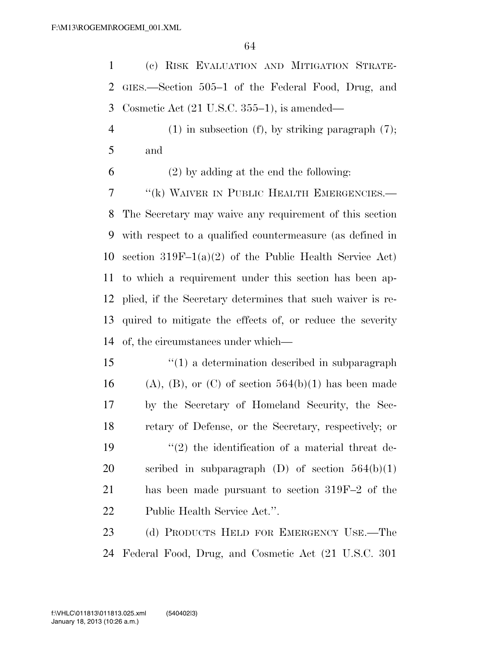(c) RISK EVALUATION AND MITIGATION STRATE- GIES.—Section 505–1 of the Federal Food, Drug, and Cosmetic Act (21 U.S.C. 355–1), is amended—

 (1) in subsection (f), by striking paragraph (7); and

(2) by adding at the end the following:

7 "(k) WAIVER IN PUBLIC HEALTH EMERGENCIES.— The Secretary may waive any requirement of this section with respect to a qualified countermeasure (as defined in section 319F–1(a)(2) of the Public Health Service Act) to which a requirement under this section has been ap- plied, if the Secretary determines that such waiver is re- quired to mitigate the effects of, or reduce the severity of, the circumstances under which—

 ''(1) a determination described in subparagraph 16 (A), (B), or (C) of section  $564(b)(1)$  has been made by the Secretary of Homeland Security, the Sec- retary of Defense, or the Secretary, respectively; or  $(2)$  the identification of a material threat de-20 scribed in subparagraph  $(D)$  of section  $564(b)(1)$  has been made pursuant to section 319F–2 of the Public Health Service Act.''.

23 (d) PRODUCTS HELD FOR EMERGENCY USE.—The Federal Food, Drug, and Cosmetic Act (21 U.S.C. 301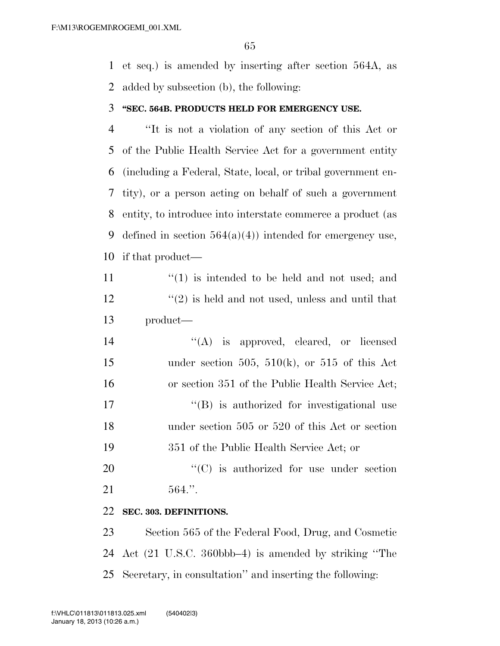et seq.) is amended by inserting after section 564A, as added by subsection (b), the following:

#### **''SEC. 564B. PRODUCTS HELD FOR EMERGENCY USE.**

 ''It is not a violation of any section of this Act or of the Public Health Service Act for a government entity (including a Federal, State, local, or tribal government en- tity), or a person acting on behalf of such a government entity, to introduce into interstate commerce a product (as 9 defined in section  $564(a)(4)$  intended for emergency use, if that product—

11  $\langle (1)$  is intended to be held and not used; and  $\binom{12}{2}$  is held and not used, unless and until that product—

 $((A)$  is approved, cleared, or licensed 15 under section 505, 510(k), or 515 of this Act or section 351 of the Public Health Service Act;  $\langle G \rangle$  is authorized for investigational use under section 505 or 520 of this Act or section 351 of the Public Health Service Act; or

20  $\cdot$  (C) is authorized for use under section 564.''.

### **SEC. 303. DEFINITIONS.**

 Section 565 of the Federal Food, Drug, and Cosmetic Act (21 U.S.C. 360bbb–4) is amended by striking ''The Secretary, in consultation'' and inserting the following: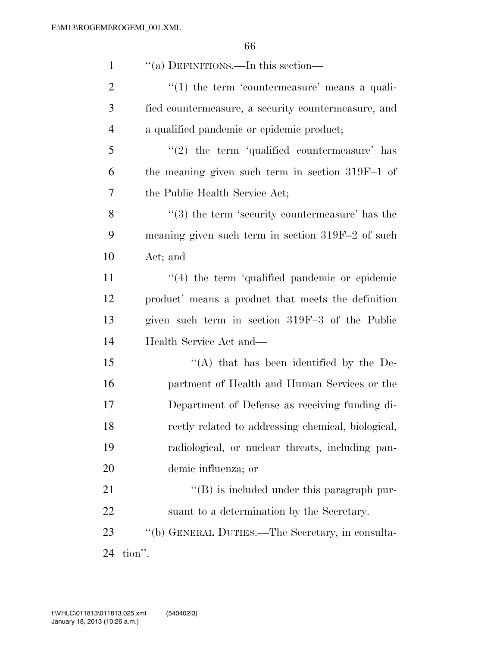| $\mathbf{1}$   | "(a) DEFINITIONS.—In this section—                     |
|----------------|--------------------------------------------------------|
| $\overline{2}$ | $\lq(1)$ the term 'countermeasure' means a quali-      |
| 3              | fied countermeasure, a security countermeasure, and    |
| $\overline{4}$ | a qualified pandemic or epidemic product;              |
| 5              | $\lq(2)$ the term 'qualified countermeasure' has       |
| 6              | the meaning given such term in section 319F-1 of       |
| 7              | the Public Health Service Act;                         |
| 8              | $\cdot$ (3) the term 'security countermeasure' has the |
| 9              | meaning given such term in section 319F-2 of such      |
| 10             | Act; and                                               |
| 11             | $\lq(4)$ the term 'qualified pandemic or epidemic      |
| 12             | product' means a product that meets the definition     |
| 13             | given such term in section 319F-3 of the Public        |
| 14             | Health Service Act and—                                |
| 15             | "(A) that has been identified by the De-               |
| 16             | partment of Health and Human Services or the           |
| 17             | Department of Defense as receiving funding di-         |
| 18             | rectly related to addressing chemical, biological,     |
| 19             | radiological, or nuclear threats, including pan-       |
| 20             | demic influenza; or                                    |
| 21             | $\lq\lq (B)$ is included under this paragraph pur-     |
| 22             | suant to a determination by the Secretary.             |
| 23             | "(b) GENERAL DUTIES.—The Secretary, in consulta-       |
| 24             | tion".                                                 |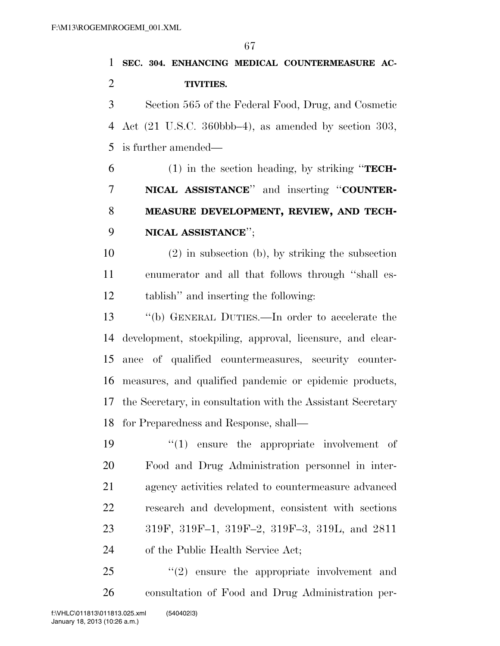**SEC. 304. ENHANCING MEDICAL COUNTERMEASURE AC-TIVITIES.** 

 Section 565 of the Federal Food, Drug, and Cosmetic Act (21 U.S.C. 360bbb–4), as amended by section 303, is further amended—

 (1) in the section heading, by striking ''**TECH- NICAL ASSISTANCE**'' and inserting ''**COUNTER- MEASURE DEVELOPMENT, REVIEW, AND TECH-NICAL ASSISTANCE**'';

 (2) in subsection (b), by striking the subsection enumerator and all that follows through ''shall es-tablish'' and inserting the following:

 ''(b) GENERAL DUTIES.—In order to accelerate the development, stockpiling, approval, licensure, and clear- ance of qualified countermeasures, security counter- measures, and qualified pandemic or epidemic products, the Secretary, in consultation with the Assistant Secretary for Preparedness and Response, shall—

 $\frac{1}{2}$  (1) ensure the appropriate involvement of Food and Drug Administration personnel in inter- agency activities related to countermeasure advanced research and development, consistent with sections 319F, 319F–1, 319F–2, 319F–3, 319L, and 2811 of the Public Health Service Act;

  $(2)$  ensure the appropriate involvement and consultation of Food and Drug Administration per-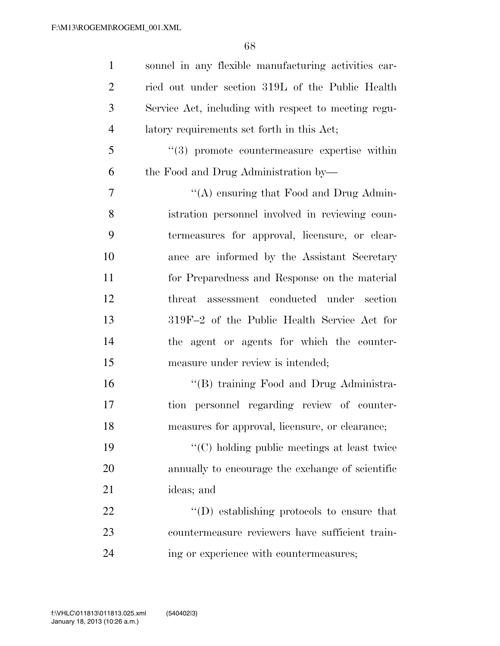| $\mathbf{1}$   | sonnel in any flexible manufacturing activities car-         |
|----------------|--------------------------------------------------------------|
| $\overline{2}$ | ried out under section 319L of the Public Health             |
| 3              | Service Act, including with respect to meeting regu-         |
| $\overline{4}$ | latory requirements set forth in this Act;                   |
| 5              | $\cdot\cdot\cdot(3)$ promote countermeasure expertise within |
| 6              | the Food and Drug Administration by—                         |
| 7              | "(A) ensuring that Food and Drug Admin-                      |
| 8              | istration personnel involved in reviewing coun-              |
| 9              | termeasures for approval, licensure, or clear-               |
| 10             | ance are informed by the Assistant Secretary                 |
| 11             | for Preparedness and Response on the material                |
| 12             | threat assessment conducted under section                    |
| 13             | 319F-2 of the Public Health Service Act for                  |
| 14             | the agent or agents for which the counter-                   |
| 15             | measure under review is intended;                            |
| 16             | "(B) training Food and Drug Administra-                      |
| 17             | tion personnel regarding review of counter-                  |
| 18             | measures for approval, licensure, or clearance;              |
| 19             | "(C) holding public meetings at least twice                  |
| 20             | annually to encourage the exchange of scientific             |
| 21             | ideas; and                                                   |
| 22             | $\lq\lq$ (D) establishing protocols to ensure that           |
| 23             | countermeasure reviewers have sufficient train-              |
| 24             | ing or experience with countermeasures;                      |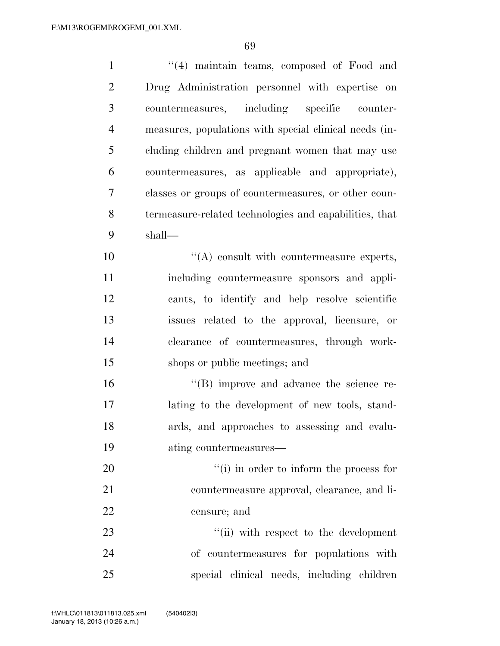| $\mathbf{1}$   | "(4) maintain teams, composed of Food and              |
|----------------|--------------------------------------------------------|
| $\overline{2}$ | Drug Administration personnel with expertise on        |
| 3              | countermeasures, including specific counter-           |
| $\overline{4}$ | measures, populations with special clinical needs (in- |
| 5              | cluding children and pregnant women that may use       |
| 6              | countermeasures, as applicable and appropriate),       |
| 7              | classes or groups of countermeasures, or other coun-   |
| 8              | termeasure-related technologies and capabilities, that |
| 9              | shall—                                                 |
| 10             | $\lq\lq$ consult with countermeasure experts,          |
| 11             | including countermeasure sponsors and appli-           |
| 12             | cants, to identify and help resolve scientific         |
| 13             | issues related to the approval, licensure, or          |
| 14             | clearance of countermeasures, through work-            |
| 15             | shops or public meetings; and                          |
| 16             | $\lq\lq$ (B) improve and advance the science re-       |
| 17             | lating to the development of new tools, stand-         |
| 18             | ards, and approaches to assessing and evalu-           |
| 19             | ating countermeasures—                                 |
| 20             | "(i) in order to inform the process for                |
| 21             | countermeasure approval, clearance, and li-            |
| 22             | censure; and                                           |
| 23             | "(ii) with respect to the development                  |
| 24             | of countermeasures for populations with                |
| 25             | special clinical needs, including children             |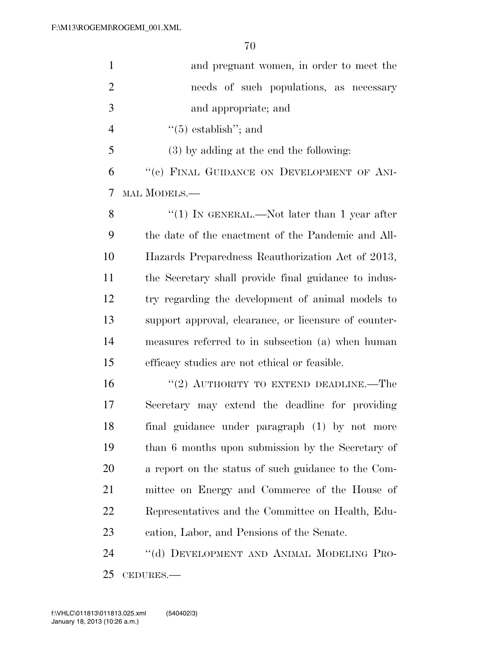| $\mathbf{1}$   | and pregnant women, in order to meet the              |
|----------------|-------------------------------------------------------|
| $\overline{2}$ | needs of such populations, as necessary               |
| 3              | and appropriate; and                                  |
| $\overline{4}$ | $\cdot\cdot$ (5) establish''; and                     |
| 5              | $(3)$ by adding at the end the following:             |
| 6              | "(c) FINAL GUIDANCE ON DEVELOPMENT OF ANI-            |
| 7              | MAL MODELS.—                                          |
| 8              | "(1) IN GENERAL.—Not later than 1 year after          |
| 9              | the date of the enactment of the Pandemic and All-    |
| 10             | Hazards Preparedness Reauthorization Act of 2013,     |
| 11             | the Secretary shall provide final guidance to indus-  |
| 12             | try regarding the development of animal models to     |
| 13             | support approval, clearance, or licensure of counter- |
| 14             | measures referred to in subsection (a) when human     |
| 15             | efficacy studies are not ethical or feasible.         |
| 16             | "(2) AUTHORITY TO EXTEND DEADLINE.—The                |
| 17             | Secretary may extend the deadline for providing       |
| 18             | final guidance under paragraph (1) by not more        |
| 19             | than 6 months upon submission by the Secretary of     |
| 20             | a report on the status of such guidance to the Com-   |
| 21             | mittee on Energy and Commerce of the House of         |
| 22             | Representatives and the Committee on Health, Edu-     |
| 23             | cation, Labor, and Pensions of the Senate.            |
| 24             | "(d) DEVELOPMENT AND ANIMAL MODELING PRO-             |
|                |                                                       |

CEDURES.—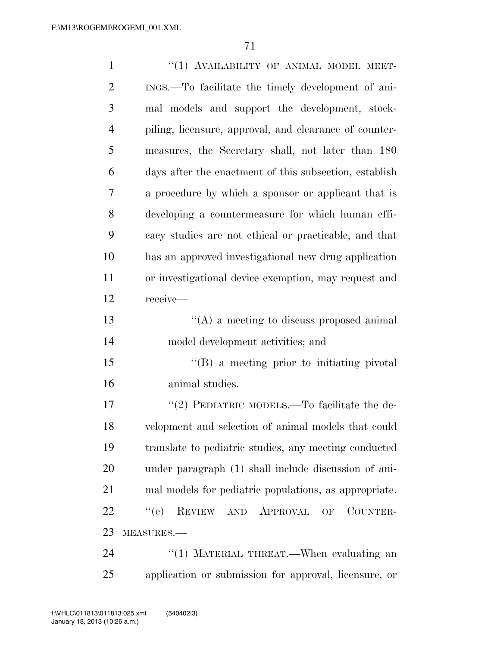| $\mathbf{1}$   | "(1) AVAILABILITY OF ANIMAL MODEL MEET-                |
|----------------|--------------------------------------------------------|
| $\overline{2}$ | INGS.—To facilitate the timely development of ani-     |
| 3              | mal models and support the development, stock-         |
| $\overline{4}$ | piling, licensure, approval, and clearance of counter- |
| 5              | measures, the Secretary shall, not later than 180      |
| 6              | days after the enactment of this subsection, establish |
| 7              | a procedure by which a sponsor or applicant that is    |
| 8              | developing a countermeasure for which human effi-      |
| 9              | cacy studies are not ethical or practicable, and that  |
| 10             | has an approved investigational new drug application   |
| 11             | or investigational device exemption, may request and   |
| 12             | receive-                                               |
| 13             | $\lq\lq$ a meeting to discuss proposed animal          |
| 14             | model development activities; and                      |
| 15             | $\lq\lq (B)$ a meeting prior to initiating pivotal     |
| 16             | animal studies.                                        |
| 17             | "(2) PEDIATRIC MODELS.—To facilitate the de-           |
| 18             | velopment and selection of animal models that could    |
| 19             | translate to pediatric studies, any meeting conducted  |
| 20             | under paragraph (1) shall include discussion of ani-   |
| 21             | mal models for pediatric populations, as appropriate.  |
| 22             | ``(e)<br>REVIEW AND APPROVAL<br>COUNTER-<br>OF         |
| 23             | MEASURES.-                                             |
| 24             | "(1) MATERIAL THREAT.—When evaluating an               |
| 25             | application or submission for approval, licensure, or  |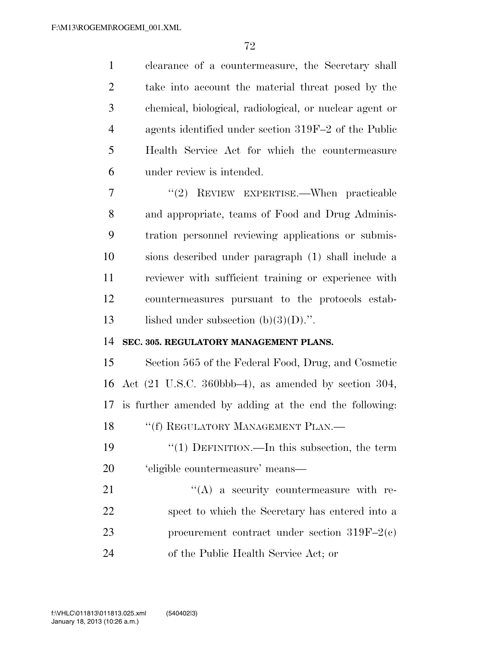clearance of a countermeasure, the Secretary shall take into account the material threat posed by the chemical, biological, radiological, or nuclear agent or agents identified under section 319F–2 of the Public Health Service Act for which the countermeasure under review is intended.

 ''(2) REVIEW EXPERTISE.—When practicable and appropriate, teams of Food and Drug Adminis- tration personnel reviewing applications or submis- sions described under paragraph (1) shall include a reviewer with sufficient training or experience with countermeasures pursuant to the protocols estab-13 lished under subsection  $(b)(3)(D)$ .".

### **SEC. 305. REGULATORY MANAGEMENT PLANS.**

 Section 565 of the Federal Food, Drug, and Cosmetic Act (21 U.S.C. 360bbb–4), as amended by section 304, is further amended by adding at the end the following: 18 "(f) REGULATORY MANAGEMENT PLAN.—

 ''(1) DEFINITION.—In this subsection, the term 'eligible countermeasure' means—

 "(A) a security countermeasure with re- spect to which the Secretary has entered into a procurement contract under section 319F–2(c) of the Public Health Service Act; or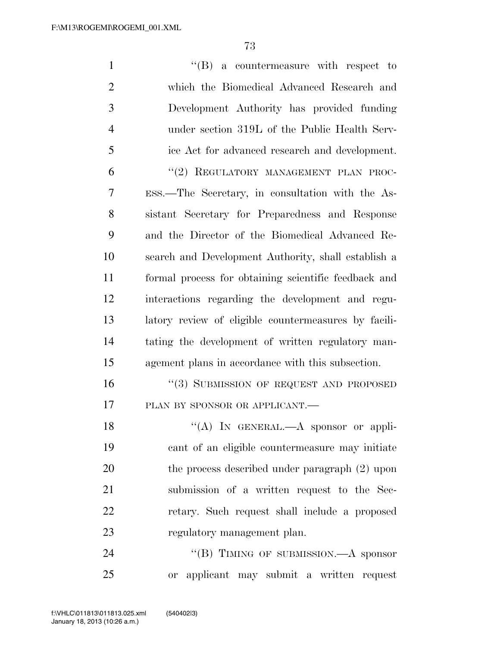| $\mathbf{1}$   | $\lq\lq(B)$ a countermeasure with respect to         |
|----------------|------------------------------------------------------|
| $\overline{2}$ | which the Biomedical Advanced Research and           |
| 3              | Development Authority has provided funding           |
| $\overline{4}$ | under section 319L of the Public Health Serv-        |
| 5              | ice Act for advanced research and development.       |
| 6              | "(2) REGULATORY MANAGEMENT PLAN PROC-                |
| 7              | ESS.—The Secretary, in consultation with the As-     |
| 8              | sistant Secretary for Preparedness and Response      |
| 9              | and the Director of the Biomedical Advanced Re-      |
| 10             | search and Development Authority, shall establish a  |
| 11             | formal process for obtaining scientific feedback and |
| 12             | interactions regarding the development and regu-     |
| 13             | latory review of eligible countermeasures by facili- |
| 14             | tating the development of written regulatory man-    |
| 15             | agement plans in accordance with this subsection.    |
| 16             | "(3) SUBMISSION OF REQUEST AND PROPOSED              |
| 17             | PLAN BY SPONSOR OR APPLICANT.                        |
| 18             | "(A) IN GENERAL.—A sponsor or appli-                 |
| 19             | cant of an eligible countermeasure may initiate      |
| 20             | the process described under paragraph (2) upon       |
| 21             | submission of a written request to the Sec-          |
| 22             | retary. Such request shall include a proposed        |
| 23             | regulatory management plan.                          |
| 24             | "(B) TIMING OF SUBMISSION.—A sponsor                 |

or applicant may submit a written request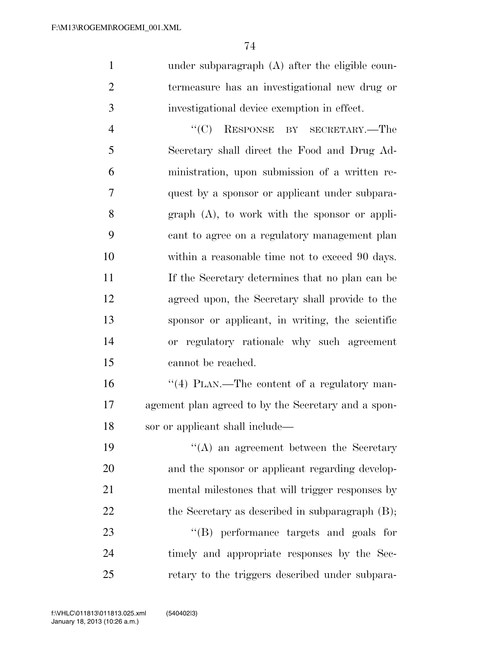under subparagraph (A) after the eligible coun- termeasure has an investigational new drug or investigational device exemption in effect.

 ''(C) RESPONSE BY SECRETARY.—The Secretary shall direct the Food and Drug Ad- ministration, upon submission of a written re- quest by a sponsor or applicant under subpara- graph (A), to work with the sponsor or appli- cant to agree on a regulatory management plan 10 within a reasonable time not to exceed 90 days. If the Secretary determines that no plan can be agreed upon, the Secretary shall provide to the sponsor or applicant, in writing, the scientific or regulatory rationale why such agreement cannot be reached.

16  $\frac{1}{4}$  PLAN.—The content of a regulatory man- agement plan agreed to by the Secretary and a spon-sor or applicant shall include—

 ''(A) an agreement between the Secretary and the sponsor or applicant regarding develop- mental milestones that will trigger responses by 22 the Secretary as described in subparagraph (B);

23 ''(B) performance targets and goals for timely and appropriate responses by the Sec-retary to the triggers described under subpara-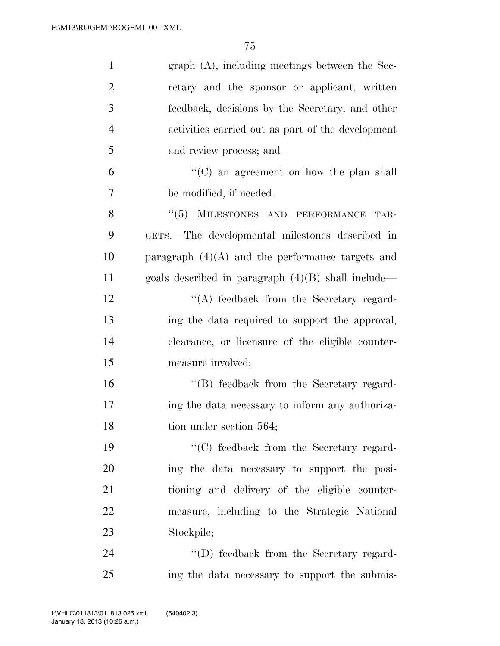| $\mathbf{1}$   | $graph(A)$ , including meetings between the Sec-     |
|----------------|------------------------------------------------------|
| $\overline{2}$ | retary and the sponsor or applicant, written         |
| 3              | feedback, decisions by the Secretary, and other      |
| $\overline{4}$ | activities carried out as part of the development    |
| 5              | and review process; and                              |
| 6              | $\lq\lq$ (C) an agreement on how the plan shall      |
| 7              | be modified, if needed.                              |
| 8              | MILESTONES AND PERFORMANCE<br>(5)<br>TAR-            |
| 9              | GETS.—The developmental milestones described in      |
| 10             | paragraph $(4)(A)$ and the performance targets and   |
| 11             | goals described in paragraph $(4)(B)$ shall include— |
| 12             | $\lq\lq$ feedback from the Secretary regard-         |
| 13             | ing the data required to support the approval,       |
| 14             | clearance, or licensure of the eligible counter-     |
| 15             | measure involved;                                    |
| 16             | "(B) feedback from the Secretary regard-             |
| 17             | ing the data necessary to inform any authoriza-      |
| 18             | tion under section 564;                              |
| 19             | "(C) feedback from the Secretary regard-             |
| 20             | ing the data necessary to support the posi-          |
| 21             | tioning and delivery of the eligible counter-        |
| 22             | measure, including to the Strategic National         |
| 23             | Stockpile;                                           |
| 24             | "(D) feedback from the Secretary regard-             |
| 25             | ing the data necessary to support the submis-        |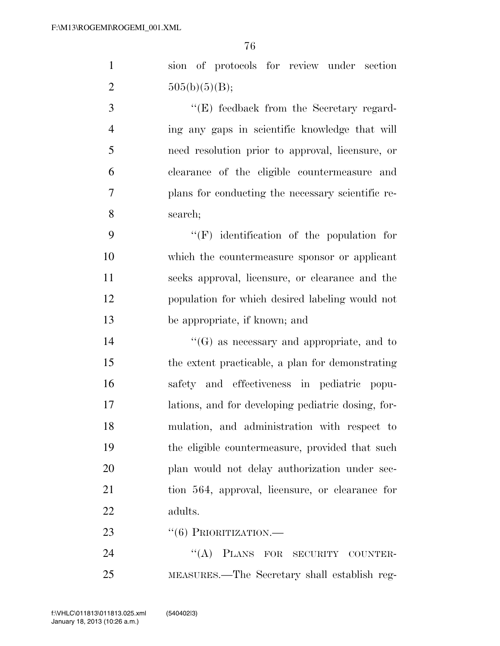sion of protocols for review under section 2  $505(b)(5)(B);$ 

3 ''(E) feedback from the Secretary regard- ing any gaps in scientific knowledge that will need resolution prior to approval, licensure, or clearance of the eligible countermeasure and plans for conducting the necessary scientific re-search;

 ''(F) identification of the population for which the countermeasure sponsor or applicant seeks approval, licensure, or clearance and the population for which desired labeling would not be appropriate, if known; and

 ''(G) as necessary and appropriate, and to the extent practicable, a plan for demonstrating safety and effectiveness in pediatric popu- lations, and for developing pediatric dosing, for- mulation, and administration with respect to the eligible countermeasure, provided that such plan would not delay authorization under sec- tion 564, approval, licensure, or clearance for adults.

23 "(6) PRIORITIZATION.—

24 "(A) PLANS FOR SECURITY COUNTER-MEASURES.—The Secretary shall establish reg-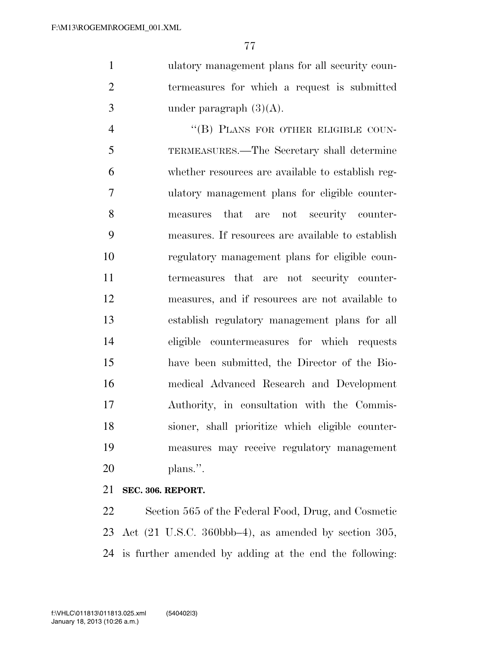ulatory management plans for all security coun- termeasures for which a request is submitted 3 under paragraph  $(3)(A)$ .

4 "(B) PLANS FOR OTHER ELIGIBLE COUN- TERMEASURES.—The Secretary shall determine whether resources are available to establish reg- ulatory management plans for eligible counter- measures that are not security counter- measures. If resources are available to establish regulatory management plans for eligible coun- termeasures that are not security counter- measures, and if resources are not available to establish regulatory management plans for all eligible countermeasures for which requests have been submitted, the Director of the Bio- medical Advanced Research and Development Authority, in consultation with the Commis- sioner, shall prioritize which eligible counter- measures may receive regulatory management plans.''.

## **SEC. 306. REPORT.**

 Section 565 of the Federal Food, Drug, and Cosmetic Act (21 U.S.C. 360bbb–4), as amended by section 305, is further amended by adding at the end the following: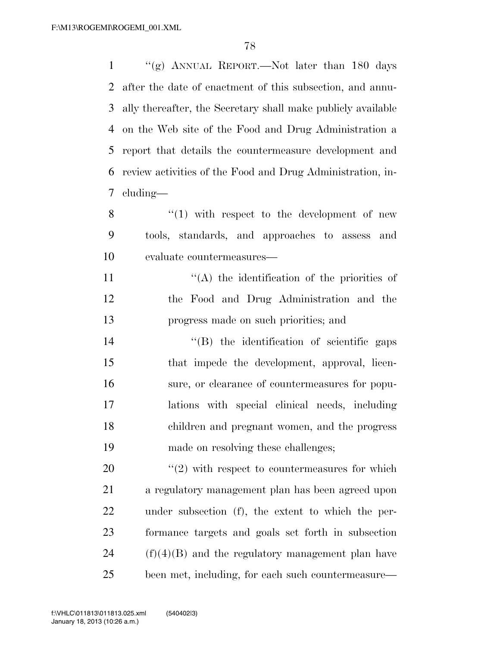$\frac{1}{2}$  (g) ANNUAL REPORT.—Not later than 180 days after the date of enactment of this subsection, and annu- ally thereafter, the Secretary shall make publicly available on the Web site of the Food and Drug Administration a report that details the countermeasure development and review activities of the Food and Drug Administration, in- cluding— ''(1) with respect to the development of new tools, standards, and approaches to assess and evaluate countermeasures—

11  $((A)$  the identification of the priorities of the Food and Drug Administration and the progress made on such priorities; and

 $\text{``(B)}$  the identification of scientific gaps that impede the development, approval, licen- sure, or clearance of countermeasures for popu- lations with special clinical needs, including children and pregnant women, and the progress made on resolving these challenges;

 $\frac{1}{20}$  <sup>(1</sup>(2) with respect to countermeasures for which a regulatory management plan has been agreed upon under subsection (f), the extent to which the per- formance targets and goals set forth in subsection (f)(4)(B) and the regulatory management plan have been met, including, for each such countermeasure—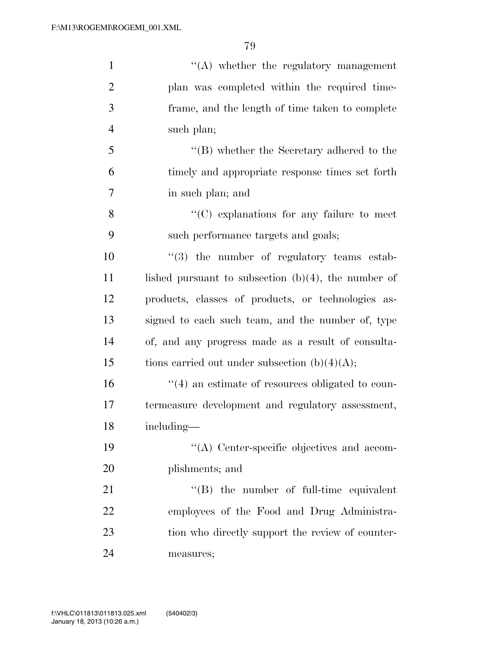| $\mathbf{1}$   | $\lq\lq$ whether the regulatory management              |
|----------------|---------------------------------------------------------|
| $\overline{2}$ | plan was completed within the required time-            |
| 3              | frame, and the length of time taken to complete         |
| $\overline{4}$ | such plan;                                              |
| 5              | $\lq\lq (B)$ whether the Secretary adhered to the       |
| 6              | timely and appropriate response times set forth         |
| 7              | in such plan; and                                       |
| 8              | $\lq\lq$ explanations for any failure to meet           |
| 9              | such performance targets and goals;                     |
| 10             | $\lq(3)$ the number of regulatory teams estab-          |
| 11             | lished pursuant to subsection $(b)(4)$ , the number of  |
| 12             | products, classes of products, or technologies as-      |
| 13             | signed to each such team, and the number of, type       |
| 14             | of, and any progress made as a result of consulta-      |
| 15             | tions carried out under subsection $(b)(4)(A);$         |
| 16             | $\cdot$ (4) an estimate of resources obligated to coun- |
| 17             | termeasure development and regulatory assessment,       |
| 18             | including—                                              |
| 19             | $\lq\lq$ . Center-specific objectives and accom-        |
| 20             | plishments; and                                         |
| 21             | $\lq\lq$ the number of full-time equivalent             |
| 22             | employees of the Food and Drug Administra-              |
| 23             | tion who directly support the review of counter-        |
| 24             | measures;                                               |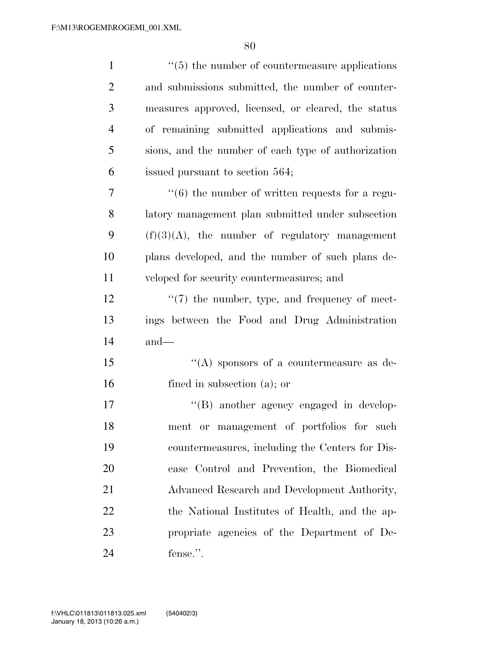| $\mathbf{1}$   | $\cdot\cdot$ (5) the number of countermeasure applications       |
|----------------|------------------------------------------------------------------|
| $\overline{2}$ | and submissions submitted, the number of counter-                |
| 3              | measures approved, licensed, or cleared, the status              |
| $\overline{4}$ | of remaining submitted applications and submis-                  |
| 5              | sions, and the number of each type of authorization              |
| 6              | issued pursuant to section 564;                                  |
| 7              | $\cdot\cdot\cdot$ (6) the number of written requests for a regu- |
| 8              | latory management plan submitted under subsection                |
| 9              | $(f)(3)(A)$ , the number of regulatory management                |
| 10             | plans developed, and the number of such plans de-                |
| 11             | veloped for security countermeasures; and                        |
| 12             | $\lq(7)$ the number, type, and frequency of meet-                |
| 13             | ings between the Food and Drug Administration                    |
| 14             | $and$ —                                                          |
| 15             | "(A) sponsors of a countermeasure as de-                         |
| 16             | fined in subsection $(a)$ ; or                                   |
| 17             | "(B) another agency engaged in develop-                          |
| 18             | ment or management of portfolios for such                        |
| 19             | countermeasures, including the Centers for Dis-                  |
| 20             | ease Control and Prevention, the Biomedical                      |
| 21             | Advanced Research and Development Authority,                     |
| 22             | the National Institutes of Health, and the ap-                   |
| 23             | propriate agencies of the Department of De-                      |
| 24             | fense.".                                                         |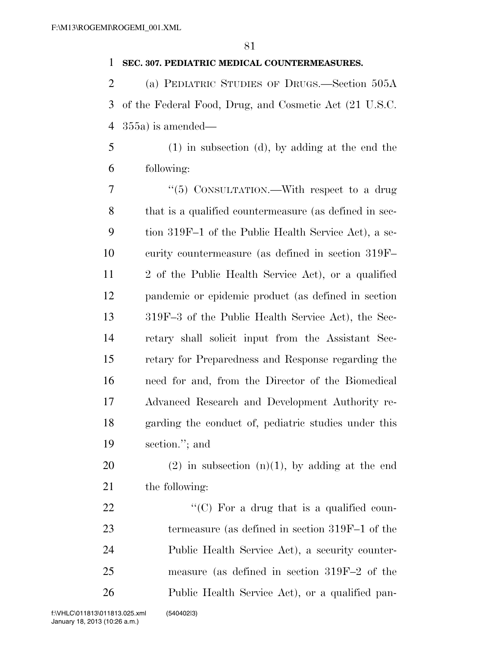## **SEC. 307. PEDIATRIC MEDICAL COUNTERMEASURES.**

 (a) PEDIATRIC STUDIES OF DRUGS.—Section 505A of the Federal Food, Drug, and Cosmetic Act (21 U.S.C. 355a) is amended—

 (1) in subsection (d), by adding at the end the following:

7 "(5) CONSULTATION.—With respect to a drug that is a qualified countermeasure (as defined in sec- tion 319F–1 of the Public Health Service Act), a se- curity countermeasure (as defined in section 319F– 2 of the Public Health Service Act), or a qualified pandemic or epidemic product (as defined in section 319F–3 of the Public Health Service Act), the Sec- retary shall solicit input from the Assistant Sec- retary for Preparedness and Response regarding the need for and, from the Director of the Biomedical Advanced Research and Development Authority re- garding the conduct of, pediatric studies under this section.''; and

20 (2) in subsection  $(n)(1)$ , by adding at the end the following:

 $\langle ^{\prime}(C)$  For a drug that is a qualified coun- termeasure (as defined in section 319F–1 of the Public Health Service Act), a security counter- measure (as defined in section 319F–2 of the Public Health Service Act), or a qualified pan-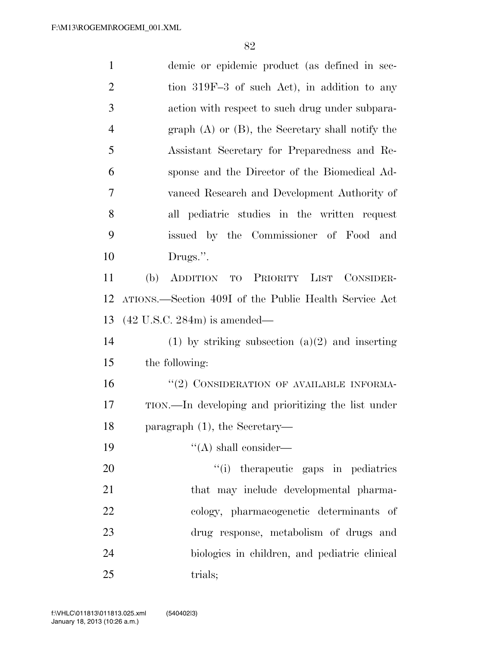| $\mathbf{1}$   | demic or epidemic product (as defined in sec-         |
|----------------|-------------------------------------------------------|
| $\overline{2}$ | tion 319F-3 of such Act), in addition to any          |
| 3              | action with respect to such drug under subpara-       |
| $\overline{4}$ | graph $(A)$ or $(B)$ , the Secretary shall notify the |
| 5              | Assistant Secretary for Preparedness and Re-          |
| 6              | sponse and the Director of the Biomedical Ad-         |
| 7              | vanced Research and Development Authority of          |
| 8              | all pediatric studies in the written request          |
| 9              | issued by the Commissioner of Food and                |
| 10             | Drugs.".                                              |
| 11             | (b)<br>ADDITION TO PRIORITY LIST CONSIDER-            |
| 12             | ATIONS.—Section 409I of the Public Health Service Act |
| 13             | $(42 \text{ U.S.C. } 284\text{m})$ is amended—        |
| 14             | (1) by striking subsection $(a)(2)$ and inserting     |
| 15             | the following:                                        |
| 16             | "(2) CONSIDERATION OF AVAILABLE INFORMA-              |
| 17             | TION.—In developing and prioritizing the list under   |
| 18             | paragraph $(1)$ , the Secretary-                      |
| 19             | $\lq\lq$ shall consider—                              |
| 20             | "(i) therapeutic gaps in pediatrics                   |
| 21             | that may include developmental pharma-                |
| 22             | cology, pharmacogenetic determinants of               |
| 23             | drug response, metabolism of drugs and                |
| 24             | biologies in children, and pediatric clinical         |
| 25             | trials;                                               |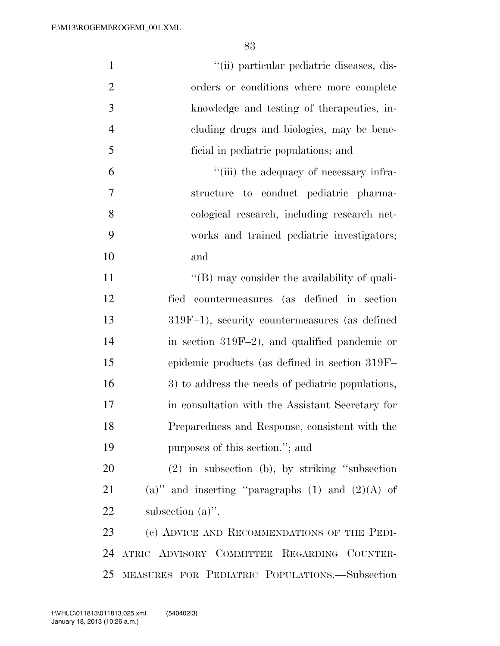| $\mathbf{1}$   | "(ii) particular pediatric diseases, dis-            |
|----------------|------------------------------------------------------|
| $\overline{2}$ | orders or conditions where more complete             |
| $\mathfrak{Z}$ | knowledge and testing of the rapeutics, in-          |
| $\overline{4}$ | cluding drugs and biologics, may be bene-            |
| 5              | ficial in pediatric populations; and                 |
| 6              | "(iii) the adequacy of necessary infra-              |
| 7              | structure to conduct pediatric pharma-               |
| 8              | cological research, including research net-          |
| 9              | works and trained pediatric investigators;           |
| 10             | and                                                  |
| 11             | $\lq\lq (B)$ may consider the availability of quali- |
| 12             | fied countermeasures (as defined in section          |
| 13             | 319F-1), security countermeasures (as defined        |
| 14             | in section 319F-2), and qualified pandemic or        |
| 15             | epidemic products (as defined in section 319F-       |
| 16             | 3) to address the needs of pediatric populations,    |
| 17             | in consultation with the Assistant Secretary for     |
| 18             | Preparedness and Response, consistent with the       |
| 19             | purposes of this section."; and                      |
| 20             | $(2)$ in subsection (b), by striking "subsection     |
| 21             | (a)" and inserting "paragraphs $(1)$ and $(2)(A)$ of |
| <u>22</u>      | subsection $(a)$ ".                                  |
| 23             | (c) ADVICE AND RECOMMENDATIONS OF THE PEDI-          |
| 24             | ATRIC ADVISORY COMMITTEE REGARDING COUNTER-          |
| 25             | MEASURES FOR PEDIATRIC POPULATIONS.—Subsection       |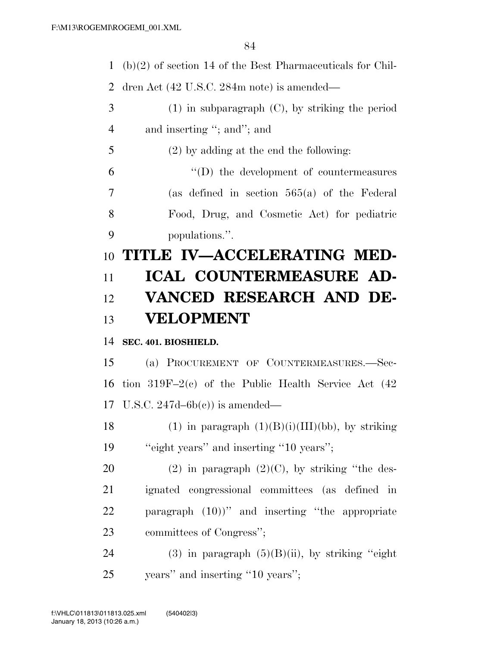(b)(2) of section 14 of the Best Pharmaceuticals for Chil-

dren Act (42 U.S.C. 284m note) is amended—

- (1) in subparagraph (C), by striking the period 4 and inserting "; and"; and
- (2) by adding at the end the following:

 ''(D) the development of countermeasures (as defined in section 565(a) of the Federal Food, Drug, and Cosmetic Act) for pediatric populations.''.

## **TITLE IV—ACCELERATING MED- ICAL COUNTERMEASURE AD- VANCED RESEARCH AND DE-VELOPMENT**

## **SEC. 401. BIOSHIELD.**

 (a) PROCUREMENT OF COUNTERMEASURES.—Sec- tion 319F–2(c) of the Public Health Service Act (42 U.S.C. 247d–6b(c)) is amended—

18 (1) in paragraph  $(1)(B)(i)(III)(bb)$ , by striking 19 "eight years" and inserting "10 years";

20 (2) in paragraph  $(2)(C)$ , by striking "the des- ignated congressional committees (as defined in paragraph (10))'' and inserting ''the appropriate committees of Congress'';

24 (3) in paragraph  $(5)(B)(ii)$ , by striking "eight" years'' and inserting ''10 years'';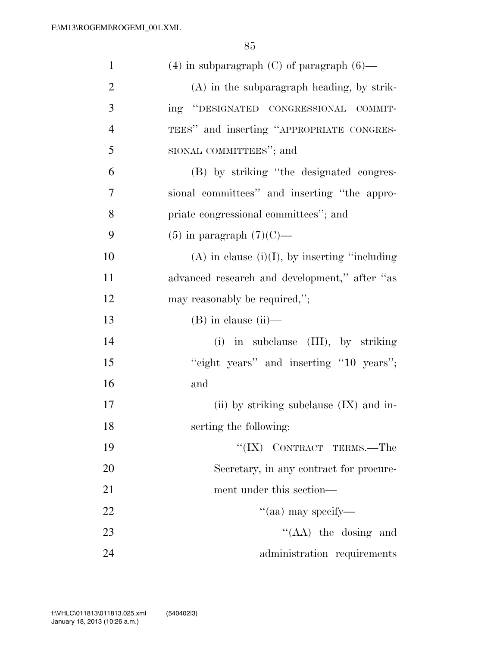| $\mathbf{1}$   | $(4)$ in subparagraph $(C)$ of paragraph $(6)$ —    |
|----------------|-----------------------------------------------------|
| $\overline{2}$ | (A) in the subparagraph heading, by strik-          |
| 3              | ing "DESIGNATED CONGRESSIONAL COMMIT-               |
| $\overline{4}$ | TEES" and inserting "APPROPRIATE CONGRES-           |
| 5              | SIONAL COMMITTEES"; and                             |
| 6              | (B) by striking "the designated congres-            |
| 7              | sional committees" and inserting "the appro-        |
| 8              | priate congressional committees"; and               |
| 9              | $(5)$ in paragraph $(7)(C)$ —                       |
| 10             | $(A)$ in clause $(i)(I)$ , by inserting "including" |
| 11             | advanced research and development," after "as       |
| 12             | may reasonably be required,";                       |
| 13             | $(B)$ in clause $(ii)$ —                            |
| 14             | (i) in subclause (III), by striking                 |
| 15             | "eight years" and inserting "10 years";             |
| 16             | and                                                 |
| 17             | (ii) by striking subclause $(IX)$ and in-           |
| 18             | serting the following:                              |
| 19             | "(IX) CONTRACT TERMS.—The                           |
| 20             | Secretary, in any contract for procure-             |
| 21             | ment under this section—                            |
| 22             | "(aa) may specify—                                  |
| 23             | " $(AA)$ the dosing and                             |
| 24             | administration requirements                         |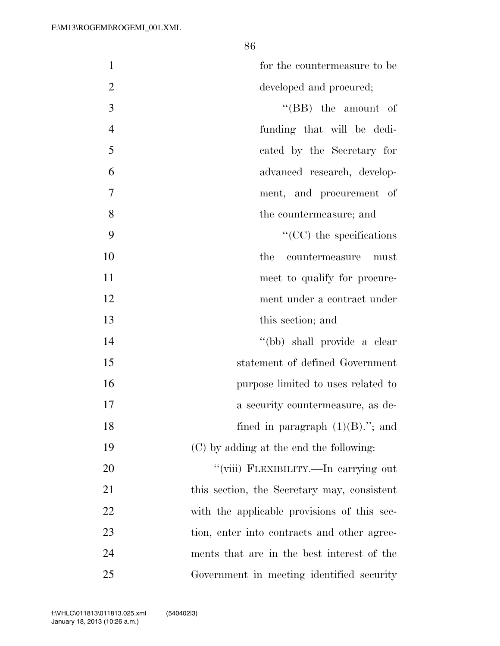| $\mathbf{1}$   | for the countermeasure to be                |
|----------------|---------------------------------------------|
| $\overline{2}$ | developed and procured;                     |
| 3              | $\lq\lq$ (BB) the amount of                 |
| $\overline{4}$ | funding that will be dedi-                  |
| 5              | cated by the Secretary for                  |
| 6              | advanced research, develop-                 |
| 7              | ment, and procurement of                    |
| 8              | the countermeasure; and                     |
| 9              | $\lq\lq$ (CC) the specifications            |
| 10             | the<br>countermeasure<br>must               |
| 11             | meet to qualify for procure-                |
| 12             | ment under a contract under                 |
| 13             | this section; and                           |
| 14             | "(bb) shall provide a clear                 |
| 15             | statement of defined Government             |
| 16             | purpose limited to uses related to          |
| 17             | a security countermeasure, as de-           |
| 18             | fined in paragraph $(1)(B)$ ."; and         |
| 19             | (C) by adding at the end the following:     |
| 20             | "(viii) FLEXIBILITY.—In carrying out        |
| 21             | this section, the Secretary may, consistent |
| 22             | with the applicable provisions of this sec- |
| 23             | tion, enter into contracts and other agree- |
| 24             | ments that are in the best interest of the  |
| 25             | Government in meeting identified security   |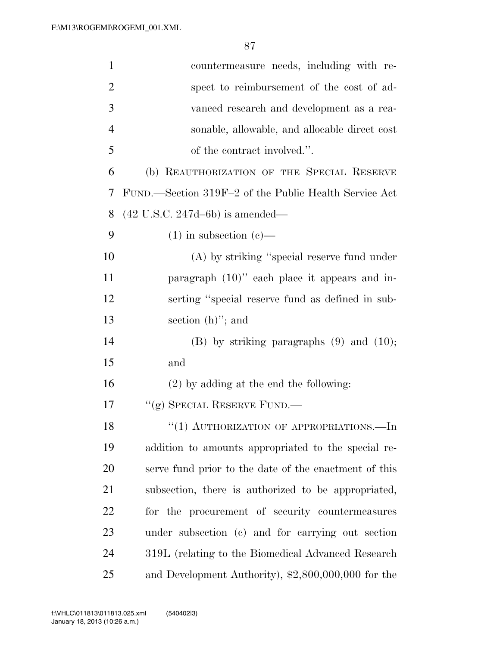| $\mathbf{1}$   | countermeasure needs, including with re-              |
|----------------|-------------------------------------------------------|
| $\overline{2}$ | spect to reimbursement of the cost of ad-             |
| 3              | vanced research and development as a rea-             |
| 4              | sonable, allowable, and allocable direct cost         |
| 5              | of the contract involved.".                           |
| 6              | (b) REAUTHORIZATION OF THE SPECIAL RESERVE            |
| 7              | FUND.—Section 319F-2 of the Public Health Service Act |
| 8              | $(42 \text{ U.S.C. } 247d - 6b)$ is amended—          |
| 9              | $(1)$ in subsection $(e)$ —                           |
| 10             | (A) by striking "special reserve fund under           |
| 11             | paragraph $(10)$ " each place it appears and in-      |
| 12             | serting "special reserve fund as defined in sub-      |
| 13             | section $(h)$ "; and                                  |
| 14             | $(B)$ by striking paragraphs $(9)$ and $(10)$ ;       |
| 15             | and                                                   |
| 16             | $(2)$ by adding at the end the following:             |
| 17             | "(g) SPECIAL RESERVE FUND.—                           |
| 18             | "(1) AUTHORIZATION OF APPROPRIATIONS.—In              |
| 19             | addition to amounts appropriated to the special re-   |
| 20             | serve fund prior to the date of the enactment of this |
| 21             | subsection, there is authorized to be appropriated,   |
| 22             | for the procurement of security countermeasures       |
| 23             | under subsection (c) and for carrying out section     |
| 24             | 319L (relating to the Biomedical Advanced Research    |
| 25             | and Development Authority), \$2,800,000,000 for the   |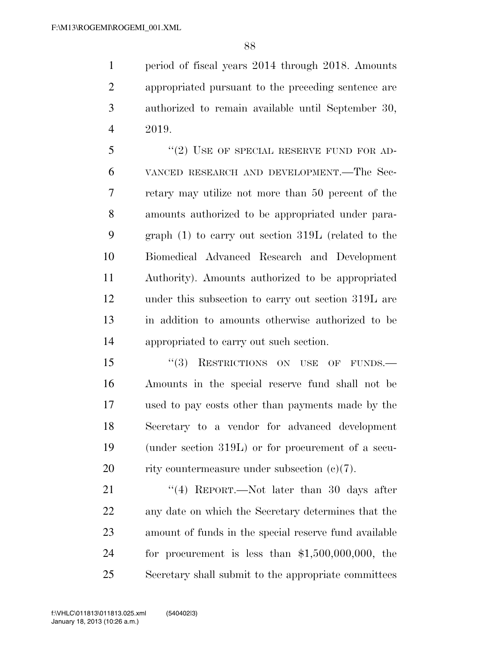period of fiscal years 2014 through 2018. Amounts appropriated pursuant to the preceding sentence are authorized to remain available until September 30, 2019.

5 "(2) USE OF SPECIAL RESERVE FUND FOR AD- VANCED RESEARCH AND DEVELOPMENT.—The Sec- retary may utilize not more than 50 percent of the amounts authorized to be appropriated under para- graph (1) to carry out section 319L (related to the Biomedical Advanced Research and Development Authority). Amounts authorized to be appropriated under this subsection to carry out section 319L are in addition to amounts otherwise authorized to be appropriated to carry out such section.

15 "(3) RESTRICTIONS ON USE OF FUNDS.— Amounts in the special reserve fund shall not be used to pay costs other than payments made by the Secretary to a vendor for advanced development (under section 319L) or for procurement of a secu-20 rity countermeasure under subsection  $(e)(7)$ .

21 ''(4) REPORT.—Not later than 30 days after any date on which the Secretary determines that the amount of funds in the special reserve fund available for procurement is less than \$1,500,000,000, the Secretary shall submit to the appropriate committees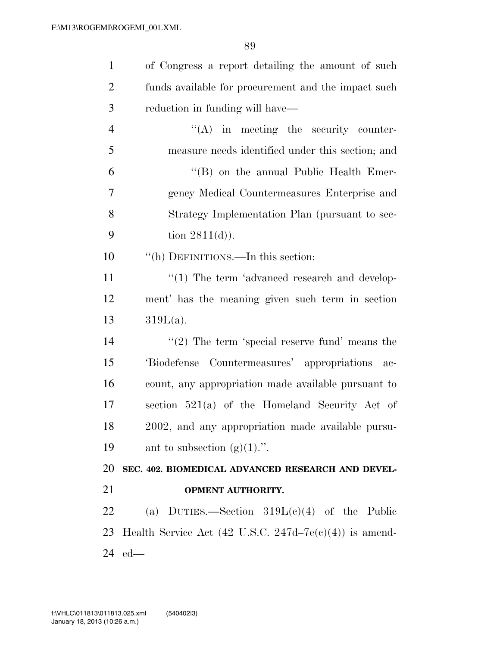| $\mathbf{1}$   | of Congress a report detailing the amount of such          |
|----------------|------------------------------------------------------------|
| $\overline{2}$ | funds available for procurement and the impact such        |
| 3              | reduction in funding will have—                            |
| $\overline{4}$ | $\lq\lq$ in meeting the security counter-                  |
| 5              | measure needs identified under this section; and           |
| 6              | "(B) on the annual Public Health Emer-                     |
| $\overline{7}$ | gency Medical Countermeasures Enterprise and               |
| 8              | Strategy Implementation Plan (pursuant to sec-             |
| 9              | tion $2811(d)$ ).                                          |
| 10             | "(h) DEFINITIONS.—In this section:                         |
| 11             | "(1) The term 'advanced research and develop-              |
| 12             | ment' has the meaning given such term in section           |
| 13             | $319L(a)$ .                                                |
| 14             | "(2) The term 'special reserve fund' means the             |
| 15             | 'Biodefense Countermeasures' appropriations ac-            |
| 16             | count, any appropriation made available pursuant to        |
| 17             | section $521(a)$ of the Homeland Security Act of           |
| 18             | 2002, and any appropriation made available pursu-          |
| 19             | ant to subsection $(g)(1)$ .".                             |
| 20             | SEC. 402. BIOMEDICAL ADVANCED RESEARCH AND DEVEL-          |
| 21             | <b>OPMENT AUTHORITY.</b>                                   |
| 22             | (a) DUTIES.—Section $319L(c)(4)$ of the Public             |
| 23             | Health Service Act (42 U.S.C. 247d–7 $e(e)(4)$ ) is amend- |
| 24             | $ed$ —                                                     |
|                |                                                            |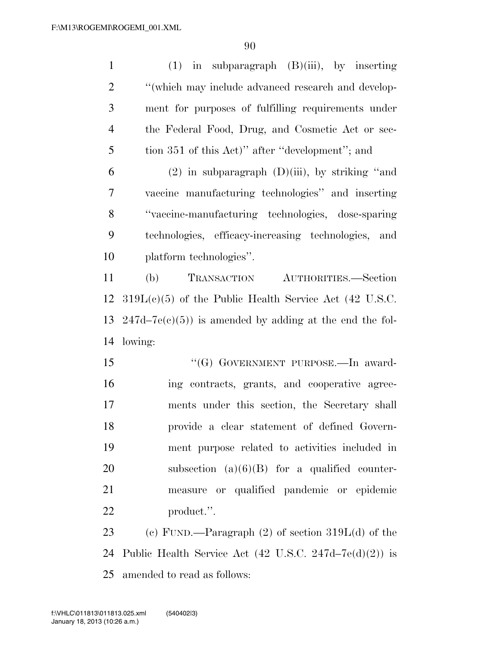| $\mathbf{1}$   | $(1)$ in subparagraph $(B)(iii)$ , by inserting                   |
|----------------|-------------------------------------------------------------------|
| $\overline{2}$ | "(which may include advanced research and develop-                |
| 3              | ment for purposes of fulfilling requirements under                |
| $\overline{4}$ | the Federal Food, Drug, and Cosmetic Act or sec-                  |
| 5              | tion 351 of this Act)" after "development"; and                   |
| 6              | $(2)$ in subparagraph $(D)(iii)$ , by striking "and               |
| 7              | vaccine manufacturing technologies" and inserting                 |
| 8              | "vaccine-manufacturing technologies, dose-sparing                 |
| 9              | technologies, efficacy-increasing technologies, and               |
| 10             | platform technologies".                                           |
| 11             | TRANSACTION<br>AUTHORITIES.-Section<br>(b)                        |
| 12             | $319L(e)(5)$ of the Public Health Service Act (42 U.S.C.          |
| 13             | $247d-7e(c)(5)$ ) is amended by adding at the end the fol-        |
| 14             | lowing:                                                           |
| 15             | "(G) GOVERNMENT PURPOSE.—In award-                                |
| 16             | ing contracts, grants, and cooperative agree-                     |
| 17             | ments under this section, the Secretary shall                     |
| 18             | provide a clear statement of defined Govern-                      |
| 19             | ment purpose related to activities included in                    |
| 20             | subsection $(a)(6)(B)$ for a qualified counter-                   |
| 21             | measure or qualified pandemic or epidemic                         |
| 22             | product.".                                                        |
| 23             | (c) FUND.—Paragraph $(2)$ of section $319L(d)$ of the             |
| 24             | Public Health Service Act $(42 \text{ U.S.C. } 247d-7e(d)(2))$ is |
| 25             | amended to read as follows:                                       |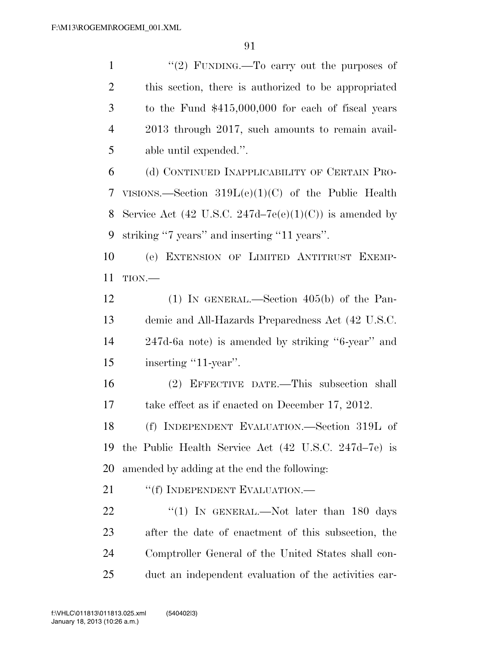$\frac{1}{2}$  FUNDING. To carry out the purposes of this section, there is authorized to be appropriated to the Fund \$415,000,000 for each of fiscal years 2013 through 2017, such amounts to remain avail-able until expended.''.

 (d) CONTINUED INAPPLICABILITY OF CERTAIN PRO- VISIONS.—Section 319L(e)(1)(C) of the Public Health 8 Service Act (42 U.S.C. 247d–7 $e(e)(1)(C)$ ) is amended by striking ''7 years'' and inserting ''11 years''.

 (e) EXTENSION OF LIMITED ANTITRUST EXEMP-TION.—

 (1) IN GENERAL.—Section 405(b) of the Pan- demic and All-Hazards Preparedness Act (42 U.S.C. 247d-6a note) is amended by striking ''6-year'' and 15 inserting "11-year".

 (2) EFFECTIVE DATE.—This subsection shall take effect as if enacted on December 17, 2012.

 (f) INDEPENDENT EVALUATION.—Section 319L of the Public Health Service Act (42 U.S.C. 247d–7e) is amended by adding at the end the following:

21 ""(f) INDEPENDENT EVALUATION.—

22 "(1) In GENERAL.—Not later than 180 days after the date of enactment of this subsection, the Comptroller General of the United States shall con-duct an independent evaluation of the activities car-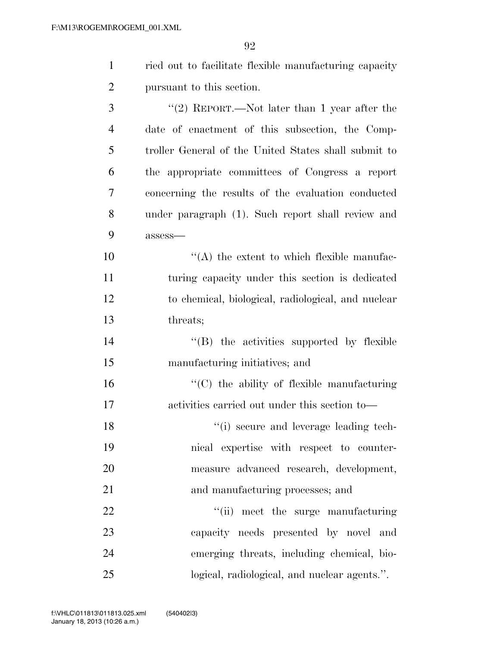| $\mathbf{1}$   | ried out to facilitate flexible manufacturing capacity |
|----------------|--------------------------------------------------------|
| $\overline{2}$ | pursuant to this section.                              |
| 3              | "(2) REPORT.—Not later than 1 year after the           |
| $\overline{4}$ | date of enactment of this subsection, the Comp-        |
| 5              | troller General of the United States shall submit to   |
| 6              | the appropriate committees of Congress a report        |
| 7              | concerning the results of the evaluation conducted     |
| 8              | under paragraph (1). Such report shall review and      |
| 9              | assess-                                                |
| 10             | $\lq\lq$ the extent to which flexible manufac-         |
| 11             | turing capacity under this section is dedicated        |
| 12             | to chemical, biological, radiological, and nuclear     |
| 13             | threats;                                               |
| 14             | "(B) the activities supported by flexible              |
| 15             | manufacturing initiatives; and                         |
| 16             | $\cdot$ (C) the ability of flexible manufacturing      |
| 17             | activities carried out under this section to—          |
| 18             | "(i) secure and leverage leading tech-                 |
| 19             | nical expertise with respect to counter-               |
| 20             | measure advanced research, development,                |
| 21             | and manufacturing processes; and                       |
| 22             | "(ii) meet the surge manufacturing                     |
| 23             | capacity needs presented by novel and                  |

emerging threats, including chemical, bio-

logical, radiological, and nuclear agents.''.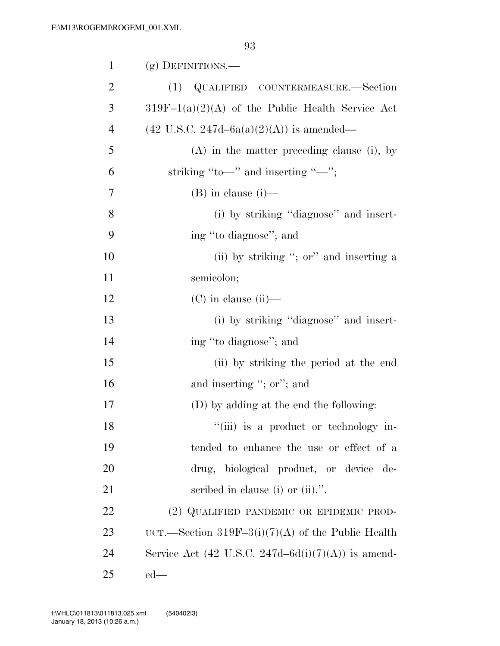| $\mathbf{1}$   | (g) DEFINITIONS.—                                     |
|----------------|-------------------------------------------------------|
| $\overline{2}$ | QUALIFIED COUNTERMEASURE.—Section<br>(1)              |
| 3              | $319F-1(a)(2)(A)$ of the Public Health Service Act    |
| $\overline{4}$ | $(42 \text{ U.S.C. } 247d - 6a(a)(2)(A))$ is amended— |
| 5              | $(A)$ in the matter preceding clause (i), by          |
| 6              | striking "to—" and inserting "—";                     |
| 7              | $(B)$ in clause $(i)$ —                               |
| 8              | (i) by striking "diagnose" and insert-                |
| 9              | ing "to diagnose"; and                                |
| 10             | (ii) by striking "; or" and inserting a               |
| 11             | semicolon;                                            |
| 12             | $(C)$ in clause (ii)—                                 |
| 13             | (i) by striking "diagnose" and insert-                |
| 14             | ing "to diagnose"; and                                |
| 15             | (ii) by striking the period at the end                |
| 16             | and inserting "; or"; and                             |
| 17             | (D) by adding at the end the following:               |
| 18             | "(iii) is a product or technology in-                 |
| 19             | tended to enhance the use or effect of a              |
| 20             | drug, biological product, or device de-               |
| 21             | scribed in clause (i) or $(ii)$ .".                   |
| 22             | (2) QUALIFIED PANDEMIC OR EPIDEMIC PROD-              |
| 23             | UCT.—Section 319F-3(i)(7)(A) of the Public Health     |
| 24             | Service Act (42 U.S.C. 247d–6d(i)(7)(A)) is amend-    |
| 25             | $ed$ —                                                |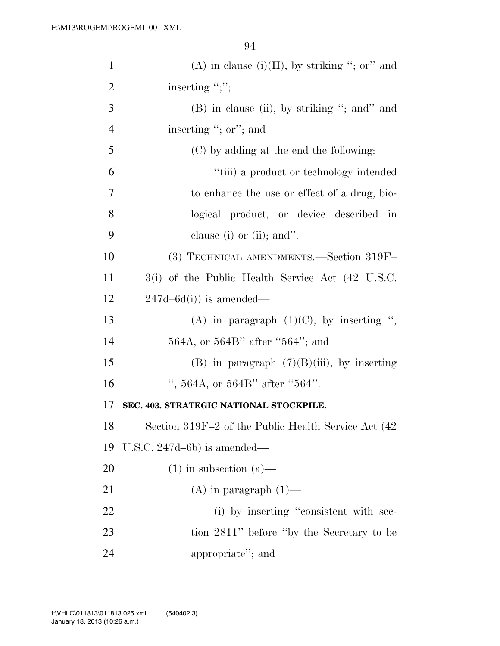| $\mathbf{1}$   | (A) in clause (i)(II), by striking "; or" and       |
|----------------|-----------------------------------------------------|
| $\overline{2}$ | inserting ";";                                      |
| 3              | (B) in clause (ii), by striking "; and" and         |
| $\overline{4}$ | inserting "; or"; and                               |
| 5              | (C) by adding at the end the following:             |
| 6              | "(iii) a product or technology intended             |
| 7              | to enhance the use or effect of a drug, bio-        |
| 8              | logical product, or device described in             |
| 9              | clause (i) or (ii); and".                           |
| 10             | (3) TECHNICAL AMENDMENTS.—Section 319F-             |
| 11             | 3(i) of the Public Health Service Act (42 U.S.C.    |
| 12             | $247d - 6d(i)$ is amended—                          |
| 13             | (A) in paragraph $(1)(C)$ , by inserting ",         |
| 14             | 564A, or 564B" after "564"; and                     |
| 15             | (B) in paragraph $(7)(B)(iii)$ , by inserting       |
| 16             | ", 564A, or 564B" after "564".                      |
| 17             | SEC. 403. STRATEGIC NATIONAL STOCKPILE.             |
| 18             | Section 319F-2 of the Public Health Service Act (42 |
| 19             | U.S.C. $247d-6b$ ) is amended—                      |
| 20             | $(1)$ in subsection $(a)$ —                         |
| 21             | $(A)$ in paragraph $(1)$ —                          |
| 22             | (i) by inserting "consistent with sec-              |
| 23             | tion 2811" before "by the Secretary to be           |
| 24             | appropriate"; and                                   |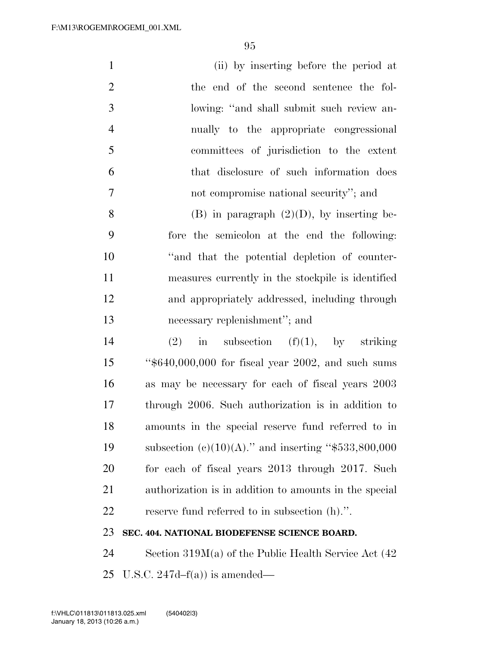| $\mathbf{1}$   | (ii) by inserting before the period at                 |
|----------------|--------------------------------------------------------|
| $\overline{2}$ | the end of the second sentence the fol-                |
| 3              | lowing: "and shall submit such review an-              |
| $\overline{4}$ | nually to the appropriate congressional                |
| 5              | committees of jurisdiction to the extent               |
| 6              | that disclosure of such information does               |
| 7              | not compromise national security"; and                 |
| 8              | $(B)$ in paragraph $(2)(D)$ , by inserting be-         |
| 9              | fore the semicolon at the end the following:           |
| 10             | "and that the potential depletion of counter-          |
| 11             | measures currently in the stockpile is identified      |
| 12             | and appropriately addressed, including through         |
| 13             | necessary replenishment"; and                          |
| 14             | in subsection $(f)(1)$ , by striking<br>(2)            |
| 15             | "\$640,000,000 for fiscal year 2002, and such sums     |
| 16             | as may be necessary for each of fiscal years 2003      |
| 17             | through 2006. Such authorization is in addition to     |
| 18             | amounts in the special reserve fund referred to in     |
| 19             | subsection (c)(10)(A)." and inserting "\$533,800,000   |
| 20             | for each of fiscal years 2013 through 2017. Such       |
| 21             | authorization is in addition to amounts in the special |
| 22             | reserve fund referred to in subsection (h).".          |
| 23             | SEC. 404. NATIONAL BIODEFENSE SCIENCE BOARD.           |

 Section 319M(a) of the Public Health Service Act (42 U.S.C. 247d–f(a)) is amended—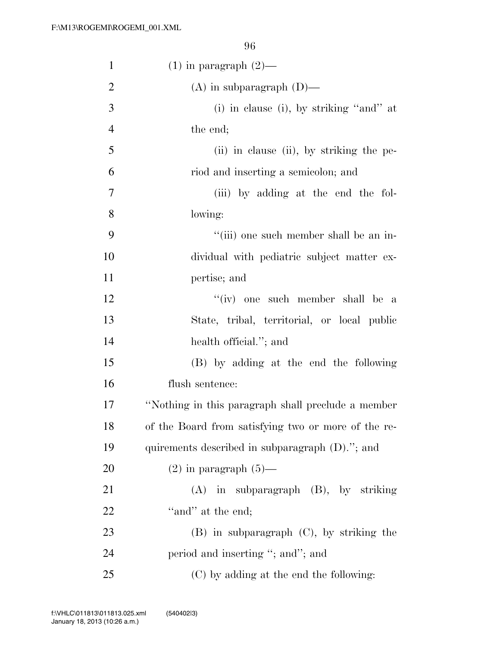| $\mathbf{1}$   | $(1)$ in paragraph $(2)$ —                          |
|----------------|-----------------------------------------------------|
| $\overline{2}$ | $(A)$ in subparagraph $(D)$ —                       |
| 3              | (i) in clause (i), by striking "and" at             |
| $\overline{4}$ | the end;                                            |
| 5              | (ii) in clause (ii), by striking the pe-            |
| 6              | riod and inserting a semicolon; and                 |
| $\tau$         | (iii) by adding at the end the fol-                 |
| 8              | lowing:                                             |
| 9              | "(iii) one such member shall be an in-              |
| 10             | dividual with pediatric subject matter ex-          |
| 11             | pertise; and                                        |
| 12             | "(iv) one such member shall be a                    |
| 13             | State, tribal, territorial, or local public         |
| 14             | health official."; and                              |
| 15             | (B) by adding at the end the following              |
| 16             | flush sentence:                                     |
| 17             | "Nothing in this paragraph shall preclude a member  |
| 18             | of the Board from satisfying two or more of the re- |
| 19             | quirements described in subparagraph (D)."; and     |
| 20             | $(2)$ in paragraph $(5)$ —                          |
| 21             | $(A)$ in subparagraph $(B)$ , by striking           |
| 22             | "and" at the end;                                   |
| 23             | $(B)$ in subparagraph $(C)$ , by striking the       |
| 24             | period and inserting "; and"; and                   |
| 25             | (C) by adding at the end the following:             |